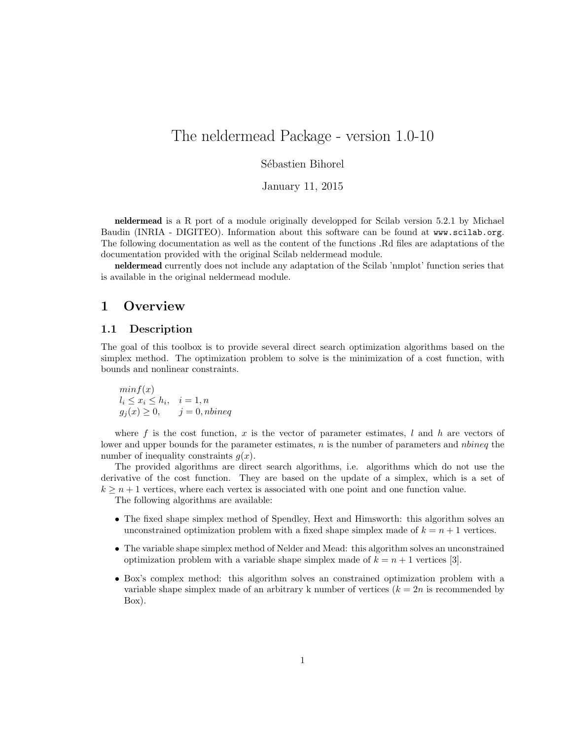# The neldermead Package - version 1.0-10

# Sébastien Bihorel

January 11, 2015

neldermead is a R port of a module originally developped for Scilab version 5.2.1 by Michael Baudin (INRIA - DIGITEO). Information about this software can be found at <www.scilab.org>. The following documentation as well as the content of the functions .Rd files are adaptations of the documentation provided with the original Scilab neldermead module.

neldermead currently does not include any adaptation of the Scilab 'nmplot' function series that is available in the original neldermead module.

# 1 Overview

# 1.1 Description

The goal of this toolbox is to provide several direct search optimization algorithms based on the simplex method. The optimization problem to solve is the minimization of a cost function, with bounds and nonlinear constraints.

 $min f(x)$  $l_i \leq x_i \leq h_i, \quad i = 1, n$  $g_i(x) \geq 0$ ,  $j = 0$ , nbineq

where f is the cost function, x is the vector of parameter estimates,  $l$  and  $h$  are vectors of lower and upper bounds for the parameter estimates, n is the number of parameters and nbineq the number of inequality constraints  $q(x)$ .

The provided algorithms are direct search algorithms, i.e. algorithms which do not use the derivative of the cost function. They are based on the update of a simplex, which is a set of  $k \geq n+1$  vertices, where each vertex is associated with one point and one function value.

The following algorithms are available:

- The fixed shape simplex method of Spendley, Hext and Himsworth: this algorithm solves an unconstrained optimization problem with a fixed shape simplex made of  $k = n + 1$  vertices.
- The variable shape simplex method of Nelder and Mead: this algorithm solves an unconstrained optimization problem with a variable shape simplex made of  $k = n + 1$  vertices [\[3\]](#page-21-0).
- Box's complex method: this algorithm solves an constrained optimization problem with a variable shape simplex made of an arbitrary k number of vertices  $(k = 2n)$  is recommended by Box).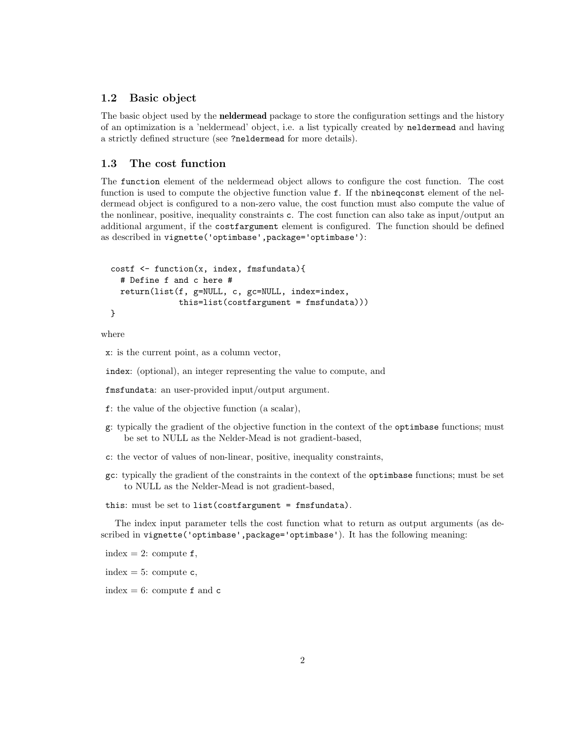## 1.2 Basic object

The basic object used by the **neldermead** package to store the configuration settings and the history of an optimization is a 'neldermead' object, i.e. a list typically created by neldermead and having a strictly defined structure (see ?neldermead for more details).

# 1.3 The cost function

The function element of the neldermead object allows to configure the cost function. The cost function is used to compute the objective function value f. If the nbineqconst element of the neldermead object is configured to a non-zero value, the cost function must also compute the value of the nonlinear, positive, inequality constraints c. The cost function can also take as input/output an additional argument, if the costfargument element is configured. The function should be defined as described in vignette('optimbase',package='optimbase'):

```
costf <- function(x, index, fmsfundata){
  # Define f and c here #
  return(list(f, g=NULL, c, gc=NULL, index=index,
              this=list(costfargument = fmsfundata)))
}
```
where

x: is the current point, as a column vector,

index: (optional), an integer representing the value to compute, and

fmsfundata: an user-provided input/output argument.

- f: the value of the objective function (a scalar),
- g: typically the gradient of the objective function in the context of the optimbase functions; must be set to NULL as the Nelder-Mead is not gradient-based,
- c: the vector of values of non-linear, positive, inequality constraints,
- gc: typically the gradient of the constraints in the context of the optimbase functions; must be set to NULL as the Nelder-Mead is not gradient-based,

this: must be set to list(costfargument = fmsfundata).

The index input parameter tells the cost function what to return as output arguments (as described in vignette('optimbase',package='optimbase'). It has the following meaning:

index = 2: compute  $f$ ,

index  $= 5$ : compute  $c$ ,

index  $= 6$ : compute  $f$  and  $c$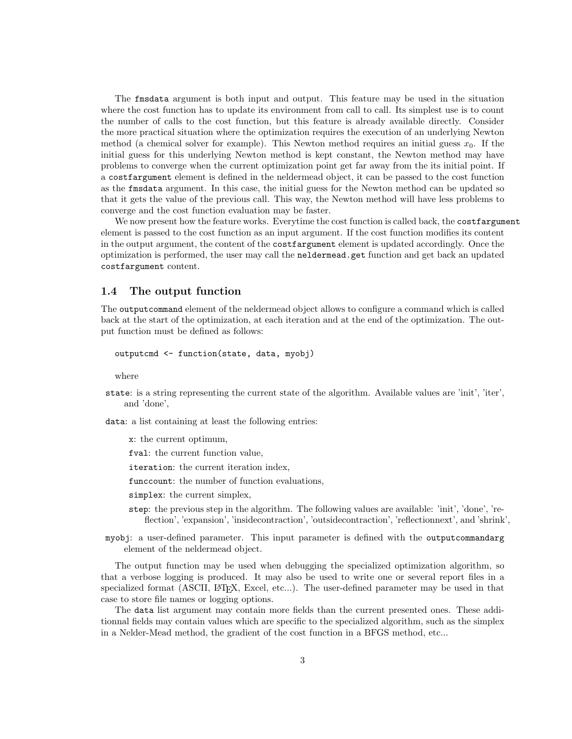The fmsdata argument is both input and output. This feature may be used in the situation where the cost function has to update its environment from call to call. Its simplest use is to count the number of calls to the cost function, but this feature is already available directly. Consider the more practical situation where the optimization requires the execution of an underlying Newton method (a chemical solver for example). This Newton method requires an initial guess  $x_0$ . If the initial guess for this underlying Newton method is kept constant, the Newton method may have problems to converge when the current optimization point get far away from the its initial point. If a costfargument element is defined in the neldermead object, it can be passed to the cost function as the fmsdata argument. In this case, the initial guess for the Newton method can be updated so that it gets the value of the previous call. This way, the Newton method will have less problems to converge and the cost function evaluation may be faster.

We now present how the feature works. Everytime the cost function is called back, the costfargument element is passed to the cost function as an input argument. If the cost function modifies its content in the output argument, the content of the costfargument element is updated accordingly. Once the optimization is performed, the user may call the neldermead.get function and get back an updated costfargument content.

# 1.4 The output function

The outputcommand element of the neldermead object allows to configure a command which is called back at the start of the optimization, at each iteration and at the end of the optimization. The output function must be defined as follows:

```
outputcmd <- function(state, data, myobj)
```
where

- state: is a string representing the current state of the algorithm. Available values are 'init', 'iter', and 'done',
- data: a list containing at least the following entries:
	- x: the current optimum,
	- fval: the current function value,
	- iteration: the current iteration index,
	- funccount: the number of function evaluations,
	- simplex: the current simplex,
	- step: the previous step in the algorithm. The following values are available: 'init', 'done', 'reflection', 'expansion', 'insidecontraction', 'outsidecontraction', 'reflectionnext', and 'shrink',
- myobj: a user-defined parameter. This input parameter is defined with the outputcommandarg element of the neldermead object.

The output function may be used when debugging the specialized optimization algorithm, so that a verbose logging is produced. It may also be used to write one or several report files in a specialized format (ASCII, L<sup>AT</sup>EX, Excel, etc...). The user-defined parameter may be used in that case to store file names or logging options.

The data list argument may contain more fields than the current presented ones. These additionnal fields may contain values which are specific to the specialized algorithm, such as the simplex in a Nelder-Mead method, the gradient of the cost function in a BFGS method, etc...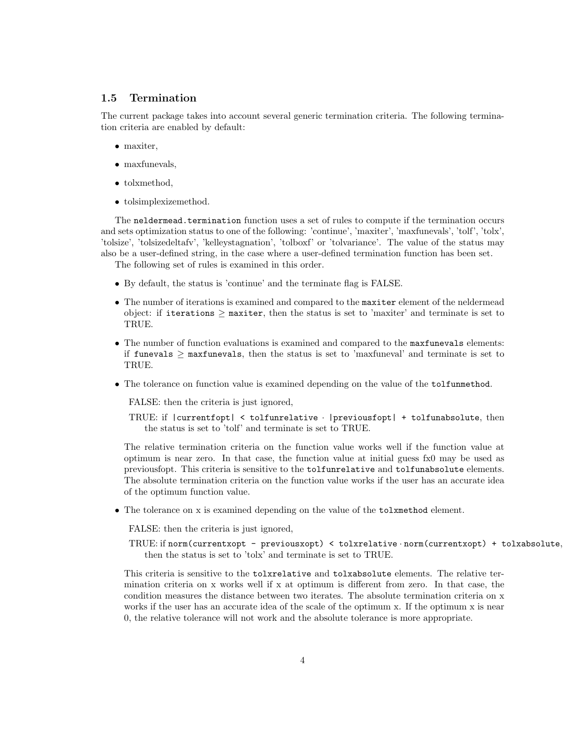# 1.5 Termination

The current package takes into account several generic termination criteria. The following termination criteria are enabled by default:

- maxiter,
- maxfunevals,
- tolxmethod.
- tolsimplexizemethod.

The neldermead.termination function uses a set of rules to compute if the termination occurs and sets optimization status to one of the following: 'continue', 'maxiter', 'maxfunevals', 'tolf', 'tolx', 'tolsize', 'tolsizedeltafv', 'kelleystagnation', 'tolboxf' or 'tolvariance'. The value of the status may also be a user-defined string, in the case where a user-defined termination function has been set.

The following set of rules is examined in this order.

- By default, the status is 'continue' and the terminate flag is FALSE.
- The number of iterations is examined and compared to the maxiter element of the neldermead object: if iterations  $\geq$  maxiter, then the status is set to 'maxiter' and terminate is set to TRUE.
- The number of function evaluations is examined and compared to the maxfunevals elements: if funevals  $\geq$  maxfunevals, then the status is set to 'maxfuneval' and terminate is set to TRUE.
- The tolerance on function value is examined depending on the value of the tolfunmethod.

FALSE: then the criteria is just ignored,

TRUE: if |currentfopt| < tolfunrelative · |previousfopt| + tolfunabsolute, then the status is set to 'tolf' and terminate is set to TRUE.

The relative termination criteria on the function value works well if the function value at optimum is near zero. In that case, the function value at initial guess fx0 may be used as previousfopt. This criteria is sensitive to the tolfunrelative and tolfunabsolute elements. The absolute termination criteria on the function value works if the user has an accurate idea of the optimum function value.

• The tolerance on x is examined depending on the value of the tolxmethod element.

FALSE: then the criteria is just ignored,

```
TRUE: if norm(currentxopt - previousxopt) < tolxrelative · norm(currentxopt) + tolxabsolute,
   then the status is set to 'tolx' and terminate is set to TRUE.
```
This criteria is sensitive to the tolxrelative and tolxabsolute elements. The relative termination criteria on x works well if x at optimum is different from zero. In that case, the condition measures the distance between two iterates. The absolute termination criteria on x works if the user has an accurate idea of the scale of the optimum x. If the optimum x is near 0, the relative tolerance will not work and the absolute tolerance is more appropriate.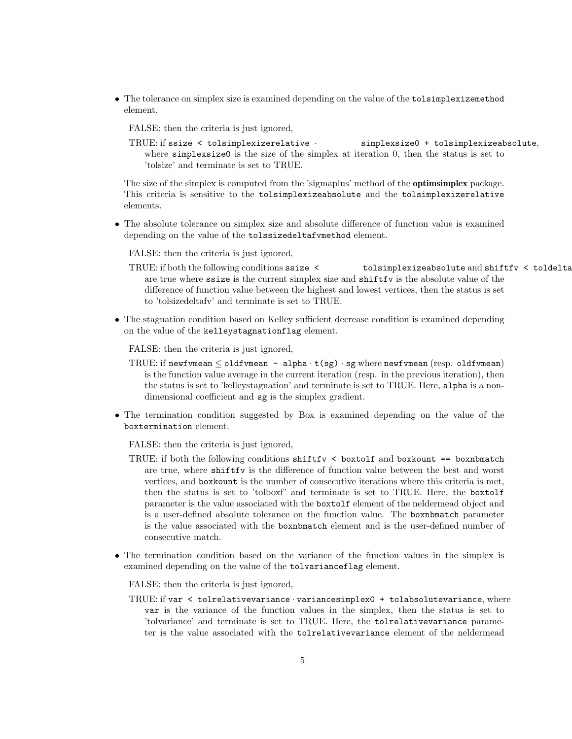• The tolerance on simplex size is examined depending on the value of the tolsimplexizemethod element.

FALSE: then the criteria is just ignored,

TRUE: if ssize < tolsimplexizerelative · simplexsize0 + tolsimplexizeabsolute, where simplexsize0 is the size of the simplex at iteration 0, then the status is set to 'tolsize' and terminate is set to TRUE.

The size of the simplex is computed from the 'sigmaplus' method of the **optimsimplex** package. This criteria is sensitive to the tolsimplexizeabsolute and the tolsimplexizerelative elements.

• The absolute tolerance on simplex size and absolute difference of function value is examined depending on the value of the tolssizedeltafvmethod element.

FALSE: then the criteria is just ignored,

- TRUE: if both the following conditions ssize < tolsimplexizeabsolute and shiftfy < toldelta are true where ssize is the current simplex size and shiftfv is the absolute value of the difference of function value between the highest and lowest vertices, then the status is set to 'tolsizedeltafv' and terminate is set to TRUE.
- The stagnation condition based on Kelley sufficient decrease condition is examined depending on the value of the kelleystagnationflag element.

FALSE: then the criteria is just ignored,

- TRUE: if newfvmean  $\leq$  oldfvmean alpha  $\cdot$  t(sg)  $\cdot$  sg where newfvmean (resp. oldfvmean) is the function value average in the current iteration (resp. in the previous iteration), then the status is set to 'kelleystagnation' and terminate is set to TRUE. Here, alpha is a nondimensional coefficient and sg is the simplex gradient.
- The termination condition suggested by Box is examined depending on the value of the boxtermination element.

FALSE: then the criteria is just ignored,

- TRUE: if both the following conditions  $\text{shiftv} \leq \text{boxtolf}$  and  $\text{boxkount} == \text{boxnmatch}$ are true, where shiftfv is the difference of function value between the best and worst vertices, and boxkount is the number of consecutive iterations where this criteria is met, then the status is set to 'tolboxf' and terminate is set to TRUE. Here, the boxtolf parameter is the value associated with the boxtolf element of the neldermead object and is a user-defined absolute tolerance on the function value. The boxnbmatch parameter is the value associated with the boxnbmatch element and is the user-defined number of consecutive match.
- The termination condition based on the variance of the function values in the simplex is examined depending on the value of the tolvarianceflag element.

FALSE: then the criteria is just ignored,

TRUE: if var < tolrelativevariance · variancesimplex0 + tolabsolutevariance, where var is the variance of the function values in the simplex, then the status is set to 'tolvariance' and terminate is set to TRUE. Here, the tolrelativevariance parameter is the value associated with the tolrelativevariance element of the neldermead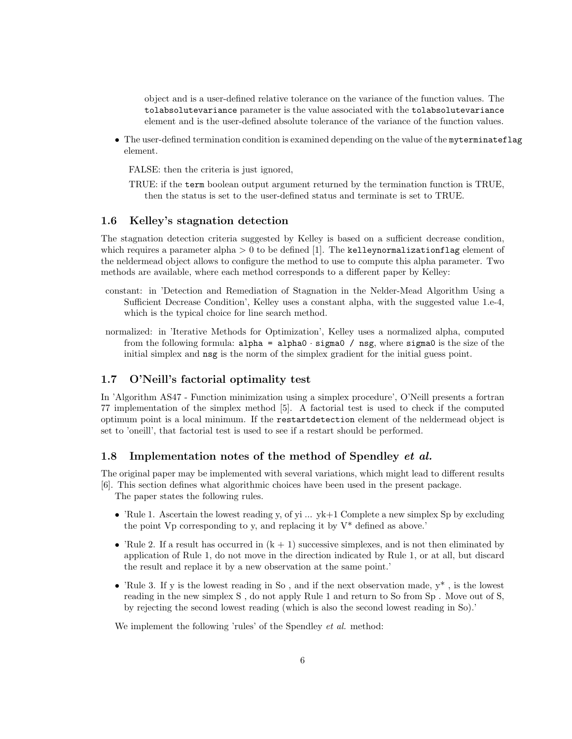object and is a user-defined relative tolerance on the variance of the function values. The tolabsolutevariance parameter is the value associated with the tolabsolutevariance element and is the user-defined absolute tolerance of the variance of the function values.

• The user-defined termination condition is examined depending on the value of the myterminateflag element.

FALSE: then the criteria is just ignored,

TRUE: if the term boolean output argument returned by the termination function is TRUE, then the status is set to the user-defined status and terminate is set to TRUE.

# 1.6 Kelley's stagnation detection

The stagnation detection criteria suggested by Kelley is based on a sufficient decrease condition, which requires a parameter alpha  $> 0$  to be defined [\[1\]](#page-21-1). The kelleynormalization flag element of the neldermead object allows to configure the method to use to compute this alpha parameter. Two methods are available, where each method corresponds to a different paper by Kelley:

- constant: in 'Detection and Remediation of Stagnation in the Nelder-Mead Algorithm Using a Sufficient Decrease Condition', Kelley uses a constant alpha, with the suggested value 1.e-4, which is the typical choice for line search method.
- normalized: in 'Iterative Methods for Optimization', Kelley uses a normalized alpha, computed from the following formula:  $alpha = alpha0 \cdot sigma0 / nsg$ , where sigma0 is the size of the initial simplex and nsg is the norm of the simplex gradient for the initial guess point.

# 1.7 O'Neill's factorial optimality test

In 'Algorithm AS47 - Function minimization using a simplex procedure', O'Neill presents a fortran 77 implementation of the simplex method [\[5\]](#page-21-2). A factorial test is used to check if the computed optimum point is a local minimum. If the restartdetection element of the neldermead object is set to 'oneill', that factorial test is used to see if a restart should be performed.

# 1.8 Implementation notes of the method of Spendley et al.

The original paper may be implemented with several variations, which might lead to different results [\[6\]](#page-21-3). This section defines what algorithmic choices have been used in the present package.

The paper states the following rules.

- 'Rule 1. Ascertain the lowest reading y, of yi  $\ldots$  yk+1 Complete a new simplex Sp by excluding the point  $Vp$  corresponding to y, and replacing it by  $V^*$  defined as above.
- 'Rule 2. If a result has occurred in  $(k + 1)$  successive simplexes, and is not then eliminated by application of Rule 1, do not move in the direction indicated by Rule 1, or at all, but discard the result and replace it by a new observation at the same point.'
- 'Rule 3. If y is the lowest reading in So, and if the next observation made,  $y^*$ , is the lowest reading in the new simplex S , do not apply Rule 1 and return to So from Sp . Move out of S, by rejecting the second lowest reading (which is also the second lowest reading in So).'

We implement the following 'rules' of the Spendley *et al.* method: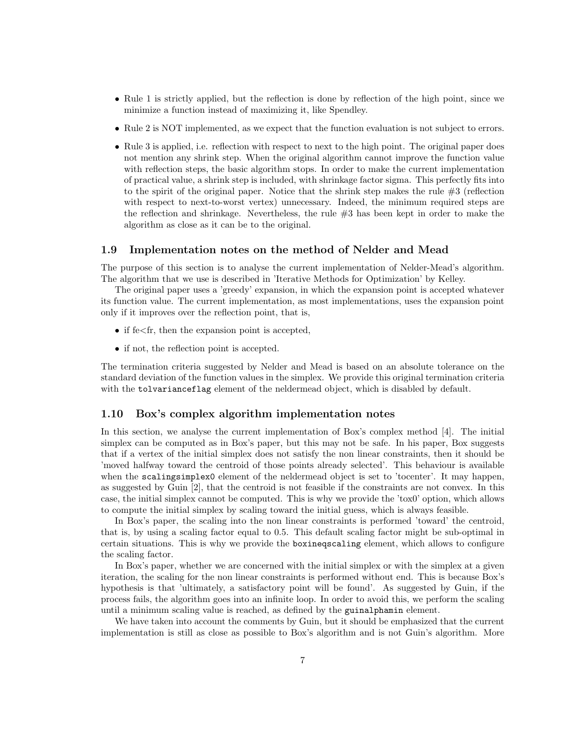- Rule 1 is strictly applied, but the reflection is done by reflection of the high point, since we minimize a function instead of maximizing it, like Spendley.
- Rule 2 is NOT implemented, as we expect that the function evaluation is not subject to errors.
- Rule 3 is applied, i.e. reflection with respect to next to the high point. The original paper does not mention any shrink step. When the original algorithm cannot improve the function value with reflection steps, the basic algorithm stops. In order to make the current implementation of practical value, a shrink step is included, with shrinkage factor sigma. This perfectly fits into to the spirit of the original paper. Notice that the shrink step makes the rule  $#3$  (reflection with respect to next-to-worst vertex) unnecessary. Indeed, the minimum required steps are the reflection and shrinkage. Nevertheless, the rule #3 has been kept in order to make the algorithm as close as it can be to the original.

## 1.9 Implementation notes on the method of Nelder and Mead

The purpose of this section is to analyse the current implementation of Nelder-Mead's algorithm. The algorithm that we use is described in 'Iterative Methods for Optimization' by Kelley.

The original paper uses a 'greedy' expansion, in which the expansion point is accepted whatever its function value. The current implementation, as most implementations, uses the expansion point only if it improves over the reflection point, that is,

- if  $f \in \mathcal{F}$  if then the expansion point is accepted.
- if not, the reflection point is accepted.

The termination criteria suggested by Nelder and Mead is based on an absolute tolerance on the standard deviation of the function values in the simplex. We provide this original termination criteria with the tolvarianceflag element of the neldermead object, which is disabled by default.

## 1.10 Box's complex algorithm implementation notes

In this section, we analyse the current implementation of Box's complex method [\[4\]](#page-21-4). The initial simplex can be computed as in Box's paper, but this may not be safe. In his paper, Box suggests that if a vertex of the initial simplex does not satisfy the non linear constraints, then it should be 'moved halfway toward the centroid of those points already selected'. This behaviour is available when the scalingsimplex0 element of the neldermead object is set to 'tocenter'. It may happen, as suggested by Guin [\[2\]](#page-21-5), that the centroid is not feasible if the constraints are not convex. In this case, the initial simplex cannot be computed. This is why we provide the 'tox0' option, which allows to compute the initial simplex by scaling toward the initial guess, which is always feasible.

In Box's paper, the scaling into the non linear constraints is performed 'toward' the centroid, that is, by using a scaling factor equal to 0.5. This default scaling factor might be sub-optimal in certain situations. This is why we provide the boxineqscaling element, which allows to configure the scaling factor.

In Box's paper, whether we are concerned with the initial simplex or with the simplex at a given iteration, the scaling for the non linear constraints is performed without end. This is because Box's hypothesis is that 'ultimately, a satisfactory point will be found'. As suggested by Guin, if the process fails, the algorithm goes into an infinite loop. In order to avoid this, we perform the scaling until a minimum scaling value is reached, as defined by the guinalphamin element.

We have taken into account the comments by Guin, but it should be emphasized that the current implementation is still as close as possible to Box's algorithm and is not Guin's algorithm. More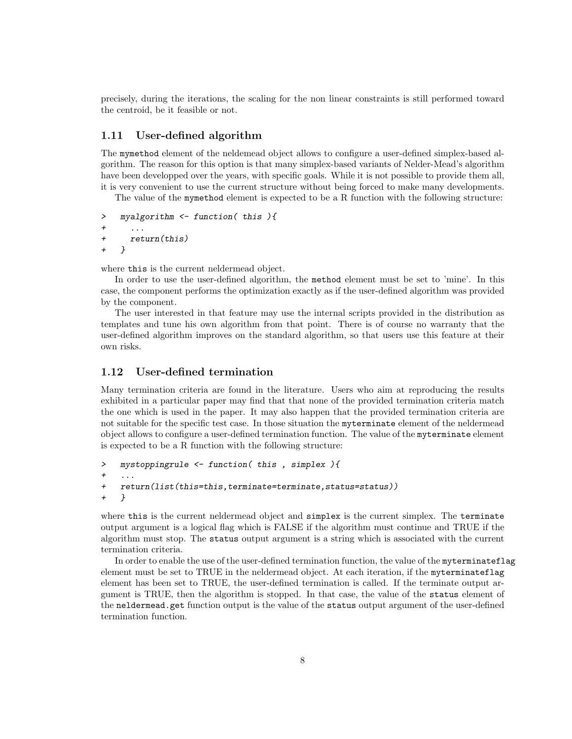precisely, during the iterations, the scaling for the non linear constraints is still performed toward the centroid, be it feasible or not.

# 1.11 User-defined algorithm

The mymethod element of the neldemead object allows to configure a user-defined simplex-based algorithm. The reason for this option is that many simplex-based variants of Nelder-Mead's algorithm have been developped over the years, with specific goals. While it is not possible to provide them all, it is very convenient to use the current structure without being forced to make many developments.

The value of the mymethod element is expected to be a R function with the following structure:

```
> myalgorithm <- function( this ){
+ ...
+ return(this)
+ }
```
where this is the current neldermead object.

In order to use the user-defined algorithm, the method element must be set to 'mine'. In this case, the component performs the optimization exactly as if the user-defined algorithm was provided by the component.

The user interested in that feature may use the internal scripts provided in the distribution as templates and tune his own algorithm from that point. There is of course no warranty that the user-defined algorithm improves on the standard algorithm, so that users use this feature at their own risks.

# 1.12 User-defined termination

Many termination criteria are found in the literature. Users who aim at reproducing the results exhibited in a particular paper may find that that none of the provided termination criteria match the one which is used in the paper. It may also happen that the provided termination criteria are not suitable for the specific test case. In those situation the myterminate element of the neldermead object allows to configure a user-defined termination function. The value of the myterminate element is expected to be a R function with the following structure:

```
> mystoppingrule <- function( this , simplex ){
+ ...
+ return(list(this=this,terminate=terminate,status=status))
+ }
```
where this is the current neldermead object and simplex is the current simplex. The terminate output argument is a logical flag which is FALSE if the algorithm must continue and TRUE if the algorithm must stop. The status output argument is a string which is associated with the current termination criteria.

In order to enable the use of the user-defined termination function, the value of the myterminateflag element must be set to TRUE in the neldermead object. At each iteration, if the myterminateflag element has been set to TRUE, the user-defined termination is called. If the terminate output argument is TRUE, then the algorithm is stopped. In that case, the value of the status element of the neldermead.get function output is the value of the status output argument of the user-defined termination function.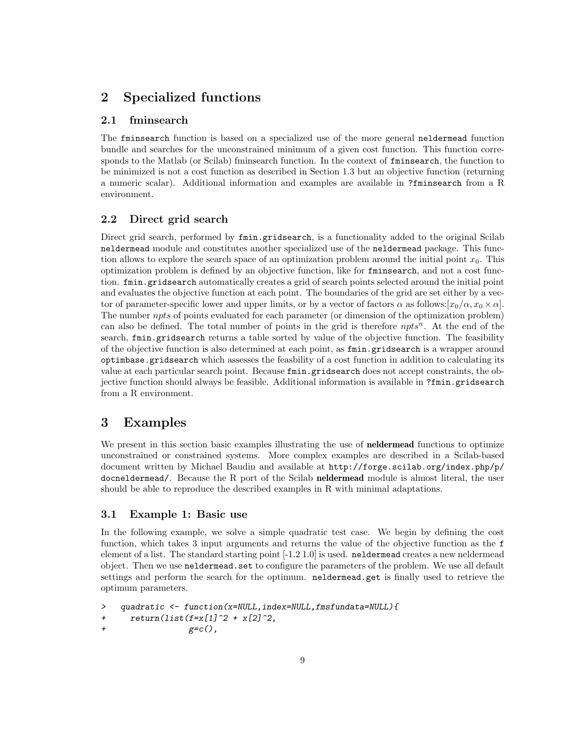# 2 Specialized functions

# 2.1 fminsearch

The fminsearch function is based on a specialized use of the more general neldermead function bundle and searches for the unconstrained minimum of a given cost function. This function corresponds to the Matlab (or Scilab) fminsearch function. In the context of fminsearch, the function to be minimized is not a cost function as described in Section 1.3 but an objective function (returning a numeric scalar). Additional information and examples are available in ?fminsearch from a R environment.

# 2.2 Direct grid search

Direct grid search, performed by fmin.gridsearch, is a functionality added to the original Scilab neldermead module and constitutes another specialized use of the neldermead package. This function allows to explore the search space of an optimization problem around the initial point  $x_0$ . This optimization problem is defined by an objective function, like for fminsearch, and not a cost function. fmin.gridsearch automatically creates a grid of search points selected around the initial point and evaluates the objective function at each point. The boundaries of the grid are set either by a vector of parameter-specific lower and upper limits, or by a vector of factors  $\alpha$  as follows:[ $x_0/\alpha$ ,  $x_0 \times \alpha$ ]. The number *npts* of points evaluated for each parameter (or dimension of the optimization problem) can also be defined. The total number of points in the grid is therefore  $npts<sup>n</sup>$ . At the end of the search, fmin.gridsearch returns a table sorted by value of the objective function. The feasibility of the objective function is also determined at each point, as fmin.gridsearch is a wrapper around optimbase.gridsearch which assesses the feasbility of a cost function in addition to calculating its value at each particular search point. Because fmin.gridsearch does not accept constraints, the objective function should always be feasible. Additional information is available in ?fmin.gridsearch from a R environment.

# 3 Examples

We present in this section basic examples illustrating the use of **neldermead** functions to optimize unconstrained or constrained systems. More complex examples are described in a Scilab-based document written by Michael Baudin and available at [http://forge.scilab.org/index.php/p/](http://forge.scilab.org/index.php/p/docneldermead/) [docneldermead/](http://forge.scilab.org/index.php/p/docneldermead/). Because the R port of the Scilab neldermead module is almost literal, the user should be able to reproduce the described examples in R with minimal adaptations.

## 3.1 Example 1: Basic use

In the following example, we solve a simple quadratic test case. We begin by defining the cost function, which takes 3 input arguments and returns the value of the objective function as the f element of a list. The standard starting point [-1.2 1.0] is used. neldermead creates a new neldermead object. Then we use neldermead.set to configure the parameters of the problem. We use all default settings and perform the search for the optimum. neldermead.get is finally used to retrieve the optimum parameters.

```
> quadratic <- function(x=NULL,index=NULL,fmsfundata=NULL){
+ return(list(f=x[1]^2 + x[2]^2,g=c(),
```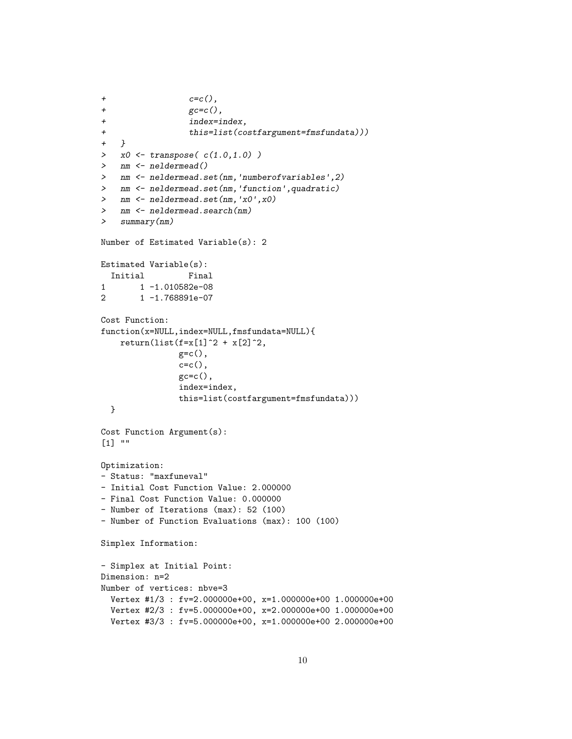```
+ c=c(),
+ \texttt{gcc=c}(),
+ index=index,
+ this=list(costfargument=fmsfundata)))<br>+ }
+> x0 \leq transpose(c(1.0, 1.0))> nm <- neldermead()
> nm <- neldermead.set(nm,'numberofvariables',2)
> nm <- neldermead.set(nm,'function',quadratic)
> nm <- neldermead.set(nm,'x0',x0)
> nm <- neldermead.search(nm)
> summary(nm)
Number of Estimated Variable(s): 2
Estimated Variable(s):
 Initial Final
1 1 -1.010582e-08
2 1 -1.768891e-07
Cost Function:
function(x=NULL,index=NULL,fmsfundata=NULL){
   return(list(f=x[1]^2 + x[2]^2,
               g=c(),
               c=c(),
               gc=c(),
               index=index,
               this=list(costfargument=fmsfundata)))
  }
Cost Function Argument(s):
[1] ""
Optimization:
- Status: "maxfuneval"
- Initial Cost Function Value: 2.000000
- Final Cost Function Value: 0.000000
- Number of Iterations (max): 52 (100)
- Number of Function Evaluations (max): 100 (100)
Simplex Information:
- Simplex at Initial Point:
Dimension: n=2
Number of vertices: nbve=3
 Vertex #1/3 : fv=2.000000e+00, x=1.000000e+00 1.000000e+00
 Vertex #2/3 : fv=5.000000e+00, x=2.000000e+00 1.000000e+00
 Vertex #3/3 : fv=5.000000e+00, x=1.000000e+00 2.000000e+00
```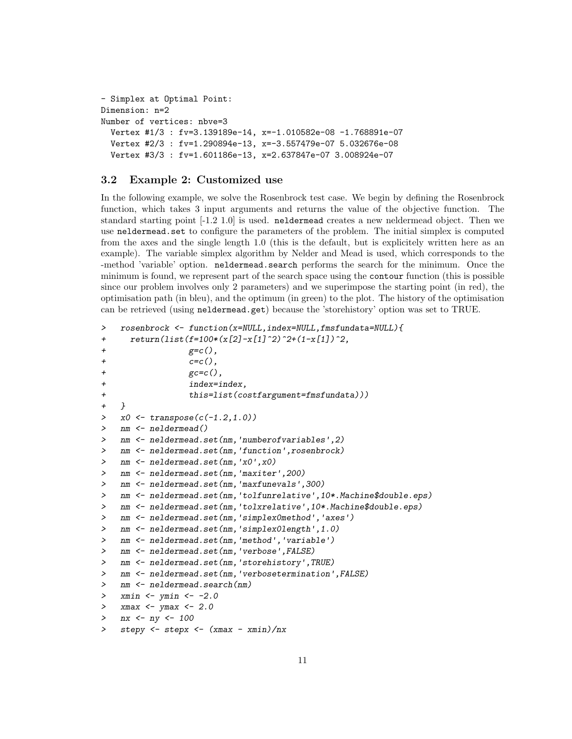```
- Simplex at Optimal Point:
Dimension: n=2
Number of vertices: nbve=3
  Vertex #1/3 : fv=3.139189e-14, x=-1.010582e-08 -1.768891e-07
  Vertex #2/3 : fv=1.290894e-13, x=-3.557479e-07 5.032676e-08
  Vertex #3/3 : fv=1.601186e-13, x=2.637847e-07 3.008924e-07
```
# 3.2 Example 2: Customized use

In the following example, we solve the Rosenbrock test case. We begin by defining the Rosenbrock function, which takes 3 input arguments and returns the value of the objective function. The standard starting point [-1.2 1.0] is used. neldermead creates a new neldermead object. Then we use neldermead.set to configure the parameters of the problem. The initial simplex is computed from the axes and the single length 1.0 (this is the default, but is explicitely written here as an example). The variable simplex algorithm by Nelder and Mead is used, which corresponds to the -method 'variable' option. neldermead.search performs the search for the minimum. Once the minimum is found, we represent part of the search space using the contour function (this is possible since our problem involves only 2 parameters) and we superimpose the starting point (in red), the optimisation path (in bleu), and the optimum (in green) to the plot. The history of the optimisation can be retrieved (using neldermead.get) because the 'storehistory' option was set to TRUE.

```
> rosenbrock <- function(x=NULL,index=NULL,fmsfundata=NULL){
+ return(list(f=100*(x[2]-x[1]^2))^{2}+(1-x[1])^{2},+ gec(),
+ c=c(),
+ \beta gc=c(),
+ index=index,
+ this=list(costfargument=fmsfundata)))
+ }
> x0 \leftarrow \text{transpose}(c(-1.2, 1.0))> nm <- neldermead()
> nm <- neldermead.set(nm,'numberofvariables',2)
> nm <- neldermead.set(nm,'function',rosenbrock)
> nm <- neldermead.set(nm,'x0',x0)
> nm <- neldermead.set(nm,'maxiter',200)
> nm <- neldermead.set(nm,'maxfunevals',300)
> nm <- neldermead.set(nm,'tolfunrelative',10*.Machine$double.eps)
> nm <- neldermead.set(nm,'tolxrelative',10*.Machine$double.eps)
> nm <- neldermead.set(nm,'simplex0method','axes')
> nm <- neldermead.set(nm,'simplex0length',1.0)
> nm <- neldermead.set(nm,'method','variable')
> nm <- neldermead.set(nm,'verbose',FALSE)
> nm <- neldermead.set(nm,'storehistory',TRUE)
> nm <- neldermead.set(nm,'verbosetermination',FALSE)
> nm <- neldermead.search(nm)
> xmin <- ymin <- -2.0
> xmax \leftarrow ymax \leftarrow 2.0
> nx <- ny <- 100
> stepy <- stepx <- (xmax - xmin)/nx
```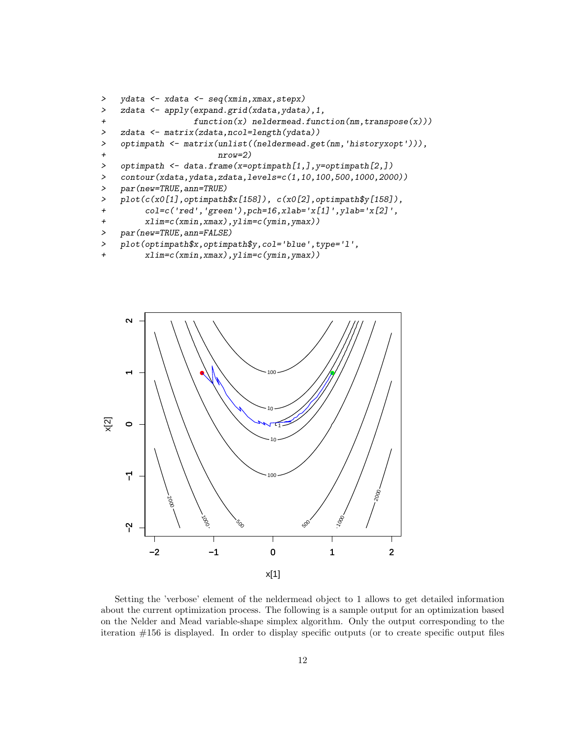```
> ydata <- xdata <- seq(xmin,xmax,stepx)
> zdata <- apply(expand.grid(xdata,ydata),1,
+ function(x) neldermead.function(nm,transpose(x)))
> zdata <- matrix(zdata,ncol=length(ydata))
> optimpath <- matrix(unlist((neldermead.get(nm,'historyxopt'))),
+ nrow=2)
> optimpath <- data.frame(x=optimpath[1,], y=optimpath[2,])
> contour(xdata,ydata,zdata,levels=c(1,10,100,500,1000,2000))
> par(new=TRUE,ann=TRUE)
> plot(c(x0[1],optimpath$x[158]), c(x0[2],optimpath$y[158]),
+ col=c('red','green'),pch=16,xlab='x[1]',ylab='x[2]',
+ xlim=c(xmin,xmax),ylim=c(ymin,ymax))
> par(new=TRUE,ann=FALSE)
```

```
> plot(optimpath$x,optimpath$y,col='blue',type='l',
```
+ xlim=c(xmin,xmax),ylim=c(ymin,ymax))



Setting the 'verbose' element of the neldermead object to 1 allows to get detailed information about the current optimization process. The following is a sample output for an optimization based on the Nelder and Mead variable-shape simplex algorithm. Only the output corresponding to the iteration #156 is displayed. In order to display specific outputs (or to create specific output files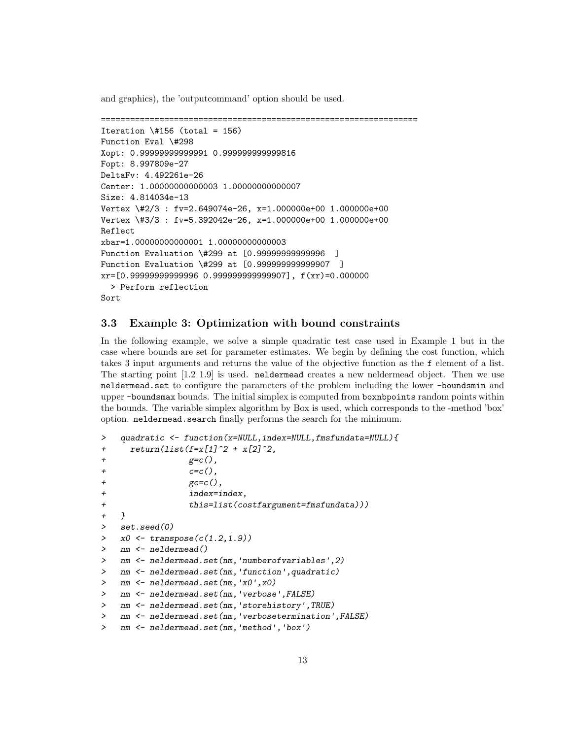and graphics), the 'outputcommand' option should be used.

```
=================================================================
Iteration \{4156 (total = 156)
Function Eval \#298
Xopt: 0.99999999999991 0.999999999999816
Fopt: 8.997809e-27
DeltaFv: 4.492261e-26
Center: 1.00000000000003 1.00000000000007
Size: 4.814034e-13
Vertex \#2/3 : fv=2.649074e-26, x=1.000000e+00 1.000000e+00
Vertex \#3/3 : fv=5.392042e-26, x=1.000000e+00 1.000000e+00
Reflect
xbar=1.00000000000001 1.00000000000003
Function Evaluation \#299 at [0.99999999999996 ]
Function Evaluation \#299 at [0.999999999999907 ]
xr=[0.9999999999996 0.9999999999907], f(xr)=0.000000> Perform reflection
Sort
```
# 3.3 Example 3: Optimization with bound constraints

In the following example, we solve a simple quadratic test case used in Example 1 but in the case where bounds are set for parameter estimates. We begin by defining the cost function, which takes 3 input arguments and returns the value of the objective function as the f element of a list. The starting point [1.2 1.9] is used. neldermead creates a new neldermead object. Then we use neldermead.set to configure the parameters of the problem including the lower -boundsmin and upper -boundsmax bounds. The initial simplex is computed from boxnbpoints random points within the bounds. The variable simplex algorithm by Box is used, which corresponds to the -method 'box' option. neldermead.search finally performs the search for the minimum.

```
> quadratic <- function(x=NULL,index=NULL,fmsfundata=NULL){
+ return(list(f=x[1]^2 + x[2]^2,+ gec(),
+ c=c(),
+ \text{gc=c}(),
+ index=index,
+ this=list(costfargument=fmsfundata)))
+ }
> set.seed(0)
> x0 \leftarrow transpose(c(1.2, 1.9))> nm <- neldermead()
> nm <- neldermead.set(nm,'numberofvariables',2)
> nm <- neldermead.set(nm,'function',quadratic)
> nm <- neldermead.set(nm,'x0',x0)
> nm <- neldermead.set(nm,'verbose',FALSE)
> nm <- neldermead.set(nm,'storehistory',TRUE)
> nm <- neldermead.set(nm,'verbosetermination',FALSE)
> nm <- neldermead.set(nm,'method','box')
```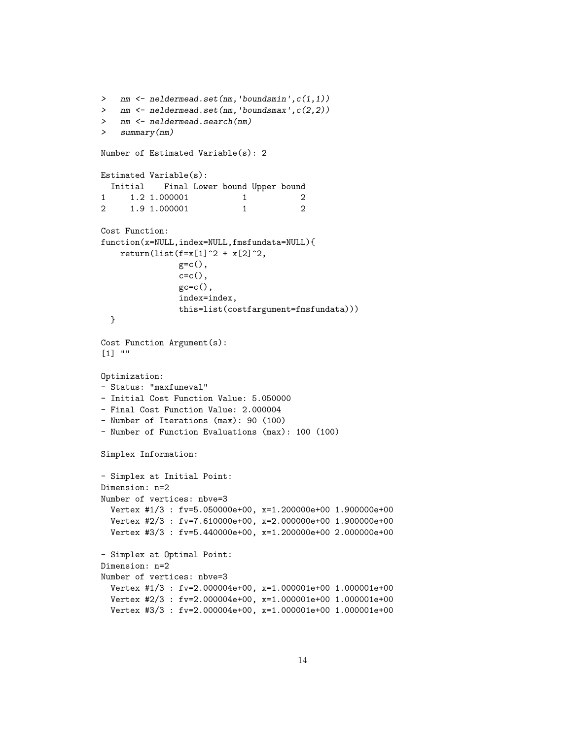```
> nm <- neldermead.set(nm, 'boundsmin', c(1,1))
> nm <- neldermead.set(nm,'boundsmax',c(2,2))
> nm <- neldermead.search(nm)
> summary(nm)
Number of Estimated Variable(s): 2
Estimated Variable(s):
 Initial Final Lower bound Upper bound
\begin{array}{ccccccccc}\n 1 & 1.2 & 1.000001 & & & 1 & & 2 \\
 2 & 1.9 & 1.000001 & & & 1 & & 2\n \end{array}1.9 1.000001 1
Cost Function:
function(x=NULL,index=NULL,fmsfundata=NULL){
    return(list(f=x[1]^{2} + x[2]^{2},g=c(),
                 c=c(),
                 gc=c(),
                 index=index,
                 this=list(costfargument=fmsfundata)))
  }
Cost Function Argument(s):
[1] ""
Optimization:
- Status: "maxfuneval"
- Initial Cost Function Value: 5.050000
- Final Cost Function Value: 2.000004
- Number of Iterations (max): 90 (100)
- Number of Function Evaluations (max): 100 (100)
Simplex Information:
- Simplex at Initial Point:
Dimension: n=2
Number of vertices: nbve=3
  Vertex #1/3 : fv=5.050000e+00, x=1.200000e+00 1.900000e+00
  Vertex #2/3 : fv=7.610000e+00, x=2.000000e+00 1.900000e+00
  Vertex #3/3 : fv=5.440000e+00, x=1.200000e+00 2.000000e+00
- Simplex at Optimal Point:
Dimension: n=2
Number of vertices: nbve=3
  Vertex #1/3 : fv=2.000004e+00, x=1.000001e+00 1.000001e+00
  Vertex #2/3 : fv=2.000004e+00, x=1.000001e+00 1.000001e+00
  Vertex #3/3 : fv=2.000004e+00, x=1.000001e+00 1.000001e+00
```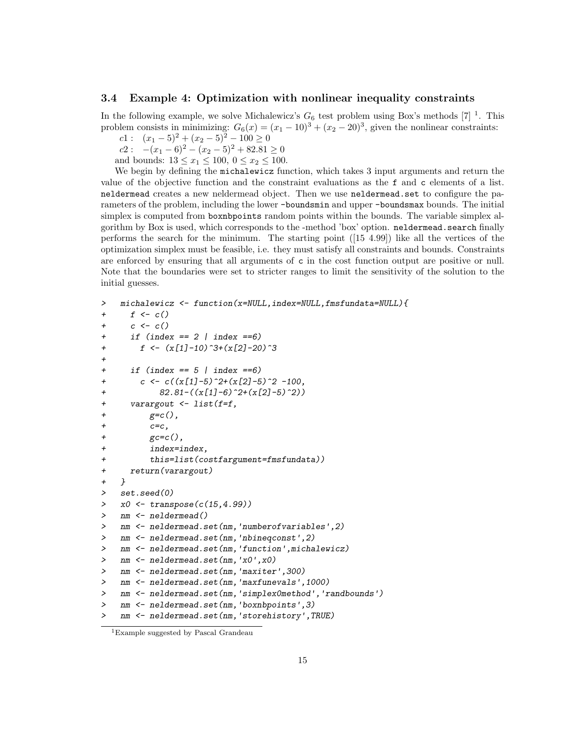## 3.4 Example 4: Optimization with nonlinear inequality constraints

In the following example, we solve Michalewicz's  $G_6$  test problem using Box's methods [\[7\]](#page-21-6) <sup>[1](#page-14-0)</sup>. This problem consists in minimizing:  $G_6(x) = (x_1 - 10)^3 + (x_2 - 20)^3$ , given the nonlinear constraints:

c1 :  $(x_1 - 5)^2 + (x_2 - 5)^2 - 100 \ge 0$ 

 $c_2$ :  $-(x_1-6)^2-(x_2-5)^2+82.81\geq 0$ and bounds:  $13 \le x_1 \le 100, 0 \le x_2 \le 100$ .

We begin by defining the michalewicz function, which takes 3 input arguments and return the value of the objective function and the constraint evaluations as the f and c elements of a list. neldermead creates a new neldermead object. Then we use neldermead.set to configure the parameters of the problem, including the lower -boundsmin and upper -boundsmax bounds. The initial simplex is computed from boxnbpoints random points within the bounds. The variable simplex algorithm by Box is used, which corresponds to the -method 'box' option. neldermead.search finally performs the search for the minimum. The starting point ([15 4.99]) like all the vertices of the optimization simplex must be feasible, i.e. they must satisfy all constraints and bounds. Constraints are enforced by ensuring that all arguments of c in the cost function output are positive or null. Note that the boundaries were set to stricter ranges to limit the sensitivity of the solution to the initial guesses.

```
> michalewicz <- function(x=NULL,index=NULL,fmsfundata=NULL){
+ f \leftarrow c()+ c \leftarrow c()+ if (index == 2 | index ==6)
+ f \leftarrow (x[1]-10)^{-3}+(x[2]-20)^{-3}+
+ if (index == 5 | index ==6)
+ c <- c((x[1]-5)^2+(x[2]-5)^2 -100,
+ 82.81-((x[1]-6)^2+(x[2]-5)^2)+ varargout <- list(f=f,
+ gec(),
+ c=c,+ \epsilon = c(),
+ index=index,
+ this=list(costfargument=fmsfundata))
+ return(varargout)
+ }
> set.seed(0)
> x0 <- transpose(c(15,4.99))
> nm <- neldermead()
> nm <- neldermead.set(nm,'numberofvariables',2)
> nm <- neldermead.set(nm,'nbineqconst',2)
> nm <- neldermead.set(nm,'function',michalewicz)
> nm <- neldermead.set(nm,'x0',x0)
> nm <- neldermead.set(nm,'maxiter',300)
> nm <- neldermead.set(nm,'maxfunevals',1000)
> nm <- neldermead.set(nm,'simplex0method','randbounds')
> nm <- neldermead.set(nm,'boxnbpoints',3)
> nm <- neldermead.set(nm,'storehistory',TRUE)
```
<span id="page-14-0"></span><sup>1</sup>Example suggested by Pascal Grandeau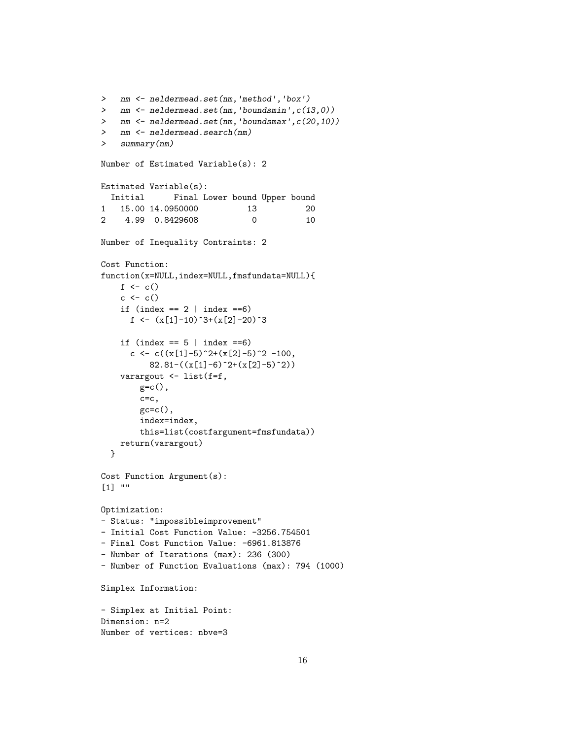```
> nm <- neldermead.set(nm,'method','box')
> nm <- neldermead.set(nm,'boundsmin',c(13,0))
> nm <- neldermead.set(nm,'boundsmax', c(20, 10))
> nm <- neldermead.search(nm)
> summary(nm)
Number of Estimated Variable(s): 2
Estimated Variable(s):
 Initial Final Lower bound Upper bound
1 15.00 14.0950000 13 20
2 4.99 0.8429608 0 10
Number of Inequality Contraints: 2
Cost Function:
function(x=NULL,index=NULL,fmsfundata=NULL){
    f \leftarrow c()c \leftarrow c()if (index == 2 | index == 6)f \left\langle -\right\rangle (x[1]-10)^3+(x[2]-20)^3
    if (index == 5 | index ==6)c <- c((x[1]-5)^2+(x[2]-5)^2-100,
         82.81-((x[1]-6)^2+(x[2]-5)^2)varargout <- list(f=f,
        gc = c(),
        c=c,
        gc=c(),
        index=index,
        this=list(costfargument=fmsfundata))
   return(varargout)
  }
Cost Function Argument(s):
[1] ""
Optimization:
- Status: "impossibleimprovement"
- Initial Cost Function Value: -3256.754501
- Final Cost Function Value: -6961.813876
- Number of Iterations (max): 236 (300)
- Number of Function Evaluations (max): 794 (1000)
Simplex Information:
- Simplex at Initial Point:
Dimension: n=2
Number of vertices: nbve=3
```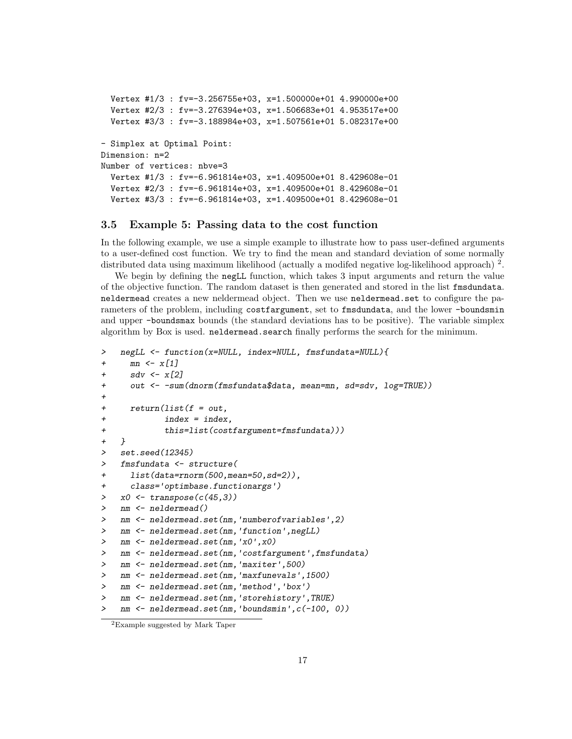```
Vertex #1/3 : fv=-3.256755e+03, x=1.500000e+01 4.990000e+00
  Vertex #2/3 : fv=-3.276394e+03, x=1.506683e+01 4.953517e+00
  Vertex #3/3 : fv=-3.188984e+03, x=1.507561e+01 5.082317e+00
- Simplex at Optimal Point:
Dimension: n=2
Number of vertices: nbve=3
  Vertex #1/3 : fv=-6.961814e+03, x=1.409500e+01 8.429608e-01
  Vertex #2/3 : fv=-6.961814e+03, x=1.409500e+01 8.429608e-01
  Vertex #3/3 : fv=-6.961814e+03, x=1.409500e+01 8.429608e-01
```
## 3.5 Example 5: Passing data to the cost function

In the following example, we use a simple example to illustrate how to pass user-defined arguments to a user-defined cost function. We try to find the mean and standard deviation of some normally distributed data using maximum likelihood (actually a modifed negative log-likelihood approach)<sup>[2](#page-16-0)</sup>.

We begin by defining the negLL function, which takes 3 input arguments and return the value of the objective function. The random dataset is then generated and stored in the list fmsdundata. neldermead creates a new neldermead object. Then we use neldermead.set to configure the parameters of the problem, including costfargument, set to fmsdundata, and the lower -boundsmin and upper -boundsmax bounds (the standard deviations has to be positive). The variable simplex algorithm by Box is used. neldermead.search finally performs the search for the minimum.

```
> negLL <- function(x=NULL, index=NULL, fmsfundata=NULL){
+ mn \leq x[1]sdv \leftarrow x[2]+ out <- -sum(dnorm(fmsfundata$data, mean=mn, sd=sdv, log=TRUE))
+
+ return(list(f = out,
            index = index,+ this=list(costfargument=fmsfundata)))
+ }
> set.seed(12345)
> fmsfundata <- structure(
+ list(data=rnorm(500,mean=50,sd=2)),
+ class='optimbase.functionargs')
> x0 \leq transpose(c(45,3))> nm <- neldermead()
> nm <- neldermead.set(nm,'numberofvariables',2)
> nm <- neldermead.set(nm, 'function',negLL)
> nm <- neldermead.set(nm,'x0',x0)
> nm <- neldermead.set(nm,'costfargument',fmsfundata)
> nm <- neldermead.set(nm,'maxiter',500)
> nm <- neldermead.set(nm,'maxfunevals',1500)
> nm <- neldermead.set(nm,'method','box')
> nm <- neldermead.set(nm,'storehistory',TRUE)
> nm <- neldermead.set(nm,'boundsmin',c(-100, 0))
```
<span id="page-16-0"></span><sup>2</sup>Example suggested by Mark Taper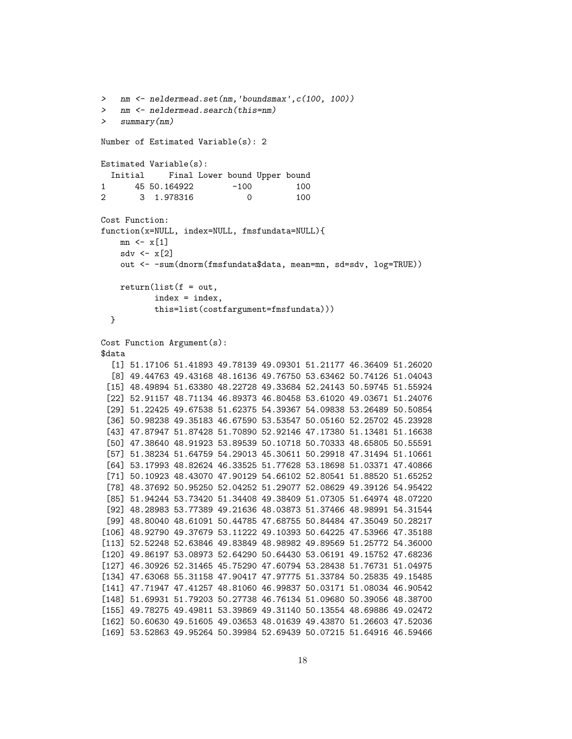```
> nm <- neldermead.set(nm,'boundsmax',c(100, 100))
> nm <- neldermead.search(this=nm)
> summary(nm)
Number of Estimated Variable(s): 2
Estimated Variable(s):
  Initial Final Lower bound Upper bound
1 45 50.164922 -100 100
2 3 1.978316 0 100
Cost Function:
function(x=NULL, index=NULL, fmsfundata=NULL){
    mn \leftarrow x[1]sdv \leftarrow x[2]out <- -sum(dnorm(fmsfundata$data, mean=mn, sd=sdv, log=TRUE))
   return(list(f = out,index = index,
          this=list(costfargument=fmsfundata)))
  }
Cost Function Argument(s):
$data
  [1] 51.17106 51.41893 49.78139 49.09301 51.21177 46.36409 51.26020
  [8] 49.44763 49.43168 48.16136 49.76750 53.63462 50.74126 51.04043
 [15] 48.49894 51.63380 48.22728 49.33684 52.24143 50.59745 51.55924
 [22] 52.91157 48.71134 46.89373 46.80458 53.61020 49.03671 51.24076
 [29] 51.22425 49.67538 51.62375 54.39367 54.09838 53.26489 50.50854
 [36] 50.98238 49.35183 46.67590 53.53547 50.05160 52.25702 45.23928
 [43] 47.87947 51.87428 51.70890 52.92146 47.17380 51.13481 51.16638
 [50] 47.38640 48.91923 53.89539 50.10718 50.70333 48.65805 50.55591
 [57] 51.38234 51.64759 54.29013 45.30611 50.29918 47.31494 51.10661
 [64] 53.17993 48.82624 46.33525 51.77628 53.18698 51.03371 47.40866
 [71] 50.10923 48.43070 47.90129 54.66102 52.80541 51.88520 51.65252
 [78] 48.37692 50.95250 52.04252 51.29077 52.08629 49.39126 54.95422
 [85] 51.94244 53.73420 51.34408 49.38409 51.07305 51.64974 48.07220
 [92] 48.28983 53.77389 49.21636 48.03873 51.37466 48.98991 54.31544
 [99] 48.80040 48.61091 50.44785 47.68755 50.84484 47.35049 50.28217
[106] 48.92790 49.37679 53.11222 49.10393 50.64225 47.53966 47.35188
[113] 52.52248 52.63846 49.83849 48.98982 49.89569 51.25772 54.36000
[120] 49.86197 53.08973 52.64290 50.64430 53.06191 49.15752 47.68236
[127] 46.30926 52.31465 45.75290 47.60794 53.28438 51.76731 51.04975
[134] 47.63068 55.31158 47.90417 47.97775 51.33784 50.25835 49.15485
[141] 47.71947 47.41257 48.81060 46.99837 50.03171 51.08034 46.90542
[148] 51.69931 51.79203 50.27738 46.76134 51.09680 50.39056 48.38700
[155] 49.78275 49.49811 53.39869 49.31140 50.13554 48.69886 49.02472
[162] 50.60630 49.51605 49.03653 48.01639 49.43870 51.26603 47.52036
[169] 53.52863 49.95264 50.39984 52.69439 50.07215 51.64916 46.59466
```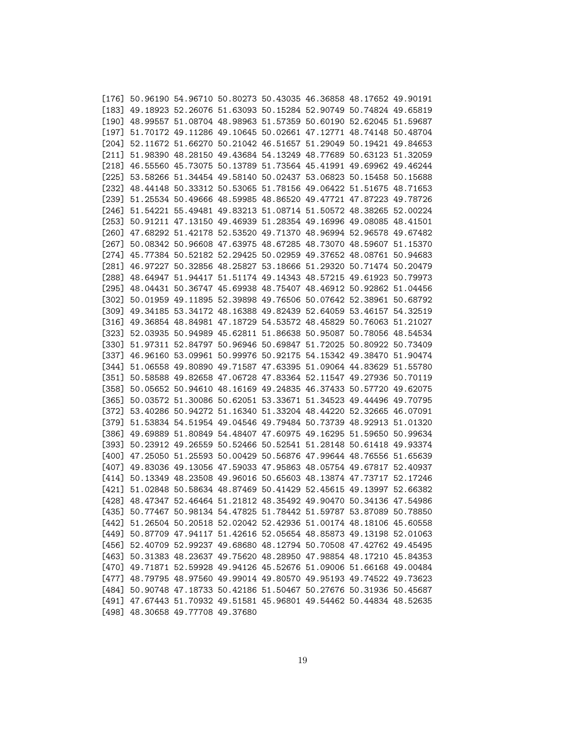|         | $[176]$ 50.96190 54.96710 50.80273 50.43035 46.36858 48.17652 49.90191 |  |  |  |
|---------|------------------------------------------------------------------------|--|--|--|
|         | [183] 49.18923 52.26076 51.63093 50.15284 52.90749 50.74824 49.65819   |  |  |  |
|         | [190] 48.99557 51.08704 48.98963 51.57359 50.60190 52.62045 51.59687   |  |  |  |
|         | [197] 51.70172 49.11286 49.10645 50.02661 47.12771 48.74148 50.48704   |  |  |  |
|         | [204] 52.11672 51.66270 50.21042 46.51657 51.29049 50.19421 49.84653   |  |  |  |
|         | [211] 51.98390 48.28150 49.43684 54.13249 48.77689 50.63123 51.32059   |  |  |  |
|         | [218] 46.55560 45.73075 50.13789 51.73564 45.41991 49.69962 49.46244   |  |  |  |
|         | [225] 53.58266 51.34454 49.58140 50.02437 53.06823 50.15458 50.15688   |  |  |  |
|         | [232] 48.44148 50.33312 50.53065 51.78156 49.06422 51.51675 48.71653   |  |  |  |
|         | [239] 51.25534 50.49666 48.59985 48.86520 49.47721 47.87223 49.78726   |  |  |  |
| $[246]$ | 51.54221 55.49481 49.83213 51.08714 51.50572 48.38265 52.00224         |  |  |  |
| $[253]$ | 50.91211 47.13150 49.46939 51.28354 49.16996 49.08085 48.41501         |  |  |  |
|         | [260] 47.68292 51.42178 52.53520 49.71370 48.96994 52.96578 49.67482   |  |  |  |
| [267]   | 50.08342 50.96608 47.63975 48.67285 48.73070 48.59607 51.15370         |  |  |  |
|         | [274] 45.77384 50.52182 52.29425 50.02959 49.37652 48.08761 50.94683   |  |  |  |
|         | [281] 46.97227 50.32856 48.25827 53.18666 51.29320 50.71474 50.20479   |  |  |  |
|         | [288] 48.64947 51.94417 51.51174 49.14343 48.57215 49.61923 50.79973   |  |  |  |
| [295]   | 48.04431 50.36747 45.69938 48.75407 48.46912 50.92862 51.04456         |  |  |  |
|         | [302] 50.01959 49.11895 52.39898 49.76506 50.07642 52.38961 50.68792   |  |  |  |
|         | [309] 49.34185 53.34172 48.16388 49.82439 52.64059 53.46157 54.32519   |  |  |  |
|         | [316] 49.36854 48.84981 47.18729 54.53572 48.45829 50.76063 51.21027   |  |  |  |
|         | [323] 52.03935 50.94989 45.62811 51.86638 50.95087 50.78056 48.54534   |  |  |  |
|         | [330] 51.97311 52.84797 50.96946 50.69847 51.72025 50.80922 50.73409   |  |  |  |
|         | [337] 46.96160 53.09961 50.99976 50.92175 54.15342 49.38470 51.90474   |  |  |  |
|         | [344] 51.06558 49.80890 49.71587 47.63395 51.09064 44.83629 51.55780   |  |  |  |
|         | [351] 50.58588 49.82658 47.06728 47.83364 52.11547 49.27936 50.70119   |  |  |  |
|         | [358] 50.05652 50.94610 48.16169 49.24835 46.37433 50.57720 49.62075   |  |  |  |
| [365]   | 50.03572 51.30086 50.62051 53.33671 51.34523 49.44496 49.70795         |  |  |  |
|         | [372] 53.40286 50.94272 51.16340 51.33204 48.44220 52.32665 46.07091   |  |  |  |
|         | [379] 51.53834 54.51954 49.04546 49.79484 50.73739 48.92913 51.01320   |  |  |  |
|         | [386] 49.69889 51.80849 54.48407 47.60975 49.16295 51.59650 50.99634   |  |  |  |
|         | [393] 50.23912 49.26559 50.52466 50.52541 51.28148 50.61418 49.93374   |  |  |  |
|         | [400] 47.25050 51.25593 50.00429 50.56876 47.99644 48.76556 51.65639   |  |  |  |
|         | [407] 49.83036 49.13056 47.59033 47.95863 48.05754 49.67817 52.40937   |  |  |  |
|         | [414] 50.13349 48.23508 49.96016 50.65603 48.13874 47.73717 52.17246   |  |  |  |
|         | [421] 51.02848 50.58634 48.87469 50.41429 52.45615 49.13997 52.66382   |  |  |  |
|         | [428] 48.47347 52.46464 51.21812 48.35492 49.90470 50.34136 47.54986   |  |  |  |
|         | [435] 50.77467 50.98134 54.47825 51.78442 51.59787 53.87089 50.78850   |  |  |  |
|         | [442] 51.26504 50.20518 52.02042 52.42936 51.00174 48.18106 45.60558   |  |  |  |
|         | [449] 50.87709 47.94117 51.42616 52.05654 48.85873 49.13198 52.01063   |  |  |  |
|         | [456] 52.40709 52.99237 49.68680 48.12794 50.70508 47.42762 49.45495   |  |  |  |
|         | [463] 50.31383 48.23637 49.75620 48.28950 47.98854 48.17210 45.84353   |  |  |  |
|         | [470] 49.71871 52.59928 49.94126 45.52676 51.09006 51.66168 49.00484   |  |  |  |
|         | [477] 48.79795 48.97560 49.99014 49.80570 49.95193 49.74522 49.73623   |  |  |  |
|         | [484] 50.90748 47.18733 50.42186 51.50467 50.27676 50.31936 50.45687   |  |  |  |
|         | [491] 47.67443 51.70932 49.51581 45.96801 49.54462 50.44834 48.52635   |  |  |  |
|         | [498] 48.30658 49.77708 49.37680                                       |  |  |  |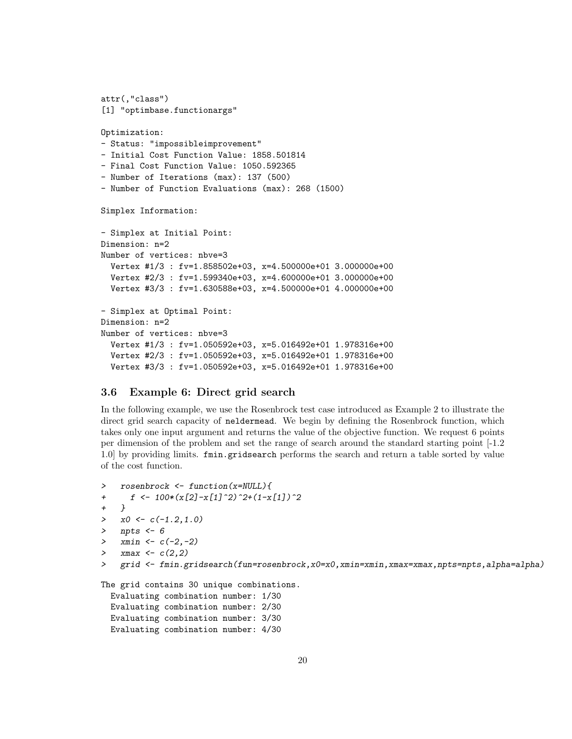```
attr(,"class")
[1] "optimbase.functionargs"
Optimization:
- Status: "impossibleimprovement"
- Initial Cost Function Value: 1858.501814
- Final Cost Function Value: 1050.592365
- Number of Iterations (max): 137 (500)
- Number of Function Evaluations (max): 268 (1500)
Simplex Information:
- Simplex at Initial Point:
Dimension: n=2
Number of vertices: nbve=3
  Vertex #1/3 : fv=1.858502e+03, x=4.500000e+01 3.000000e+00
 Vertex #2/3 : fv=1.599340e+03, x=4.600000e+01 3.000000e+00
 Vertex #3/3 : fv=1.630588e+03, x=4.500000e+01 4.000000e+00
- Simplex at Optimal Point:
Dimension: n=2
Number of vertices: nbve=3
  Vertex #1/3 : fv=1.050592e+03, x=5.016492e+01 1.978316e+00
 Vertex #2/3 : fv=1.050592e+03, x=5.016492e+01 1.978316e+00
 Vertex #3/3 : fv=1.050592e+03, x=5.016492e+01 1.978316e+00
```
# 3.6 Example 6: Direct grid search

In the following example, we use the Rosenbrock test case introduced as Example 2 to illustrate the direct grid search capacity of neldermead. We begin by defining the Rosenbrock function, which takes only one input argument and returns the value of the objective function. We request 6 points per dimension of the problem and set the range of search around the standard starting point [-1.2 1.0] by providing limits. fmin.gridsearch performs the search and return a table sorted by value of the cost function.

```
> rosenbrock <- function(x=NULL){
+ f \leftarrow 100*(x[2]-x[1]^2)^2+(1-x[1])^2+ }
> x0 \leq c(-1.2, 1.0)> npts <- 6
> xmin \leftarrow c(-2, -2)> xmax <- c(2,2)> grid <- fmin.gridsearch(fun=rosenbrock,x0=x0,xmin=xmin,xmax=xmax,npts=npts,alpha=alpha)
```
The grid contains 30 unique combinations.

```
Evaluating combination number: 1/30
Evaluating combination number: 2/30
Evaluating combination number: 3/30
Evaluating combination number: 4/30
```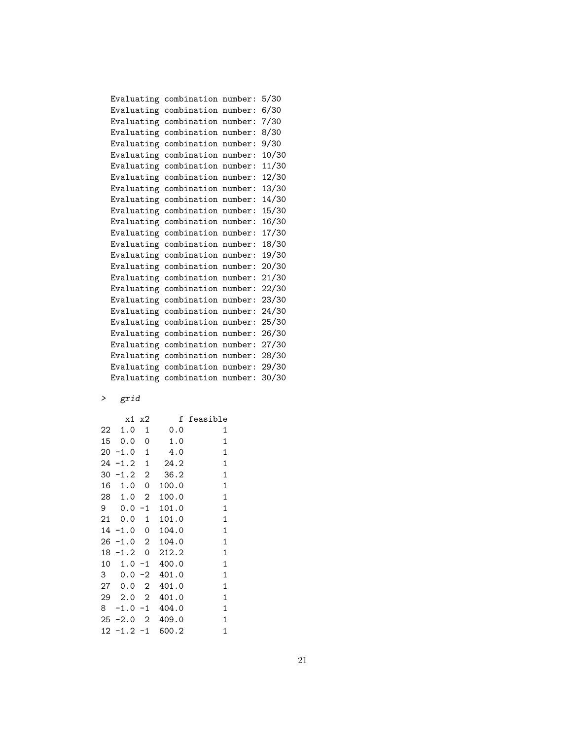|  | Evaluating combination number: | 5/30  |  |
|--|--------------------------------|-------|--|
|  | Evaluating combination number: | 6/30  |  |
|  | Evaluating combination number: | 7/30  |  |
|  | Evaluating combination number: | 8/30  |  |
|  | Evaluating combination number: | 9/30  |  |
|  | Evaluating combination number: | 10/30 |  |
|  | Evaluating combination number: | 11/30 |  |
|  | Evaluating combination number: | 12/30 |  |
|  | Evaluating combination number: | 13/30 |  |
|  | Evaluating combination number: | 14/30 |  |
|  | Evaluating combination number: | 15/30 |  |
|  | Evaluating combination number: | 16/30 |  |
|  | Evaluating combination number: | 17/30 |  |
|  | Evaluating combination number: | 18/30 |  |
|  | Evaluating combination number: | 19/30 |  |
|  | Evaluating combination number: | 20/30 |  |
|  | Evaluating combination number: | 21/30 |  |
|  | Evaluating combination number: | 22/30 |  |
|  | Evaluating combination number: | 23/30 |  |
|  | Evaluating combination number: | 24/30 |  |
|  | Evaluating combination number: | 25/30 |  |
|  | Evaluating combination number: | 26/30 |  |
|  | Evaluating combination number: | 27/30 |  |
|  | Evaluating combination number: | 28/30 |  |
|  | Evaluating combination number: | 29/30 |  |
|  | Evaluating combination number: | 30/30 |  |
|  |                                |       |  |

# > grid

|    | х1     | х2             | f     | feasible    |
|----|--------|----------------|-------|-------------|
| 22 | 1.0    | 1              | 0.0   | 1           |
| 15 | 0.0    | 0              | 1.0   | 1           |
| 20 | $-1.0$ | 1              | 4.0   | 1           |
| 24 | $-1.2$ | $\mathbf{1}$   | 24.2  | 1           |
| 30 | $-1.2$ | $\overline{2}$ | 36.2  | 1           |
| 16 | 1.0    | 0              | 100.0 | 1           |
| 28 | 1.0    | 2              | 100.0 | 1           |
| 9  | 0.0    | $-1$           | 101.0 | 1           |
| 21 | 0.0    | 1              | 101.0 | 1           |
| 14 | $-1.0$ | 0              | 104.0 | 1           |
| 26 | $-1.0$ | $\mathbf{2}$   | 104.0 | 1           |
| 18 | $-1.2$ | 0              | 212.2 | 1           |
| 10 | 1.0    | $-1$           | 400.0 | 1           |
| 3  | 0.0    | $-2$           | 401.0 | 1           |
| 27 | 0.0    | $\mathbf{2}$   | 401.0 | 1           |
| 29 | 2.0    | 2              | 401.0 | 1           |
| 8  | $-1.0$ | $-1$           | 404.0 | 1           |
| 25 | $-2.0$ | $\overline{2}$ | 409.0 | 1           |
| 12 | $-1.2$ | $-1$           | 600.2 | $\mathbf 1$ |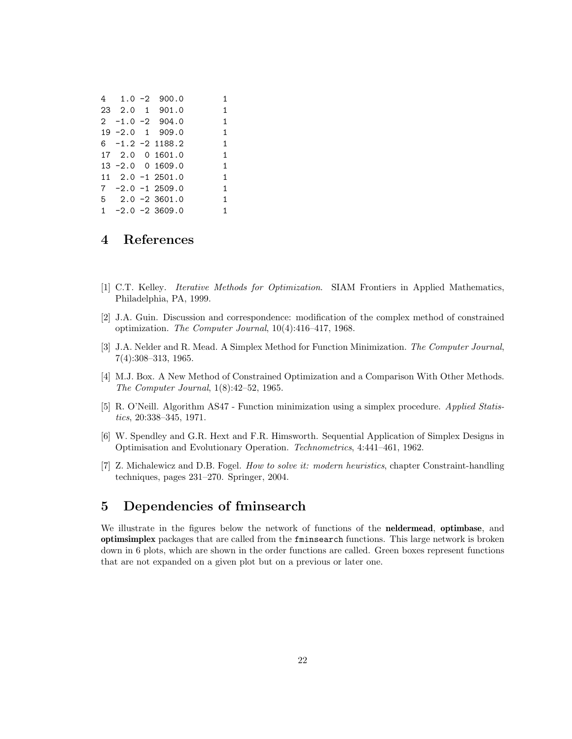|  | $4 \quad 1.0 -2 \quad 900.0$         | 1 |
|--|--------------------------------------|---|
|  | 23 2.0 1 901.0                       | 1 |
|  | $2 -1.0 -2 904.0$                    | 1 |
|  | $19 - 2.0$ 1 909.0                   | 1 |
|  | $6 -1.2 -2 1188.2$                   | 1 |
|  | 17 2.0 0 1601.0                      | 1 |
|  | $13 - 2.0$ 0 1609.0                  | 1 |
|  | $11 \quad 2.0 \quad -1 \quad 2501.0$ | 1 |
|  | $7 - 2.0 - 12509.0$                  | 1 |
|  | $5$ 2.0 -2 3601.0                    | 1 |
|  | $1 -2.0 -2.3609.0$                   | 1 |

# 4 References

- <span id="page-21-1"></span>[1] C.T. Kelley. Iterative Methods for Optimization. SIAM Frontiers in Applied Mathematics, Philadelphia, PA, 1999.
- <span id="page-21-5"></span>[2] J.A. Guin. Discussion and correspondence: modification of the complex method of constrained optimization. The Computer Journal, 10(4):416–417, 1968.
- <span id="page-21-0"></span>[3] J.A. Nelder and R. Mead. A Simplex Method for Function Minimization. The Computer Journal, 7(4):308–313, 1965.
- <span id="page-21-4"></span>[4] M.J. Box. A New Method of Constrained Optimization and a Comparison With Other Methods. The Computer Journal, 1(8):42–52, 1965.
- <span id="page-21-2"></span>[5] R. O'Neill. Algorithm AS47 - Function minimization using a simplex procedure. Applied Statistics, 20:338–345, 1971.
- <span id="page-21-3"></span>[6] W. Spendley and G.R. Hext and F.R. Himsworth. Sequential Application of Simplex Designs in Optimisation and Evolutionary Operation. Technometrics, 4:441–461, 1962.
- <span id="page-21-6"></span>[7] Z. Michalewicz and D.B. Fogel. How to solve it: modern heuristics, chapter Constraint-handling techniques, pages 231–270. Springer, 2004.

# 5 Dependencies of fminsearch

We illustrate in the figures below the network of functions of the neldermead, optimbase, and optimsimplex packages that are called from the fminsearch functions. This large network is broken down in 6 plots, which are shown in the order functions are called. Green boxes represent functions that are not expanded on a given plot but on a previous or later one.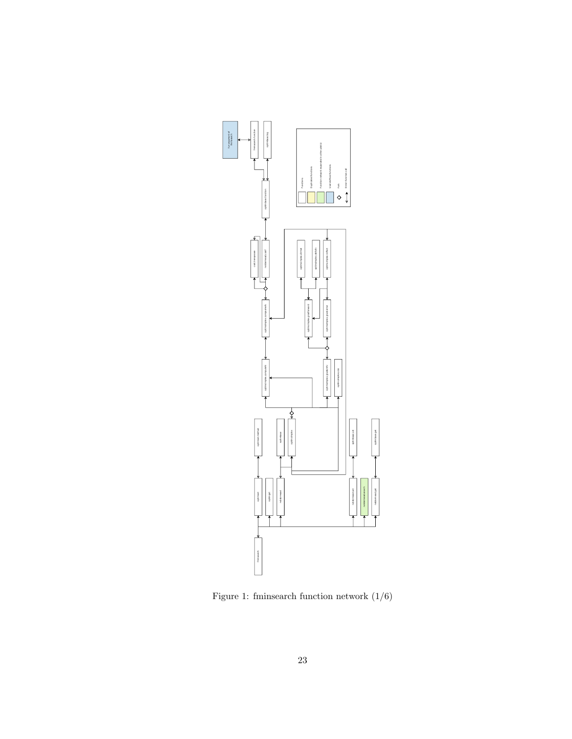

Figure 1: fminsearch function network  $(1/6)$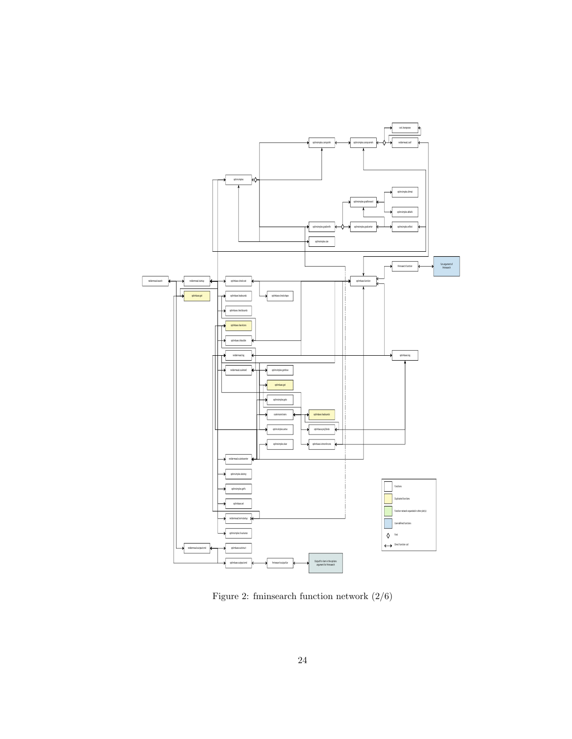

Figure 2: fminsearch function network  $(2/6)$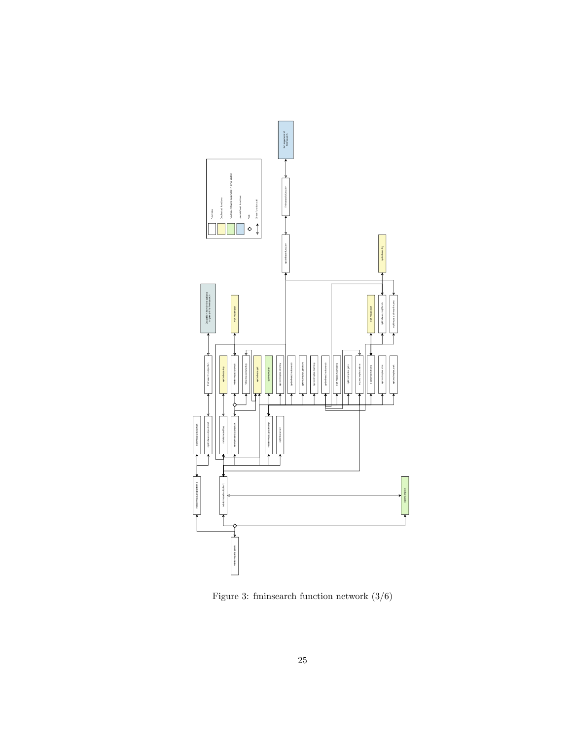

Figure 3: fminsearch function network (3/6)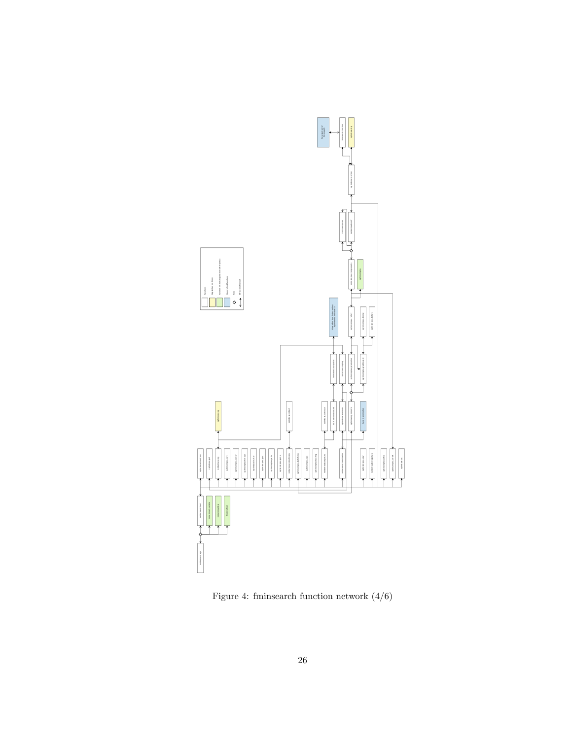

Figure 4: fminsearch function network  $(4/6)$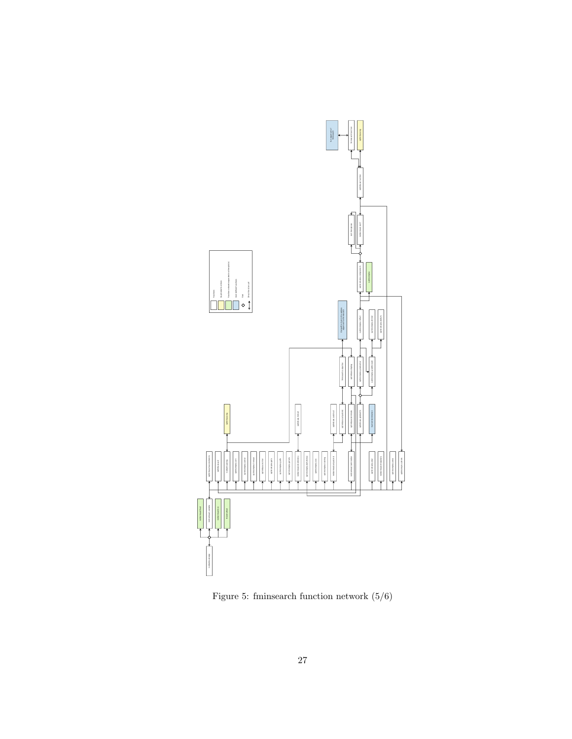

Figure 5: fminsearch function network (5/6)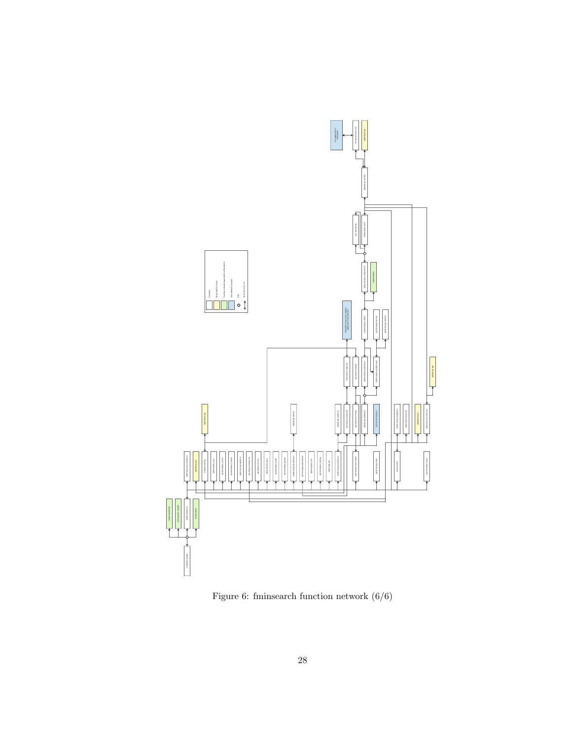

Figure 6: fminsearch function network  $(6/6)$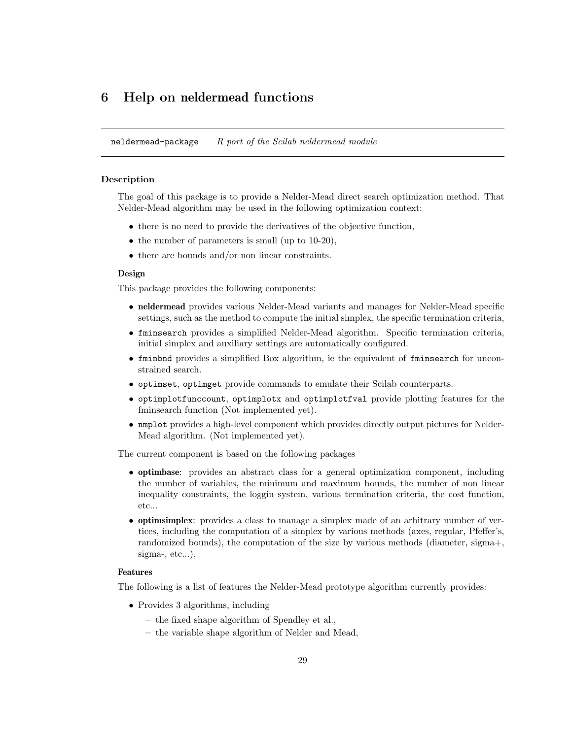# 6 Help on neldermead functions

neldermead-package  $R$  port of the Scilab neldermead module

## Description

The goal of this package is to provide a Nelder-Mead direct search optimization method. That Nelder-Mead algorithm may be used in the following optimization context:

- there is no need to provide the derivatives of the objective function,
- $\bullet$  the number of parameters is small (up to 10-20),
- there are bounds and/or non linear constraints.

#### Design

This package provides the following components:

- neldermead provides various Nelder-Mead variants and manages for Nelder-Mead specific settings, such as the method to compute the initial simplex, the specific termination criteria,
- fminsearch provides a simplified Nelder-Mead algorithm. Specific termination criteria, initial simplex and auxiliary settings are automatically configured.
- fminbnd provides a simplified Box algorithm, ie the equivalent of fminsearch for unconstrained search.
- optimset, optimget provide commands to emulate their Scilab counterparts.
- optimplotfunccount, optimplotx and optimplotfval provide plotting features for the fminsearch function (Not implemented yet).
- nmplot provides a high-level component which provides directly output pictures for Nelder-Mead algorithm. (Not implemented yet).

The current component is based on the following packages

- optimbase: provides an abstract class for a general optimization component, including the number of variables, the minimum and maximum bounds, the number of non linear inequality constraints, the loggin system, various termination criteria, the cost function, etc...
- optimsimplex: provides a class to manage a simplex made of an arbitrary number of vertices, including the computation of a simplex by various methods (axes, regular, Pfeffer's, randomized bounds), the computation of the size by various methods (diameter, sigma+, sigma-, etc...),

## Features

The following is a list of features the Nelder-Mead prototype algorithm currently provides:

- Provides 3 algorithms, including
	- the fixed shape algorithm of Spendley et al.,
	- the variable shape algorithm of Nelder and Mead,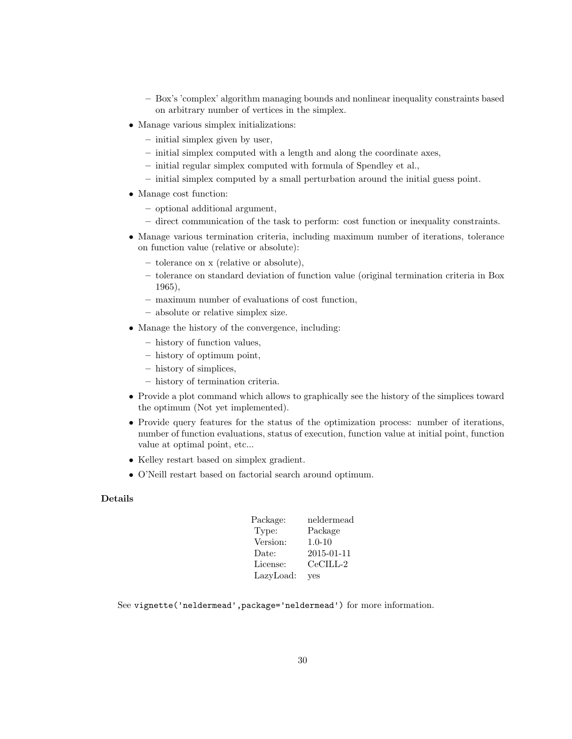- Box's 'complex' algorithm managing bounds and nonlinear inequality constraints based on arbitrary number of vertices in the simplex.
- Manage various simplex initializations:
	- initial simplex given by user,
	- initial simplex computed with a length and along the coordinate axes,
	- initial regular simplex computed with formula of Spendley et al.,
	- initial simplex computed by a small perturbation around the initial guess point.
- Manage cost function:
	- optional additional argument,
	- direct communication of the task to perform: cost function or inequality constraints.
- Manage various termination criteria, including maximum number of iterations, tolerance on function value (relative or absolute):
	- tolerance on x (relative or absolute),
	- tolerance on standard deviation of function value (original termination criteria in Box 1965),
	- maximum number of evaluations of cost function,
	- absolute or relative simplex size.
- Manage the history of the convergence, including:
	- history of function values,
	- history of optimum point,
	- history of simplices,
	- history of termination criteria.
- Provide a plot command which allows to graphically see the history of the simplices toward the optimum (Not yet implemented).
- Provide query features for the status of the optimization process: number of iterations, number of function evaluations, status of execution, function value at initial point, function value at optimal point, etc...
- Kelley restart based on simplex gradient.
- O'Neill restart based on factorial search around optimum.

# Details

| Package:  | neldermead  |
|-----------|-------------|
| Type:     | Package     |
| Version:  | $1.0 - 10$  |
| Date:     | 2015-01-11  |
| License:  | $CeCII.L-2$ |
| LazyLoad: | ves         |

See vignette('neldermead',package='neldermead') for more information.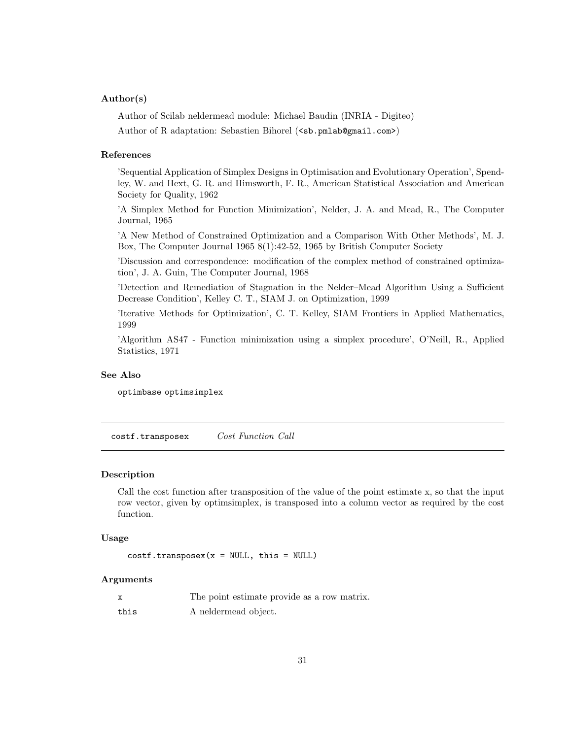## Author(s)

Author of Scilab neldermead module: Michael Baudin (INRIA - Digiteo)

Author of R adaptation: Sebastien Bihorel (<sb.pmlab@gmail.com>)

## References

'Sequential Application of Simplex Designs in Optimisation and Evolutionary Operation', Spendley, W. and Hext, G. R. and Himsworth, F. R., American Statistical Association and American Society for Quality, 1962

'A Simplex Method for Function Minimization', Nelder, J. A. and Mead, R., The Computer Journal, 1965

'A New Method of Constrained Optimization and a Comparison With Other Methods', M. J. Box, The Computer Journal 1965 8(1):42-52, 1965 by British Computer Society

'Discussion and correspondence: modification of the complex method of constrained optimization', J. A. Guin, The Computer Journal, 1968

'Detection and Remediation of Stagnation in the Nelder–Mead Algorithm Using a Sufficient Decrease Condition', Kelley C. T., SIAM J. on Optimization, 1999

'Iterative Methods for Optimization', C. T. Kelley, SIAM Frontiers in Applied Mathematics, 1999

'Algorithm AS47 - Function minimization using a simplex procedure', O'Neill, R., Applied Statistics, 1971

## See Also

optimbase optimsimplex

costf.transposex Cost Function Call

#### Description

Call the cost function after transposition of the value of the point estimate x, so that the input row vector, given by optimsimplex, is transposed into a column vector as required by the cost function.

# Usage

```
costf.transpose(x = NULL, this = NULL)
```
#### Arguments

|      | The point estimate provide as a row matrix. |
|------|---------------------------------------------|
| this | A neldermead object.                        |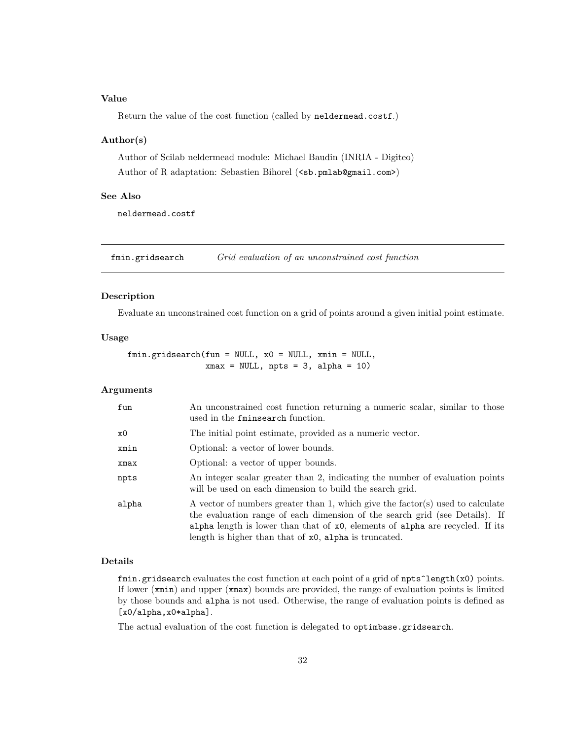## Value

Return the value of the cost function (called by neldermead.costf.)

## Author(s)

Author of Scilab neldermead module: Michael Baudin (INRIA - Digiteo) Author of R adaptation: Sebastien Bihorel (<sb.pmlab@gmail.com>)

#### See Also

neldermead.costf

fmin.gridsearch Grid evaluation of an unconstrained cost function

## Description

Evaluate an unconstrained cost function on a grid of points around a given initial point estimate.

## Usage

```
fmin.gridsearch(fun = NULL, x0 = NULL, xmin = NULL,
               xmax = NULL, npts = 3, alpha = 10)
```
# Arguments

| fun   | An unconstrained cost function returning a numeric scalar, similar to those<br>used in the fminsearch function.                                                                                                                                                                                            |
|-------|------------------------------------------------------------------------------------------------------------------------------------------------------------------------------------------------------------------------------------------------------------------------------------------------------------|
| x0    | The initial point estimate, provided as a numeric vector.                                                                                                                                                                                                                                                  |
| xmin  | Optional: a vector of lower bounds.                                                                                                                                                                                                                                                                        |
| xmax  | Optional: a vector of upper bounds.                                                                                                                                                                                                                                                                        |
| npts  | An integer scalar greater than 2, indicating the number of evaluation points<br>will be used on each dimension to build the search grid.                                                                                                                                                                   |
| alpha | A vector of numbers greater than 1, which give the factor(s) used to calculate<br>the evaluation range of each dimension of the search grid (see Details). If<br>alpha length is lower than that of $x0$ , elements of alpha are recycled. If its<br>length is higher than that of x0, alpha is truncated. |

## Details

fmin.gridsearch evaluates the cost function at each point of a grid of npts^length(x0) points. If lower (xmin) and upper (xmax) bounds are provided, the range of evaluation points is limited by those bounds and alpha is not used. Otherwise, the range of evaluation points is defined as [x0/alpha,x0\*alpha].

The actual evaluation of the cost function is delegated to optimbase.gridsearch.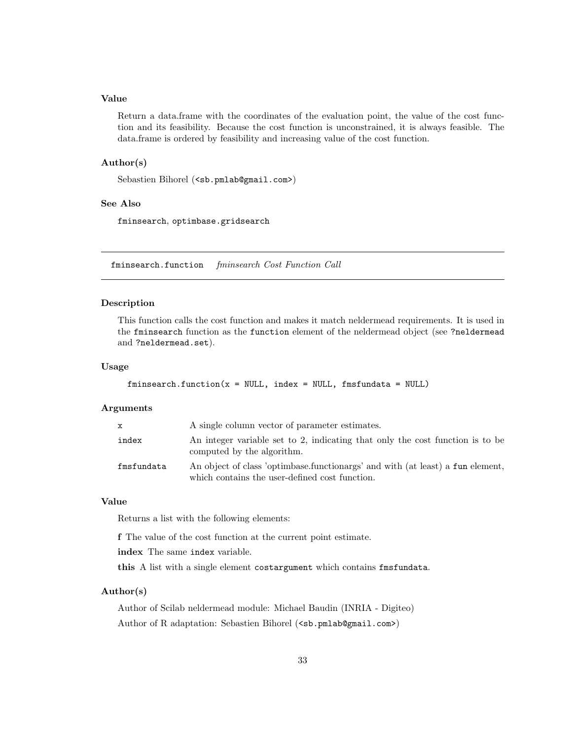# Value

Return a data.frame with the coordinates of the evaluation point, the value of the cost function and its feasibility. Because the cost function is unconstrained, it is always feasible. The data.frame is ordered by feasibility and increasing value of the cost function.

## Author(s)

Sebastien Bihorel (<sb.pmlab@gmail.com>)

#### See Also

fminsearch, optimbase.gridsearch

fminsearch.function fminsearch Cost Function Call

## Description

This function calls the cost function and makes it match neldermead requirements. It is used in the fminsearch function as the function element of the neldermead object (see ?neldermead and ?neldermead.set).

#### Usage

```
fminsearch.function(x = NULL, index = NULL, fmsfundata = NULL)
```
#### Arguments

| $\mathbf{x}$ | A single column vector of parameter estimates.                                                                                   |
|--------------|----------------------------------------------------------------------------------------------------------------------------------|
| index        | An integer variable set to 2, indicating that only the cost function is to be<br>computed by the algorithm.                      |
| fmsfundata   | An object of class 'optimbase.functionargs' and with (at least) a fun element,<br>which contains the user-defined cost function. |

## Value

Returns a list with the following elements:

f The value of the cost function at the current point estimate.

index The same index variable.

this A list with a single element costargument which contains fmsfundata.

## Author(s)

Author of Scilab neldermead module: Michael Baudin (INRIA - Digiteo) Author of R adaptation: Sebastien Bihorel (<sb.pmlab@gmail.com>)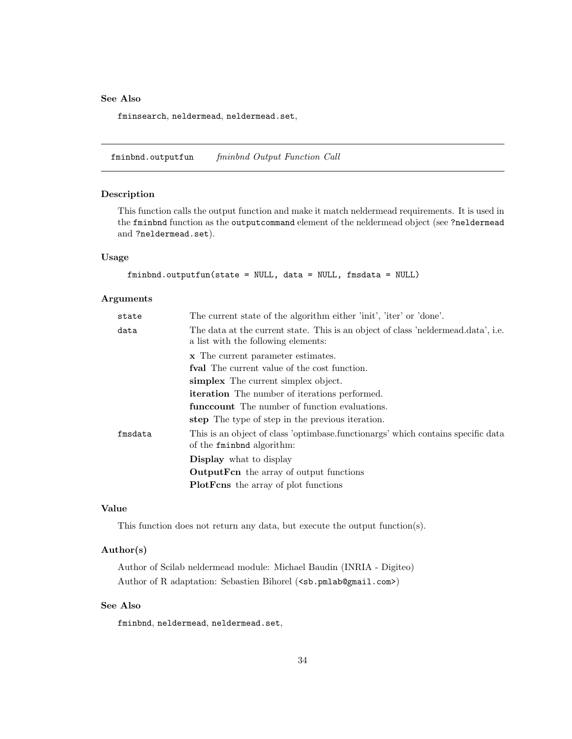## See Also

fminsearch, neldermead, neldermead.set,

fminbnd.outputfun fminbnd Output Function Call

## Description

This function calls the output function and make it match neldermead requirements. It is used in the fminbnd function as the outputcommand element of the neldermead object (see ?neldermead and ?neldermead.set).

# Usage

```
fminbnd.outputfun(state = NULL, data = NULL, fmsdata = NULL)
```
# Arguments

| state   | The current state of the algorithm either 'init', 'iter' or 'done'.                                                      |
|---------|--------------------------------------------------------------------------------------------------------------------------|
| data    | The data at the current state. This is an object of class 'neldermead.data', i.e.<br>a list with the following elements: |
|         | x The current parameter estimates.                                                                                       |
|         | <b>fval</b> The current value of the cost function.                                                                      |
|         | simplex The current simplex object.                                                                                      |
|         | <b>iteration</b> The number of iterations performed.                                                                     |
|         | funcrount The number of function evaluations.                                                                            |
|         | step The type of step in the previous iteration.                                                                         |
| fmsdata | This is an object of class 'optimbase.functionargs' which contains specific data<br>of the fining algorithm:             |
|         | <b>Display</b> what to display                                                                                           |
|         | <b>OutputFen</b> the array of output functions                                                                           |
|         | <b>PlotForm</b> the array of plot functions                                                                              |

# Value

This function does not return any data, but execute the output function(s).

# Author(s)

Author of Scilab neldermead module: Michael Baudin (INRIA - Digiteo) Author of R adaptation: Sebastien Bihorel (<sb.pmlab@gmail.com>)

## See Also

fminbnd, neldermead, neldermead.set,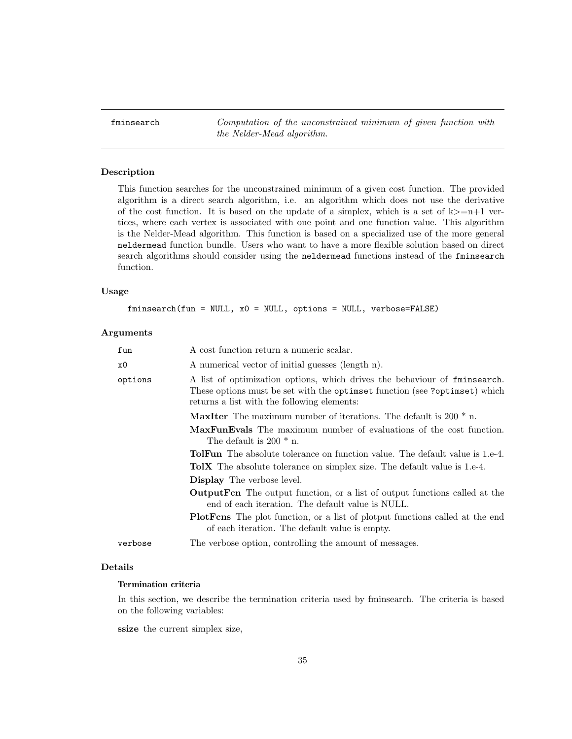finited finite architecture Computation of the unconstrained minimum of given function with the Nelder-Mead algorithm.

## Description

This function searches for the unconstrained minimum of a given cost function. The provided algorithm is a direct search algorithm, i.e. an algorithm which does not use the derivative of the cost function. It is based on the update of a simplex, which is a set of  $k>=n+1$  vertices, where each vertex is associated with one point and one function value. This algorithm is the Nelder-Mead algorithm. This function is based on a specialized use of the more general neldermead function bundle. Users who want to have a more flexible solution based on direct search algorithms should consider using the neldermead functions instead of the fminsearch function.

# Usage

fminsearch(fun = NULL, x0 = NULL, options = NULL, verbose=FALSE)

## Arguments

| fun     | A cost function return a numeric scalar.                                                                                                                                                                |
|---------|---------------------------------------------------------------------------------------------------------------------------------------------------------------------------------------------------------|
| x0      | A numerical vector of initial guesses (length n).                                                                                                                                                       |
| options | A list of optimization options, which drives the behaviour of finingearch.<br>These options must be set with the optimate function (see ?optimset) which<br>returns a list with the following elements: |
|         | <b>MaxIter</b> The maximum number of iterations. The default is 200 $*$ n.                                                                                                                              |
|         | <b>MaxFunEvals</b> The maximum number of evaluations of the cost function.<br>The default is $200 * n$ .                                                                                                |
|         | <b>TolFun</b> The absolute tolerance on function value. The default value is 1.e-4.                                                                                                                     |
|         | <b>TolX</b> The absolute tolerance on simplex size. The default value is 1.e-4.                                                                                                                         |
|         | <b>Display</b> The verbose level.                                                                                                                                                                       |
|         | <b>OutputForm</b> The output function, or a list of output functions called at the<br>end of each iteration. The default value is NULL.                                                                 |
|         | <b>PlotForm</b> The plot function, or a list of plotput functions called at the end<br>of each iteration. The default value is empty.                                                                   |
| verbose | The verbose option, controlling the amount of messages.                                                                                                                                                 |
|         |                                                                                                                                                                                                         |

# Details

## Termination criteria

In this section, we describe the termination criteria used by fminsearch. The criteria is based on the following variables:

ssize the current simplex size,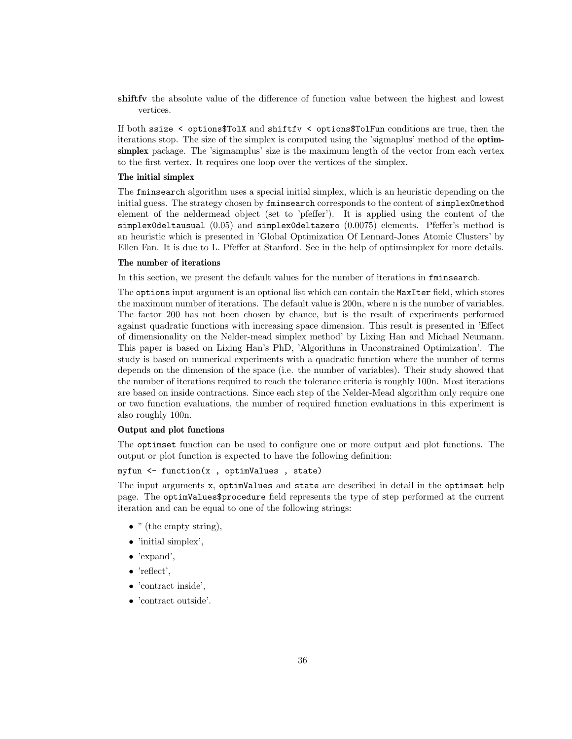shiftfv the absolute value of the difference of function value between the highest and lowest vertices.

If both ssize < options\$TolX and shiftfv < options\$TolFun conditions are true, then the iterations stop. The size of the simplex is computed using the 'sigmaplus' method of the optimsimplex package. The 'sigmamplus' size is the maximum length of the vector from each vertex to the first vertex. It requires one loop over the vertices of the simplex.

## The initial simplex

The fminsearch algorithm uses a special initial simplex, which is an heuristic depending on the initial guess. The strategy chosen by fminsearch corresponds to the content of simplex0method element of the neldermead object (set to 'pfeffer'). It is applied using the content of the simplex0deltausual (0.05) and simplex0deltazero (0.0075) elements. Pfeffer's method is an heuristic which is presented in 'Global Optimization Of Lennard-Jones Atomic Clusters' by Ellen Fan. It is due to L. Pfeffer at Stanford. See in the help of optimsimplex for more details.

# The number of iterations

In this section, we present the default values for the number of iterations in fminsearch.

The options input argument is an optional list which can contain the MaxIter field, which stores the maximum number of iterations. The default value is 200n, where n is the number of variables. The factor 200 has not been chosen by chance, but is the result of experiments performed against quadratic functions with increasing space dimension. This result is presented in 'Effect of dimensionality on the Nelder-mead simplex method' by Lixing Han and Michael Neumann. This paper is based on Lixing Han's PhD, 'Algorithms in Unconstrained Optimization'. The study is based on numerical experiments with a quadratic function where the number of terms depends on the dimension of the space (i.e. the number of variables). Their study showed that the number of iterations required to reach the tolerance criteria is roughly 100n. Most iterations are based on inside contractions. Since each step of the Nelder-Mead algorithm only require one or two function evaluations, the number of required function evaluations in this experiment is also roughly 100n.

## Output and plot functions

The optimset function can be used to configure one or more output and plot functions. The output or plot function is expected to have the following definition:

myfun <- function(x , optimValues , state)

The input arguments x, optimValues and state are described in detail in the optimset help page. The optimValues\$procedure field represents the type of step performed at the current iteration and can be equal to one of the following strings:

- $\bullet$  " (the empty string),
- 'initial simplex',
- 'expand',
- 'reflect',
- 'contract inside',
- 'contract outside'.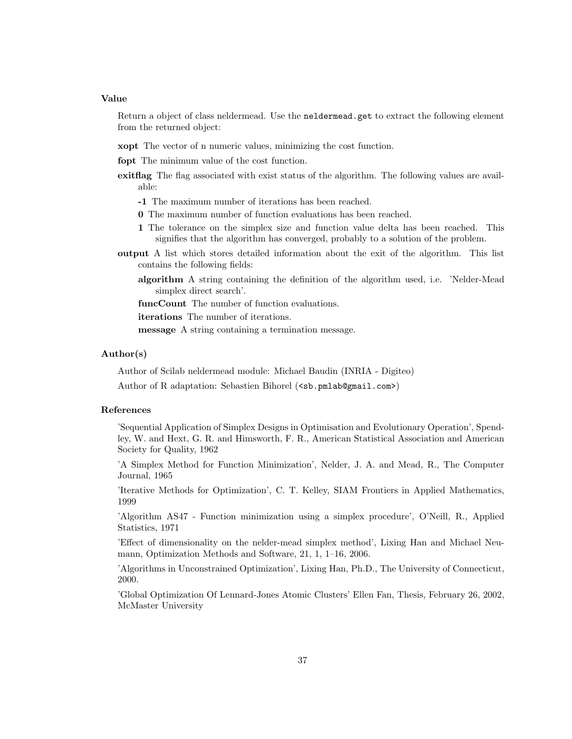Return a object of class neldermead. Use the neldermead.get to extract the following element from the returned object:

xopt The vector of n numeric values, minimizing the cost function.

fopt The minimum value of the cost function.

exitflag The flag associated with exist status of the algorithm. The following values are available:

-1 The maximum number of iterations has been reached.

- 0 The maximum number of function evaluations has been reached.
- 1 The tolerance on the simplex size and function value delta has been reached. This signifies that the algorithm has converged, probably to a solution of the problem.
- output A list which stores detailed information about the exit of the algorithm. This list contains the following fields:

algorithm A string containing the definition of the algorithm used, i.e. 'Nelder-Mead simplex direct search'.

funcCount The number of function evaluations.

iterations The number of iterations.

message A string containing a termination message.

# Author(s)

Author of Scilab neldermead module: Michael Baudin (INRIA - Digiteo)

Author of R adaptation: Sebastien Bihorel (<sb.pmlab@gmail.com>)

# References

'Sequential Application of Simplex Designs in Optimisation and Evolutionary Operation', Spendley, W. and Hext, G. R. and Himsworth, F. R., American Statistical Association and American Society for Quality, 1962

'A Simplex Method for Function Minimization', Nelder, J. A. and Mead, R., The Computer Journal, 1965

'Iterative Methods for Optimization', C. T. Kelley, SIAM Frontiers in Applied Mathematics, 1999

'Algorithm AS47 - Function minimization using a simplex procedure', O'Neill, R., Applied Statistics, 1971

'Effect of dimensionality on the nelder-mead simplex method', Lixing Han and Michael Neumann, Optimization Methods and Software, 21, 1, 1–16, 2006.

'Algorithms in Unconstrained Optimization', Lixing Han, Ph.D., The University of Connecticut, 2000.

'Global Optimization Of Lennard-Jones Atomic Clusters' Ellen Fan, Thesis, February 26, 2002, McMaster University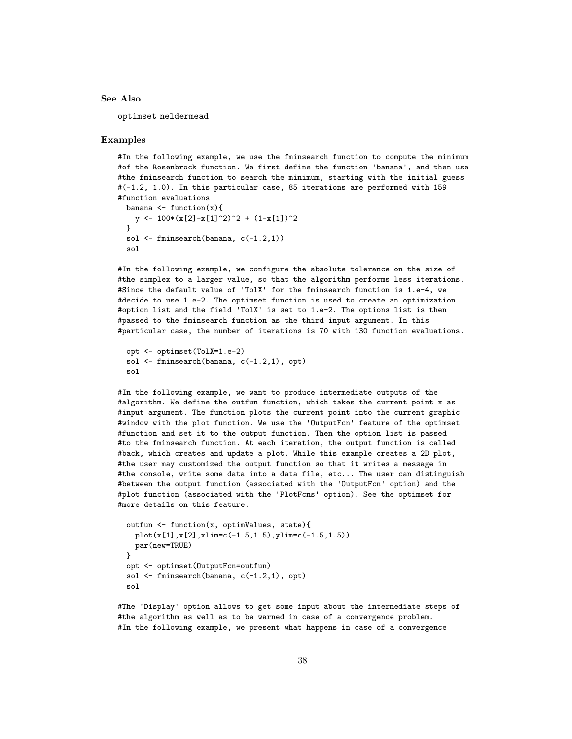#### See Also

optimset neldermead

#### Examples

#In the following example, we use the fminsearch function to compute the minimum #of the Rosenbrock function. We first define the function 'banana', and then use #the fminsearch function to search the minimum, starting with the initial guess #(-1.2, 1.0). In this particular case, 85 iterations are performed with 159 #function evaluations

```
banana \leftarrow function(x){
  y \leftarrow 100*(x[2]-x[1]^2)^2 + (1-x[1])^2}
sol \leftarrow fminsearch(banana, c(-1.2,1))
sol
```
#In the following example, we configure the absolute tolerance on the size of #the simplex to a larger value, so that the algorithm performs less iterations. #Since the default value of 'TolX' for the fminsearch function is 1.e-4, we #decide to use 1.e-2. The optimset function is used to create an optimization #option list and the field 'TolX' is set to 1.e-2. The options list is then #passed to the fminsearch function as the third input argument. In this #particular case, the number of iterations is 70 with 130 function evaluations.

```
opt <- optimset(TolX=1.e-2)
sol \leq fminsearch(banana, c(-1.2,1), opt)
sol
```
#In the following example, we want to produce intermediate outputs of the #algorithm. We define the outfun function, which takes the current point x as #input argument. The function plots the current point into the current graphic #window with the plot function. We use the 'OutputFcn' feature of the optimset #function and set it to the output function. Then the option list is passed #to the fminsearch function. At each iteration, the output function is called #back, which creates and update a plot. While this example creates a 2D plot, #the user may customized the output function so that it writes a message in #the console, write some data into a data file, etc... The user can distinguish #between the output function (associated with the 'OutputFcn' option) and the #plot function (associated with the 'PlotFcns' option). See the optimset for #more details on this feature.

```
outfun <- function(x, optimValues, state){
  plot(x[1],x[2],xlim=c(-1.5,1.5),ylim=c(-1.5,1.5))
 par(new=TRUE)
}
opt <- optimset(OutputFcn=outfun)
sol \leftarrow fminsearch(banana, c(-1.2,1), opt)
sol
```
#The 'Display' option allows to get some input about the intermediate steps of #the algorithm as well as to be warned in case of a convergence problem. #In the following example, we present what happens in case of a convergence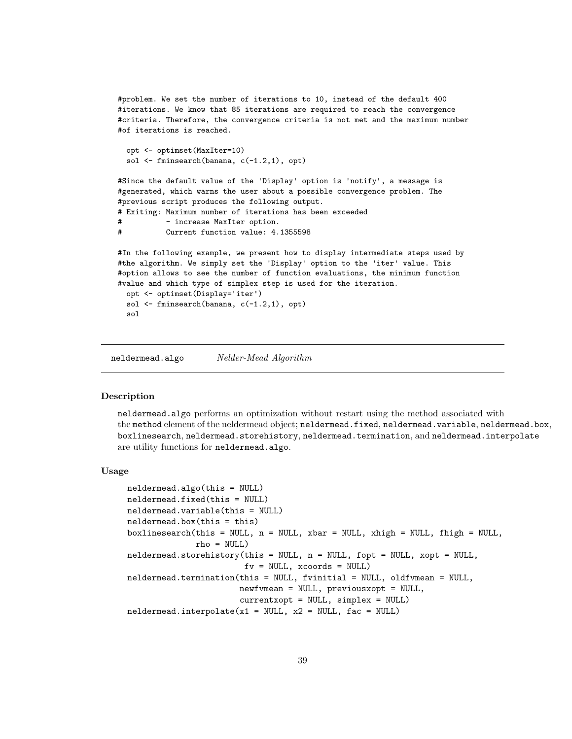#problem. We set the number of iterations to 10, instead of the default 400 #iterations. We know that 85 iterations are required to reach the convergence #criteria. Therefore, the convergence criteria is not met and the maximum number #of iterations is reached.

```
opt <- optimset(MaxIter=10)
sol \leq fminsearch(banana, c(-1.2,1), opt)
```
#Since the default value of the 'Display' option is 'notify', a message is #generated, which warns the user about a possible convergence problem. The #previous script produces the following output. # Exiting: Maximum number of iterations has been exceeded - increase MaxIter option. # Current function value: 4.1355598

```
#In the following example, we present how to display intermediate steps used by
#the algorithm. We simply set the 'Display' option to the 'iter' value. This
#option allows to see the number of function evaluations, the minimum function
#value and which type of simplex step is used for the iteration.
 opt <- optimset(Display='iter')
 sol <- fminsearch(banana, c(-1.2,1), opt)
 sol
```
neldermead.algo Nelder-Mead Algorithm

## Description

neldermead.algo performs an optimization without restart using the method associated with the method element of the neldermead object; neldermead.fixed, neldermead.variable, neldermead.box, boxlinesearch, neldermead.storehistory, neldermead.termination, and neldermead.interpolate are utility functions for neldermead.algo.

## Usage

```
neldermead.algo(this = NULL)
neldermead.fixed(this = NULL)
neldermead.variable(this = NULL)
neldermead.box(this = this)
boxlinesearch(this = NULL, n = NULL, xbar = NULL, xhigh = NULL, fhigh = NULL,
              rho = NULL)
neldermead.storehistory(this = NULL, n = NULL, fopt = NULL, xopt = NULL,
                        fv = NULL, xcoords = NULL)
neldermead.termination(this = NULL, fvinitial = NULL, oldfvmean = NULL,
                       newfvmean = NULL, previousxopt = NULL,
                       currentxopt = NULL, simplex = NULL)
neldermed.interpolate(x1 = NULL, x2 = NULL, fac = NULL)
```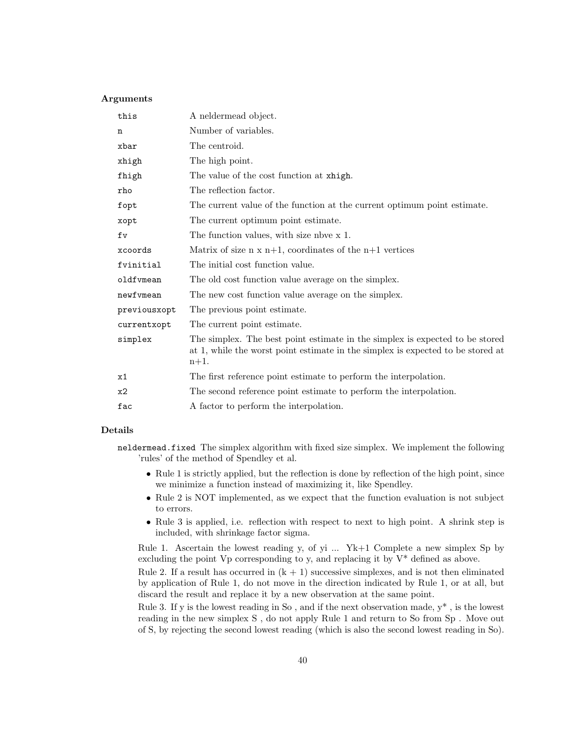## Arguments

| this         | A neldermead object.                                                                                                                                                       |
|--------------|----------------------------------------------------------------------------------------------------------------------------------------------------------------------------|
| n            | Number of variables.                                                                                                                                                       |
| xbar         | The centroid.                                                                                                                                                              |
| xhigh        | The high point.                                                                                                                                                            |
| fhigh        | The value of the cost function at xhigh.                                                                                                                                   |
| rho          | The reflection factor.                                                                                                                                                     |
| fopt         | The current value of the function at the current optimum point estimate.                                                                                                   |
| xopt         | The current optimum point estimate.                                                                                                                                        |
| fv           | The function values, with size not x 1.                                                                                                                                    |
| xcoords      | Matrix of size $n \times n+1$ , coordinates of the $n+1$ vertices                                                                                                          |
| fvinitial    | The initial cost function value.                                                                                                                                           |
| oldfvmean    | The old cost function value average on the simplex.                                                                                                                        |
| newfymean    | The new cost function value average on the simplex.                                                                                                                        |
| previousxopt | The previous point estimate.                                                                                                                                               |
| currentxopt  | The current point estimate.                                                                                                                                                |
| simplex      | The simplex. The best point estimate in the simplex is expected to be stored<br>at 1, while the worst point estimate in the simplex is expected to be stored at<br>$n+1$ . |
| x1           | The first reference point estimate to perform the interpolation.                                                                                                           |
| x2           | The second reference point estimate to perform the interpolation.                                                                                                          |
| fac          | A factor to perform the interpolation.                                                                                                                                     |
|              |                                                                                                                                                                            |

## Details

neldermead.fixed The simplex algorithm with fixed size simplex. We implement the following 'rules' of the method of Spendley et al.

- Rule 1 is strictly applied, but the reflection is done by reflection of the high point, since we minimize a function instead of maximizing it, like Spendley.
- Rule 2 is NOT implemented, as we expect that the function evaluation is not subject to errors.
- Rule 3 is applied, i.e. reflection with respect to next to high point. A shrink step is included, with shrinkage factor sigma.

Rule 1. Ascertain the lowest reading y, of yi ... Yk+1 Complete a new simplex Sp by excluding the point  $Vp$  corresponding to y, and replacing it by  $V^*$  defined as above.

Rule 2. If a result has occurred in  $(k + 1)$  successive simplexes, and is not then eliminated by application of Rule 1, do not move in the direction indicated by Rule 1, or at all, but discard the result and replace it by a new observation at the same point.

Rule 3. If y is the lowest reading in So, and if the next observation made,  $y^*$ , is the lowest reading in the new simplex S , do not apply Rule 1 and return to So from Sp . Move out of S, by rejecting the second lowest reading (which is also the second lowest reading in So).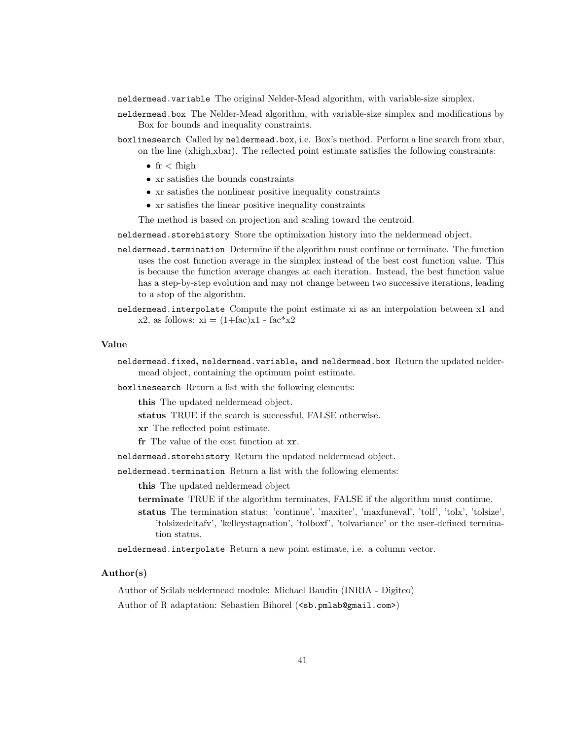neldermead.variable The original Nelder-Mead algorithm, with variable-size simplex.

- neldermead.box The Nelder-Mead algorithm, with variable-size simplex and modifications by Box for bounds and inequality constraints.
- boxlinesearch Called by neldermead.box, i.e. Box's method. Perform a line search from xbar, on the line (xhigh,xbar). The reflected point estimate satisfies the following constraints:
	- $fr <$  fhigh
	- xr satisfies the bounds constraints
	- xr satisfies the nonlinear positive inequality constraints
	- xr satisfies the linear positive inequality constraints

The method is based on projection and scaling toward the centroid.

neldermead.storehistory Store the optimization history into the neldermead object.

- neldermead.termination Determine if the algorithm must continue or terminate. The function uses the cost function average in the simplex instead of the best cost function value. This is because the function average changes at each iteration. Instead, the best function value has a step-by-step evolution and may not change between two successive iterations, leading to a stop of the algorithm.
- neldermead.interpolate Compute the point estimate xi as an interpolation between x1 and x2, as follows:  $xi = (1 + fac)x1 - fac*x2$

## Value

neldermead.fixed, neldermead.variable, and neldermead.box Return the updated neldermead object, containing the optimum point estimate.

boxlinesearch Return a list with the following elements:

this The updated neldermead object.

status TRUE if the search is successful, FALSE otherwise.

xr The reflected point estimate.

fr The value of the cost function at xr.

neldermead.storehistory Return the updated neldermead object.

neldermead.termination Return a list with the following elements:

this The updated neldermead object

- terminate TRUE if the algorithm terminates, FALSE if the algorithm must continue.
- status The termination status: 'continue', 'maxiter', 'maxfuneval', 'tolf', 'tolx', 'tolsize', 'tolsizedeltafv', 'kelleystagnation', 'tolboxf', 'tolvariance' or the user-defined termination status.

neldermead.interpolate Return a new point estimate, i.e. a column vector.

# Author(s)

Author of Scilab neldermead module: Michael Baudin (INRIA - Digiteo)

Author of R adaptation: Sebastien Bihorel (<sb.pmlab@gmail.com>)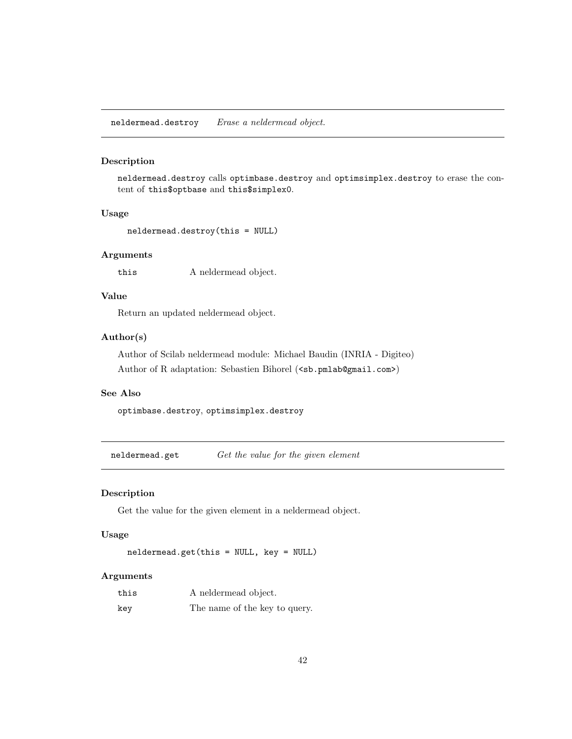neldermead.destroy Erase a neldermead object.

# Description

neldermead.destroy calls optimbase.destroy and optimsimplex.destroy to erase the content of this\$optbase and this\$simplex0.

# Usage

```
neldermead.destroy(this = NULL)
```
## Arguments

this A neldermead object.

# Value

Return an updated neldermead object.

# Author(s)

Author of Scilab neldermead module: Michael Baudin (INRIA - Digiteo) Author of R adaptation: Sebastien Bihorel (<sb.pmlab@gmail.com>)

## See Also

optimbase.destroy, optimsimplex.destroy

neldermead.get Get the value for the given element

# Description

Get the value for the given element in a neldermead object.

# Usage

```
neldermead.get(this = NULL, key = NULL)
```
# Arguments

| this | A neldermead object.          |
|------|-------------------------------|
| key  | The name of the key to query. |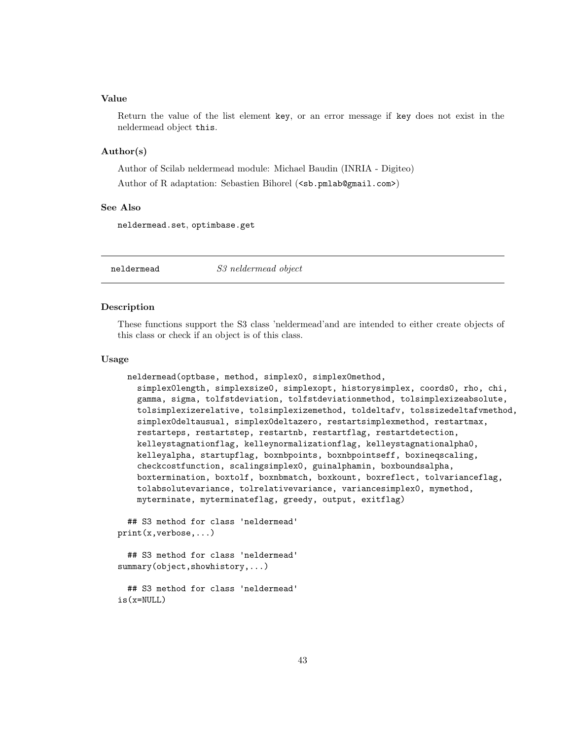Return the value of the list element key, or an error message if key does not exist in the neldermead object this.

## Author(s)

Author of Scilab neldermead module: Michael Baudin (INRIA - Digiteo)

Author of R adaptation: Sebastien Bihorel (<sb.pmlab@gmail.com>)

# See Also

neldermead.set, optimbase.get

neldermead S3 neldermead object

## Description

These functions support the S3 class 'neldermead'and are intended to either create objects of this class or check if an object is of this class.

# Usage

```
neldermead(optbase, method, simplex0, simplex0method,
  simplex0length, simplexsize0, simplexopt, historysimplex, coords0, rho, chi,
  gamma, sigma, tolfstdeviation, tolfstdeviationmethod, tolsimplexizeabsolute,
  tolsimplexizerelative, tolsimplexizemethod, toldeltafv, tolssizedeltafvmethod,
  simplex0deltausual, simplex0deltazero, restartsimplexmethod, restartmax,
  restarteps, restartstep, restartnb, restartflag, restartdetection,
  kelleystagnationflag, kelleynormalizationflag, kelleystagnationalpha0,
  kelleyalpha, startupflag, boxnbpoints, boxnbpointseff, boxineqscaling,
  checkcostfunction, scalingsimplex0, guinalphamin, boxboundsalpha,
  boxtermination, boxtolf, boxnbmatch, boxkount, boxreflect, tolvarianceflag,
  tolabsolutevariance, tolrelativevariance, variancesimplex0, mymethod,
  myterminate, myterminateflag, greedy, output, exitflag)
```

```
## S3 method for class 'neldermead'
print(x,verbose,...)
```

```
## S3 method for class 'neldermead'
summary(object,showhistory,...)
```

```
## S3 method for class 'neldermead'
is(x=NULL)
```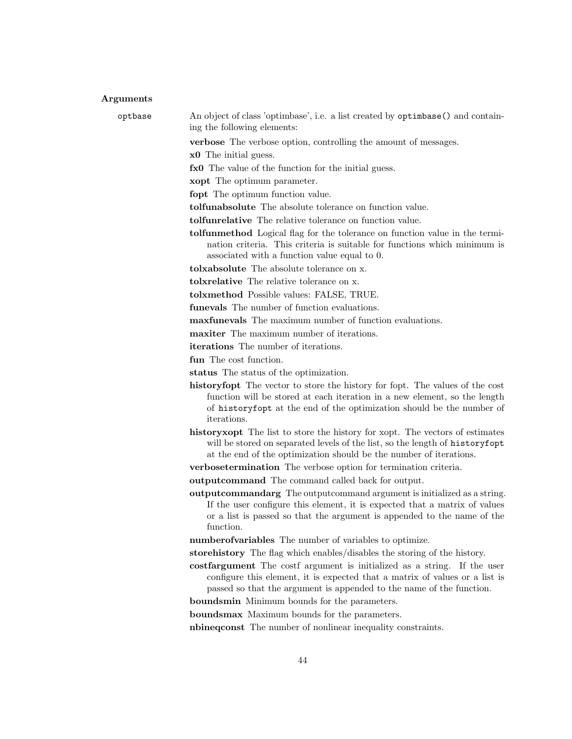#### Arguments

optbase An object of class 'optimbase', i.e. a list created by optimbase() and containing the following elements:

verbose The verbose option, controlling the amount of messages.

x0 The initial guess.

fx0 The value of the function for the initial guess.

xopt The optimum parameter.

fopt The optimum function value.

tolfunabsolute The absolute tolerance on function value.

tolfunrelative The relative tolerance on function value.

tolfunmethod Logical flag for the tolerance on function value in the termination criteria. This criteria is suitable for functions which minimum is associated with a function value equal to 0.

tolxabsolute The absolute tolerance on x.

tolxrelative The relative tolerance on x.

tolxmethod Possible values: FALSE, TRUE.

funevals The number of function evaluations.

maxfunevals The maximum number of function evaluations.

maxiter The maximum number of iterations.

iterations The number of iterations.

fun The cost function.

status The status of the optimization.

historyfopt The vector to store the history for fopt. The values of the cost function will be stored at each iteration in a new element, so the length of historyfopt at the end of the optimization should be the number of iterations.

historyxopt The list to store the history for xopt. The vectors of estimates will be stored on separated levels of the list, so the length of historyfopt at the end of the optimization should be the number of iterations.

verbosetermination The verbose option for termination criteria.

outputcommand The command called back for output.

outputcommandarg The outputcommand argument is initialized as a string. If the user configure this element, it is expected that a matrix of values or a list is passed so that the argument is appended to the name of the function.

numberofvariables The number of variables to optimize.

storehistory The flag which enables/disables the storing of the history.

costfargument The costf argument is initialized as a string. If the user configure this element, it is expected that a matrix of values or a list is passed so that the argument is appended to the name of the function.

boundsmin Minimum bounds for the parameters.

boundsmax Maximum bounds for the parameters.

nbineqconst The number of nonlinear inequality constraints.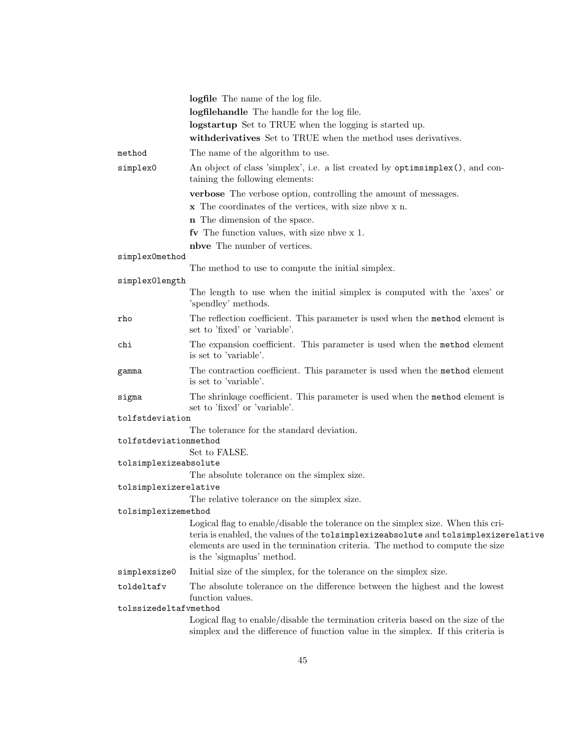|                       | logfile The name of the log file.                                                                                                                                                                                                                                                      |
|-----------------------|----------------------------------------------------------------------------------------------------------------------------------------------------------------------------------------------------------------------------------------------------------------------------------------|
|                       | logfilehandle The handle for the log file.                                                                                                                                                                                                                                             |
|                       | logstartup Set to TRUE when the logging is started up.                                                                                                                                                                                                                                 |
|                       | withderivatives Set to TRUE when the method uses derivatives.                                                                                                                                                                                                                          |
| method                | The name of the algorithm to use.                                                                                                                                                                                                                                                      |
| simplex0              | An object of class 'simplex', i.e. a list created by optiming lex(), and con-<br>taining the following elements:                                                                                                                                                                       |
|                       | <b>verbose</b> The verbose option, controlling the amount of messages.                                                                                                                                                                                                                 |
|                       | x The coordinates of the vertices, with size nove x n.                                                                                                                                                                                                                                 |
|                       | <b>n</b> The dimension of the space.                                                                                                                                                                                                                                                   |
|                       | fv The function values, with size nbve $x$ 1.                                                                                                                                                                                                                                          |
|                       | nbve The number of vertices.                                                                                                                                                                                                                                                           |
| simplex0method        |                                                                                                                                                                                                                                                                                        |
|                       | The method to use to compute the initial simplex.                                                                                                                                                                                                                                      |
| simplex0length        | The length to use when the initial simplex is computed with the 'axes' or<br>'spendley' methods.                                                                                                                                                                                       |
| rho                   | The reflection coefficient. This parameter is used when the method element is<br>set to 'fixed' or 'variable'.                                                                                                                                                                         |
| chi                   | The expansion coefficient. This parameter is used when the method element<br>is set to 'variable'.                                                                                                                                                                                     |
| gamma                 | The contraction coefficient. This parameter is used when the method element<br>is set to 'variable'.                                                                                                                                                                                   |
| sigma                 | The shrinkage coefficient. This parameter is used when the method element is<br>set to 'fixed' or 'variable'.                                                                                                                                                                          |
| tolfstdeviation       |                                                                                                                                                                                                                                                                                        |
| tolfstdeviationmethod | The tolerance for the standard deviation.                                                                                                                                                                                                                                              |
|                       | Set to FALSE.                                                                                                                                                                                                                                                                          |
| tolsimplexizeabsolute |                                                                                                                                                                                                                                                                                        |
|                       | The absolute tolerance on the simplex size.                                                                                                                                                                                                                                            |
| tolsimplexizerelative |                                                                                                                                                                                                                                                                                        |
|                       | The relative tolerance on the simplex size.                                                                                                                                                                                                                                            |
| tolsimplexizemethod   |                                                                                                                                                                                                                                                                                        |
|                       | Logical flag to enable/disable the tolerance on the simplex size. When this cri-<br>teria is enabled, the values of the tolsimplexizeabsolute and tolsimplexizerelative<br>elements are used in the termination criteria. The method to compute the size<br>is the 'sigmaplus' method. |
| simplexsize0          | Initial size of the simplex, for the tolerance on the simplex size.                                                                                                                                                                                                                    |
| toldeltafv            | The absolute tolerance on the difference between the highest and the lowest<br>function values.                                                                                                                                                                                        |
| tolssizedeltafvmethod |                                                                                                                                                                                                                                                                                        |
|                       | Logical flag to enable/disable the termination criteria based on the size of the<br>simplex and the difference of function value in the simplex. If this criteria is                                                                                                                   |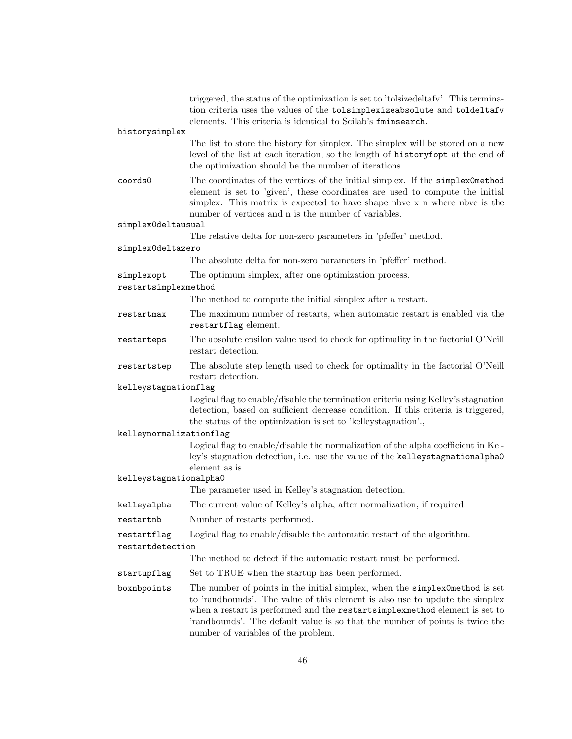|                         | triggered, the status of the optimization is set to 'tolsized eltafy'. This termina-<br>tion criteria uses the values of the tolsimplexizeabsolute and toldeltafv<br>elements. This criteria is identical to Scilab's fminsearch.                                                                                                                                |  |
|-------------------------|------------------------------------------------------------------------------------------------------------------------------------------------------------------------------------------------------------------------------------------------------------------------------------------------------------------------------------------------------------------|--|
| historysimplex          |                                                                                                                                                                                                                                                                                                                                                                  |  |
|                         | The list to store the history for simplex. The simplex will be stored on a new<br>level of the list at each iteration, so the length of history fopt at the end of<br>the optimization should be the number of iterations.                                                                                                                                       |  |
| coords0                 | The coordinates of the vertices of the initial simplex. If the simplex0method<br>element is set to 'given', these coordinates are used to compute the initial<br>simplex. This matrix is expected to have shape nbve x n where nbve is the<br>number of vertices and n is the number of variables.                                                               |  |
| simplex0deltausual      |                                                                                                                                                                                                                                                                                                                                                                  |  |
|                         | The relative delta for non-zero parameters in 'pfeffer' method.                                                                                                                                                                                                                                                                                                  |  |
| simplexOdeltazero       |                                                                                                                                                                                                                                                                                                                                                                  |  |
|                         | The absolute delta for non-zero parameters in 'pfeffer' method.                                                                                                                                                                                                                                                                                                  |  |
| simplexopt              | The optimum simplex, after one optimization process.                                                                                                                                                                                                                                                                                                             |  |
| restartsimplexmethod    |                                                                                                                                                                                                                                                                                                                                                                  |  |
|                         | The method to compute the initial simplex after a restart.                                                                                                                                                                                                                                                                                                       |  |
| restartmax              | The maximum number of restarts, when automatic restart is enabled via the<br>restartflag element.                                                                                                                                                                                                                                                                |  |
| restarteps              | The absolute epsilon value used to check for optimality in the factorial O'Neill<br>restart detection.                                                                                                                                                                                                                                                           |  |
| restartstep             | The absolute step length used to check for optimality in the factorial O'Neill<br>restart detection.                                                                                                                                                                                                                                                             |  |
| kelleystagnationflag    |                                                                                                                                                                                                                                                                                                                                                                  |  |
|                         | Logical flag to enable/disable the termination criteria using Kelley's stagnation<br>detection, based on sufficient decrease condition. If this criteria is triggered,<br>the status of the optimization is set to 'kelleystagnation'.                                                                                                                           |  |
| kelleynormalizationflag |                                                                                                                                                                                                                                                                                                                                                                  |  |
|                         | Logical flag to enable/disable the normalization of the alpha coefficient in Kel-<br>ley's stagnation detection, i.e. use the value of the kelleystagnationalpha0<br>element as is.                                                                                                                                                                              |  |
| kelleystagnationalpha0  |                                                                                                                                                                                                                                                                                                                                                                  |  |
|                         | The parameter used in Kelley's stagnation detection.                                                                                                                                                                                                                                                                                                             |  |
| kelleyalpha             | The current value of Kelley's alpha, after normalization, if required.                                                                                                                                                                                                                                                                                           |  |
| restartnb               | Number of restarts performed.                                                                                                                                                                                                                                                                                                                                    |  |
| restartflag             | Logical flag to enable/disable the automatic restart of the algorithm.                                                                                                                                                                                                                                                                                           |  |
| restartdetection        |                                                                                                                                                                                                                                                                                                                                                                  |  |
|                         | The method to detect if the automatic restart must be performed.                                                                                                                                                                                                                                                                                                 |  |
| startupflag             | Set to TRUE when the startup has been performed.                                                                                                                                                                                                                                                                                                                 |  |
| boxnbpoints             | The number of points in the initial simplex, when the simplex0method is set<br>to 'randbounds'. The value of this element is also use to update the simplex<br>when a restart is performed and the restartsimplexmethod element is set to<br>'randbounds'. The default value is so that the number of points is twice the<br>number of variables of the problem. |  |
|                         |                                                                                                                                                                                                                                                                                                                                                                  |  |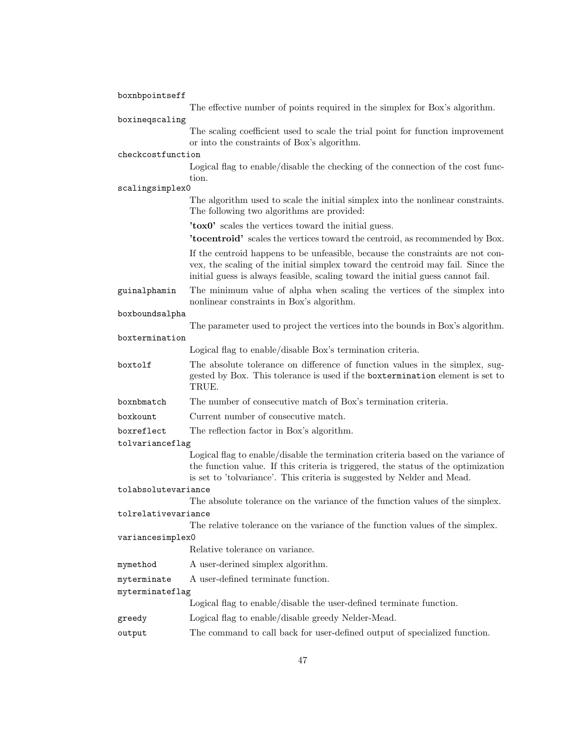| boxnbpointseff                                                 |                                                                                                                                                                                                                                                                                   |
|----------------------------------------------------------------|-----------------------------------------------------------------------------------------------------------------------------------------------------------------------------------------------------------------------------------------------------------------------------------|
|                                                                | The effective number of points required in the simplex for Box's algorithm.                                                                                                                                                                                                       |
| boxineqscaling                                                 |                                                                                                                                                                                                                                                                                   |
|                                                                | The scaling coefficient used to scale the trial point for function improvement<br>or into the constraints of Box's algorithm.                                                                                                                                                     |
| checkcostfunction                                              |                                                                                                                                                                                                                                                                                   |
|                                                                | Logical flag to enable/disable the checking of the connection of the cost func-<br>tion.                                                                                                                                                                                          |
| scalingsimplex0                                                |                                                                                                                                                                                                                                                                                   |
|                                                                | The algorithm used to scale the initial simplex into the nonlinear constraints.<br>The following two algorithms are provided:                                                                                                                                                     |
|                                                                | 'tox0' scales the vertices toward the initial guess.                                                                                                                                                                                                                              |
|                                                                | <b>'tocentroid'</b> scales the vertices toward the centroid, as recommended by Box.                                                                                                                                                                                               |
|                                                                | If the centroid happens to be unfeasible, because the constraints are not con-<br>vex, the scaling of the initial simplex toward the centroid may fail. Since the<br>initial guess is always feasible, scaling toward the initial guess cannot fail.                              |
| guinalphamin                                                   | The minimum value of alpha when scaling the vertices of the simplex into<br>nonlinear constraints in Box's algorithm.                                                                                                                                                             |
| boxboundsalpha                                                 |                                                                                                                                                                                                                                                                                   |
|                                                                | The parameter used to project the vertices into the bounds in Box's algorithm.                                                                                                                                                                                                    |
| boxtermination                                                 |                                                                                                                                                                                                                                                                                   |
|                                                                | Logical flag to enable/disable Box's termination criteria.                                                                                                                                                                                                                        |
| boxtolf                                                        | The absolute tolerance on difference of function values in the simplex, sug-<br>gested by Box. This tolerance is used if the boxtermination element is set to<br>TRUE.                                                                                                            |
| boxnbmatch                                                     | The number of consecutive match of Box's termination criteria.                                                                                                                                                                                                                    |
| boxkount                                                       | Current number of consecutive match.                                                                                                                                                                                                                                              |
| boxreflect                                                     | The reflection factor in Box's algorithm.                                                                                                                                                                                                                                         |
| tolvarianceflag                                                |                                                                                                                                                                                                                                                                                   |
|                                                                | Logical flag to enable/disable the termination criteria based on the variance of<br>the function value. If this criteria is triggered, the status of the optimization<br>is set to 'tolvariance'. This criteria is suggested by Nelder and Mead.                                  |
| tolabsolutevariance                                            |                                                                                                                                                                                                                                                                                   |
|                                                                | The absolute tolerance on the variance of the function values of the simplex.                                                                                                                                                                                                     |
| tolrelativevariance                                            |                                                                                                                                                                                                                                                                                   |
|                                                                | The relative tolerance on the variance of the function values of the simplex.                                                                                                                                                                                                     |
| variancesimplex0                                               | Relative tolerance on variance.                                                                                                                                                                                                                                                   |
|                                                                |                                                                                                                                                                                                                                                                                   |
|                                                                |                                                                                                                                                                                                                                                                                   |
|                                                                |                                                                                                                                                                                                                                                                                   |
|                                                                |                                                                                                                                                                                                                                                                                   |
|                                                                |                                                                                                                                                                                                                                                                                   |
|                                                                |                                                                                                                                                                                                                                                                                   |
| mymethod<br>myterminate<br>myterminateflag<br>greedy<br>output | A user-derined simplex algorithm.<br>A user-defined terminate function.<br>Logical flag to enable/disable the user-defined terminate function.<br>Logical flag to enable/disable greedy Nelder-Mead.<br>The command to call back for user-defined output of specialized function. |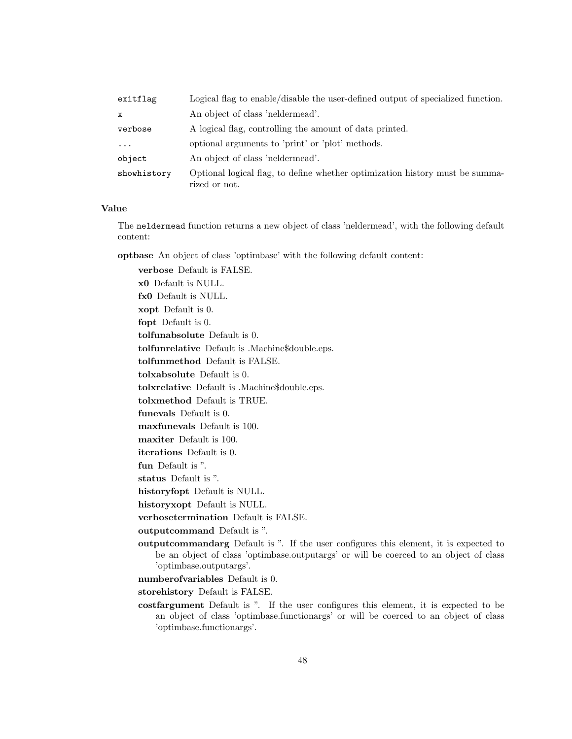| exitflag    | Logical flag to enable/disable the user-defined output of specialized function.               |
|-------------|-----------------------------------------------------------------------------------------------|
| $\mathbf x$ | An object of class 'neldermead'.                                                              |
| verbose     | A logical flag, controlling the amount of data printed.                                       |
| $\cdots$    | optional arguments to 'print' or 'plot' methods.                                              |
| object      | An object of class 'neldermead'.                                                              |
| showhistory | Optional logical flag, to define whether optimization history must be summa-<br>rized or not. |

The neldermead function returns a new object of class 'neldermead', with the following default content:

optbase An object of class 'optimbase' with the following default content:

verbose Default is FALSE. x0 Default is NULL. fx0 Default is NULL. xopt Default is 0. fopt Default is 0. tolfunabsolute Default is 0. tolfunrelative Default is .Machine\$double.eps. tolfunmethod Default is FALSE. tolxabsolute Default is 0. tolxrelative Default is .Machine\$double.eps. tolxmethod Default is TRUE. funevals Default is 0. maxfunevals Default is 100. maxiter Default is 100. iterations Default is 0. fun Default is ". status Default is ". historyfopt Default is NULL. historyxopt Default is NULL. verbosetermination Default is FALSE. outputcommand Default is ". outputcommandarg Default is ". If the user configures this element, it is expected to be an object of class 'optimbase.outputargs' or will be coerced to an object of class 'optimbase.outputargs'. numberofvariables Default is 0. storehistory Default is FALSE.

costfargument Default is ". If the user configures this element, it is expected to be an object of class 'optimbase.functionargs' or will be coerced to an object of class 'optimbase.functionargs'.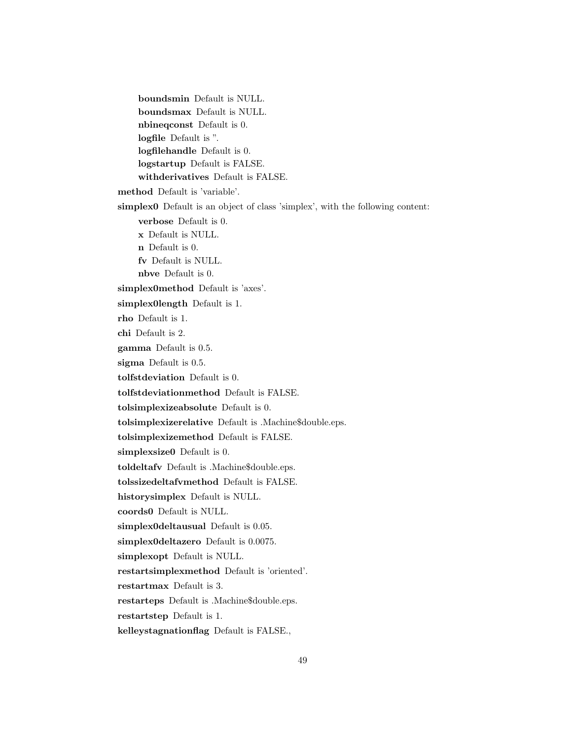boundsmin Default is NULL. boundsmax Default is NULL. nbineqconst Default is 0. logfile Default is ". logfilehandle Default is 0. logstartup Default is FALSE. withderivatives Default is FALSE. method Default is 'variable'. simplex0 Default is an object of class 'simplex', with the following content: verbose Default is 0. x Default is NULL. n Default is 0. fv Default is NULL. nbve Default is 0. simplex0method Default is 'axes'. simplex0length Default is 1. rho Default is 1. chi Default is 2. gamma Default is 0.5. sigma Default is 0.5. tolfstdeviation Default is 0. tolfstdeviationmethod Default is FALSE. tolsimplexizeabsolute Default is 0. tolsimplexizerelative Default is .Machine\$double.eps. tolsimplexizemethod Default is FALSE. simplexsize0 Default is 0. toldeltafv Default is .Machine\$double.eps. tolssizedeltafvmethod Default is FALSE. historysimplex Default is NULL. coords0 Default is NULL. simplex0deltausual Default is 0.05. simplex0deltazero Default is 0.0075. simplexopt Default is NULL. restartsimplexmethod Default is 'oriented'. restartmax Default is 3. restarteps Default is .Machine\$double.eps. restartstep Default is 1. kelleystagnationflag Default is FALSE.,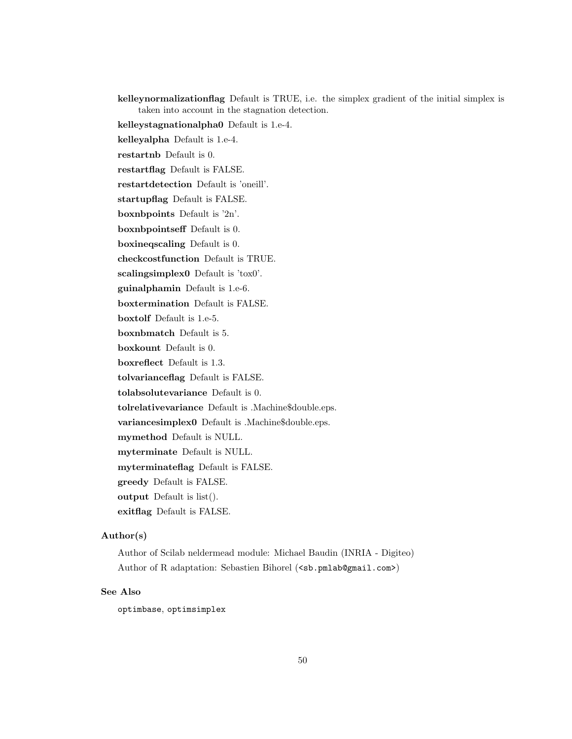kelleynormalizationflag Default is TRUE, i.e. the simplex gradient of the initial simplex is taken into account in the stagnation detection.

kelleystagnationalpha0 Default is 1.e-4.

kelleyalpha Default is 1.e-4.

restartnb Default is 0.

restartflag Default is FALSE.

restartdetection Default is 'oneill'.

startupflag Default is FALSE.

boxnbpoints Default is '2n'.

boxnbpointseff Default is 0.

boxineqscaling Default is 0.

checkcostfunction Default is TRUE.

scalingsimplex0 Default is 'tox0'.

guinalphamin Default is 1.e-6.

boxtermination Default is FALSE.

boxtolf Default is 1.e-5.

boxnbmatch Default is 5.

boxkount Default is 0.

boxreflect Default is 1.3.

tolvarianceflag Default is FALSE.

tolabsolutevariance Default is 0.

tolrelativevariance Default is .Machine\$double.eps.

variancesimplex0 Default is .Machine\$double.eps.

mymethod Default is NULL.

myterminate Default is NULL.

myterminateflag Default is FALSE.

greedy Default is FALSE.

output Default is list().

exitflag Default is FALSE.

## Author(s)

Author of Scilab neldermead module: Michael Baudin (INRIA - Digiteo) Author of R adaptation: Sebastien Bihorel (<sb.pmlab@gmail.com>)

# See Also

optimbase, optimsimplex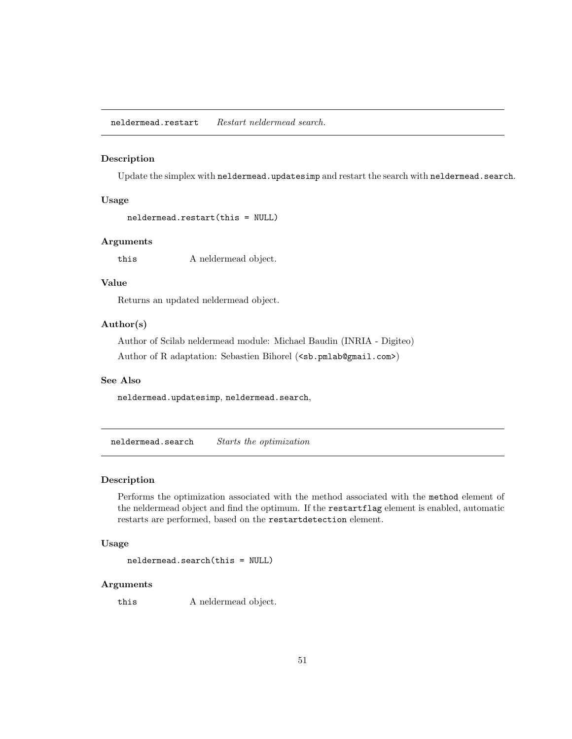## Description

Update the simplex with neldermead.updatesimp and restart the search with neldermead.search.

# Usage

```
neldermead.restart(this = NULL)
```
# Arguments

this A neldermead object.

# Value

Returns an updated neldermead object.

# Author(s)

Author of Scilab neldermead module: Michael Baudin (INRIA - Digiteo) Author of R adaptation: Sebastien Bihorel (<sb.pmlab@gmail.com>)

# See Also

neldermead.updatesimp, neldermead.search,

 ${\bf n}$ eldermead.search ${\bf S}$ tarts the optimization

## Description

Performs the optimization associated with the method associated with the method element of the neldermead object and find the optimum. If the restartflag element is enabled, automatic restarts are performed, based on the restartdetection element.

# Usage

```
neldermead.search(this = NULL)
```
# Arguments

this A neldermead object.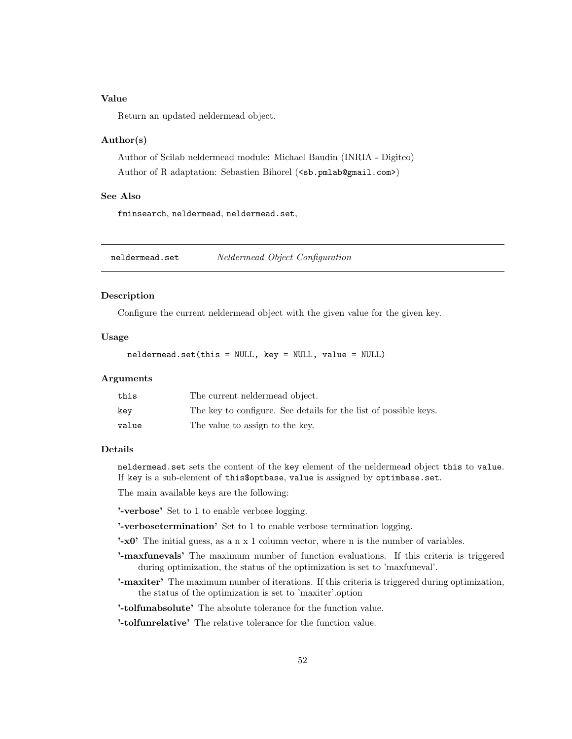Return an updated neldermead object.

# Author(s)

Author of Scilab neldermead module: Michael Baudin (INRIA - Digiteo) Author of R adaptation: Sebastien Bihorel (<sb.pmlab@gmail.com>)

### See Also

fminsearch, neldermead, neldermead.set,

neldermead.set Neldermead Object Configuration

## Description

Configure the current neldermead object with the given value for the given key.

# Usage

neldermead.set(this = NULL, key = NULL, value = NULL)

# Arguments

| this  | The current neldermead object.                                   |
|-------|------------------------------------------------------------------|
| key   | The key to configure. See details for the list of possible keys. |
| value | The value to assign to the key.                                  |

### Details

neldermead.set sets the content of the key element of the neldermead object this to value. If key is a sub-element of this\$optbase, value is assigned by optimbase.set.

The main available keys are the following:

'-verbose' Set to 1 to enable verbose logging.

'-verbosetermination' Set to 1 to enable verbose termination logging.

 $\cdot$ **-x0**' The initial guess, as a n x 1 column vector, where n is the number of variables.

- '-maxfunevals' The maximum number of function evaluations. If this criteria is triggered during optimization, the status of the optimization is set to 'maxfuneval'.
- '-maxiter' The maximum number of iterations. If this criteria is triggered during optimization, the status of the optimization is set to 'maxiter'.option

'-tolfunabsolute' The absolute tolerance for the function value.

'-tolfunrelative' The relative tolerance for the function value.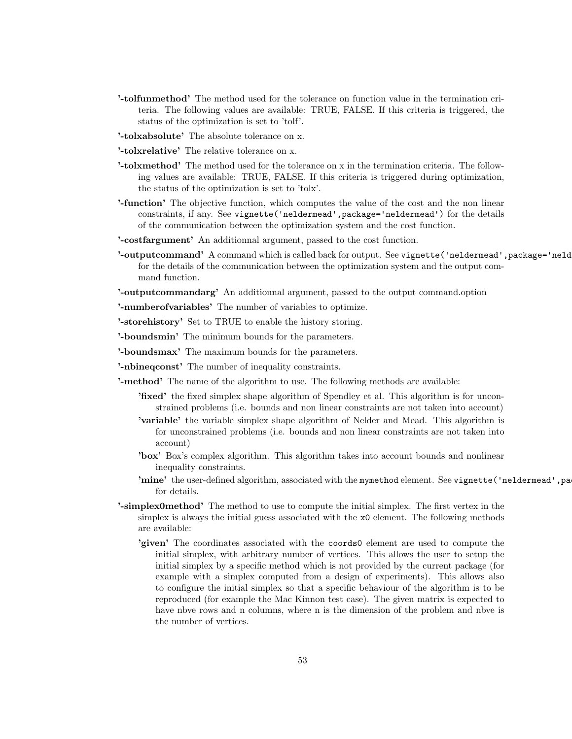- '-tolfunmethod' The method used for the tolerance on function value in the termination criteria. The following values are available: TRUE, FALSE. If this criteria is triggered, the status of the optimization is set to 'tolf'.
- '-tolxabsolute' The absolute tolerance on x.
- '-tolxrelative' The relative tolerance on x.
- '-tolxmethod' The method used for the tolerance on x in the termination criteria. The following values are available: TRUE, FALSE. If this criteria is triggered during optimization, the status of the optimization is set to 'tolx'.
- '-function' The objective function, which computes the value of the cost and the non linear constraints, if any. See vignette('neldermead',package='neldermead') for the details of the communication between the optimization system and the cost function.
- '-costfargument' An additionnal argument, passed to the cost function.
- '-outputcommand' A command which is called back for output. See vignette ('neldermead', package='neld for the details of the communication between the optimization system and the output command function.
- '-outputcommandarg' An additionnal argument, passed to the output command.option
- '-numberofvariables' The number of variables to optimize.
- '-storehistory' Set to TRUE to enable the history storing.
- '-boundsmin' The minimum bounds for the parameters.
- '-boundsmax' The maximum bounds for the parameters.
- '-nbineqconst' The number of inequality constraints.
- '-method' The name of the algorithm to use. The following methods are available:
	- 'fixed' the fixed simplex shape algorithm of Spendley et al. This algorithm is for unconstrained problems (i.e. bounds and non linear constraints are not taken into account)
	- 'variable' the variable simplex shape algorithm of Nelder and Mead. This algorithm is for unconstrained problems (i.e. bounds and non linear constraints are not taken into account)
	- 'box' Box's complex algorithm. This algorithm takes into account bounds and nonlinear inequality constraints.
	- 'mine' the user-defined algorithm, associated with the mymethod element. See vignette('neldermead',pa for details.
- '-simplex0method' The method to use to compute the initial simplex. The first vertex in the simplex is always the initial guess associated with the x0 element. The following methods are available:
	- 'given' The coordinates associated with the coords0 element are used to compute the initial simplex, with arbitrary number of vertices. This allows the user to setup the initial simplex by a specific method which is not provided by the current package (for example with a simplex computed from a design of experiments). This allows also to configure the initial simplex so that a specific behaviour of the algorithm is to be reproduced (for example the Mac Kinnon test case). The given matrix is expected to have nbve rows and n columns, where n is the dimension of the problem and nbve is the number of vertices.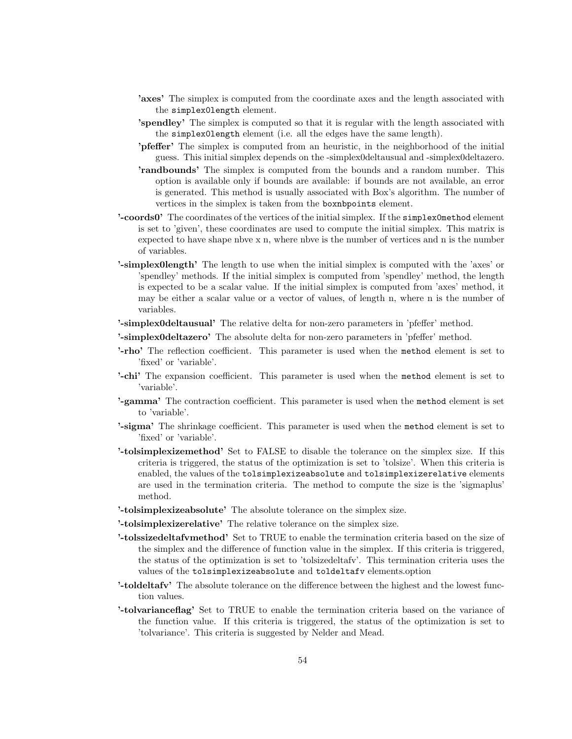- 'axes' The simplex is computed from the coordinate axes and the length associated with the simplex0length element.
- 'spendley' The simplex is computed so that it is regular with the length associated with the simplex0length element (i.e. all the edges have the same length).
- 'pfeffer' The simplex is computed from an heuristic, in the neighborhood of the initial guess. This initial simplex depends on the -simplex0deltausual and -simplex0deltazero.
- 'randbounds' The simplex is computed from the bounds and a random number. This option is available only if bounds are available: if bounds are not available, an error is generated. This method is usually associated with Box's algorithm. The number of vertices in the simplex is taken from the boxnbpoints element.
- '-coords0' The coordinates of the vertices of the initial simplex. If the simplex0method element is set to 'given', these coordinates are used to compute the initial simplex. This matrix is expected to have shape nbve x n, where nbve is the number of vertices and n is the number of variables.
- '-simplex0length' The length to use when the initial simplex is computed with the 'axes' or 'spendley' methods. If the initial simplex is computed from 'spendley' method, the length is expected to be a scalar value. If the initial simplex is computed from 'axes' method, it may be either a scalar value or a vector of values, of length n, where n is the number of variables.
- '-simplex0deltausual' The relative delta for non-zero parameters in 'pfeffer' method.
- '-simplex0deltazero' The absolute delta for non-zero parameters in 'pfeffer' method.
- '-rho' The reflection coefficient. This parameter is used when the method element is set to 'fixed' or 'variable'.
- '-chi' The expansion coefficient. This parameter is used when the method element is set to 'variable'.
- '-gamma' The contraction coefficient. This parameter is used when the method element is set to 'variable'.
- '-sigma' The shrinkage coefficient. This parameter is used when the method element is set to 'fixed' or 'variable'.
- '-tolsimplexizemethod' Set to FALSE to disable the tolerance on the simplex size. If this criteria is triggered, the status of the optimization is set to 'tolsize'. When this criteria is enabled, the values of the tolsimplexizeabsolute and tolsimplexizerelative elements are used in the termination criteria. The method to compute the size is the 'sigmaplus' method.
- '-tolsimplexizeabsolute' The absolute tolerance on the simplex size.
- '-tolsimplexizerelative' The relative tolerance on the simplex size.
- '-tolssizedeltafvmethod' Set to TRUE to enable the termination criteria based on the size of the simplex and the difference of function value in the simplex. If this criteria is triggered, the status of the optimization is set to 'tolsizedeltafv'. This termination criteria uses the values of the tolsimplexizeabsolute and toldeltafv elements.option
- '-toldeltafv' The absolute tolerance on the difference between the highest and the lowest function values.
- '-tolvarianceflag' Set to TRUE to enable the termination criteria based on the variance of the function value. If this criteria is triggered, the status of the optimization is set to 'tolvariance'. This criteria is suggested by Nelder and Mead.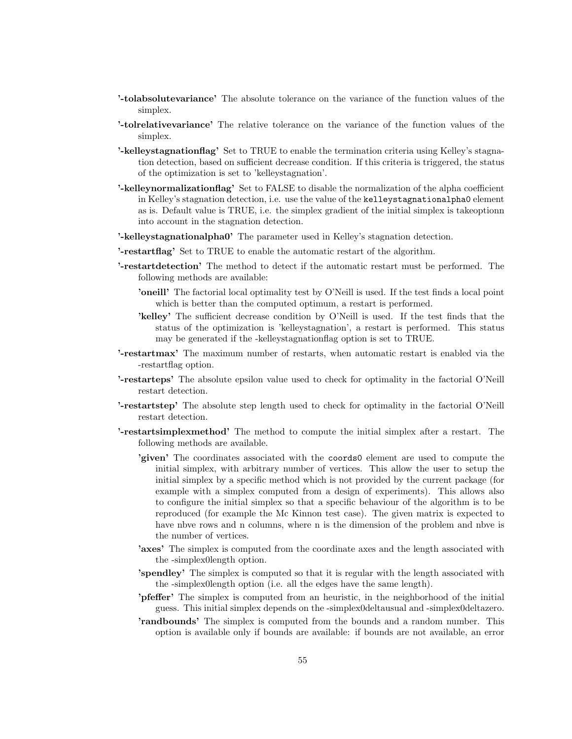- '-tolabsolutevariance' The absolute tolerance on the variance of the function values of the simplex.
- '-tolrelativevariance' The relative tolerance on the variance of the function values of the simplex.
- '-kelleystagnationflag' Set to TRUE to enable the termination criteria using Kelley's stagnation detection, based on sufficient decrease condition. If this criteria is triggered, the status of the optimization is set to 'kelleystagnation'.
- '-kelleynormalizationflag' Set to FALSE to disable the normalization of the alpha coefficient in Kelley's stagnation detection, i.e. use the value of the kelleystagnationalpha0 element as is. Default value is TRUE, i.e. the simplex gradient of the initial simplex is takeoptionn into account in the stagnation detection.
- '-kelleystagnationalpha0' The parameter used in Kelley's stagnation detection.
- '-restartflag' Set to TRUE to enable the automatic restart of the algorithm.
- '-restartdetection' The method to detect if the automatic restart must be performed. The following methods are available:
	- 'oneill' The factorial local optimality test by O'Neill is used. If the test finds a local point which is better than the computed optimum, a restart is performed.
	- 'kelley' The sufficient decrease condition by O'Neill is used. If the test finds that the status of the optimization is 'kelleystagnation', a restart is performed. This status may be generated if the -kelleystagnationflag option is set to TRUE.
- '-restartmax' The maximum number of restarts, when automatic restart is enabled via the -restartflag option.
- '-restarteps' The absolute epsilon value used to check for optimality in the factorial O'Neill restart detection.
- '-restartstep' The absolute step length used to check for optimality in the factorial O'Neill restart detection.
- '-restartsimplexmethod' The method to compute the initial simplex after a restart. The following methods are available.
	- 'given' The coordinates associated with the coords0 element are used to compute the initial simplex, with arbitrary number of vertices. This allow the user to setup the initial simplex by a specific method which is not provided by the current package (for example with a simplex computed from a design of experiments). This allows also to configure the initial simplex so that a specific behaviour of the algorithm is to be reproduced (for example the Mc Kinnon test case). The given matrix is expected to have nbve rows and n columns, where n is the dimension of the problem and nbve is the number of vertices.
	- 'axes' The simplex is computed from the coordinate axes and the length associated with the -simplex0length option.
	- 'spendley' The simplex is computed so that it is regular with the length associated with the -simplex0length option (i.e. all the edges have the same length).
	- 'pfeffer' The simplex is computed from an heuristic, in the neighborhood of the initial guess. This initial simplex depends on the -simplex0deltausual and -simplex0deltazero.
	- 'randbounds' The simplex is computed from the bounds and a random number. This option is available only if bounds are available: if bounds are not available, an error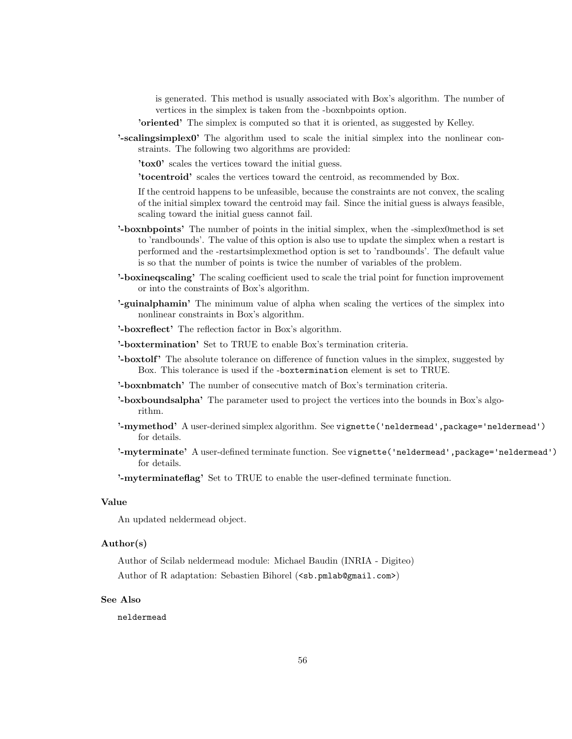is generated. This method is usually associated with Box's algorithm. The number of vertices in the simplex is taken from the -boxnbpoints option.

'oriented' The simplex is computed so that it is oriented, as suggested by Kelley.

'-scalingsimplex0' The algorithm used to scale the initial simplex into the nonlinear constraints. The following two algorithms are provided:

'tox0' scales the vertices toward the initial guess.

'tocentroid' scales the vertices toward the centroid, as recommended by Box.

If the centroid happens to be unfeasible, because the constraints are not convex, the scaling of the initial simplex toward the centroid may fail. Since the initial guess is always feasible, scaling toward the initial guess cannot fail.

- '-boxnbpoints' The number of points in the initial simplex, when the -simplex0method is set to 'randbounds'. The value of this option is also use to update the simplex when a restart is performed and the -restartsimplexmethod option is set to 'randbounds'. The default value is so that the number of points is twice the number of variables of the problem.
- '-boxineqscaling' The scaling coefficient used to scale the trial point for function improvement or into the constraints of Box's algorithm.
- '-guinalphamin' The minimum value of alpha when scaling the vertices of the simplex into nonlinear constraints in Box's algorithm.
- '-boxreflect' The reflection factor in Box's algorithm.
- '-boxtermination' Set to TRUE to enable Box's termination criteria.
- '-boxtolf' The absolute tolerance on difference of function values in the simplex, suggested by Box. This tolerance is used if the -boxtermination element is set to TRUE.
- '-boxnbmatch' The number of consecutive match of Box's termination criteria.
- '-boxboundsalpha' The parameter used to project the vertices into the bounds in Box's algorithm.
- '-mymethod' A user-derined simplex algorithm. See vignette ('neldermead', package='neldermead') for details.
- '-myterminate' A user-defined terminate function. See vignette ('neldermead', package='neldermead') for details.

'-myterminateflag' Set to TRUE to enable the user-defined terminate function.

## Value

An updated neldermead object.

# Author(s)

Author of Scilab neldermead module: Michael Baudin (INRIA - Digiteo) Author of R adaptation: Sebastien Bihorel (<sb.pmlab@gmail.com>)

# See Also

neldermead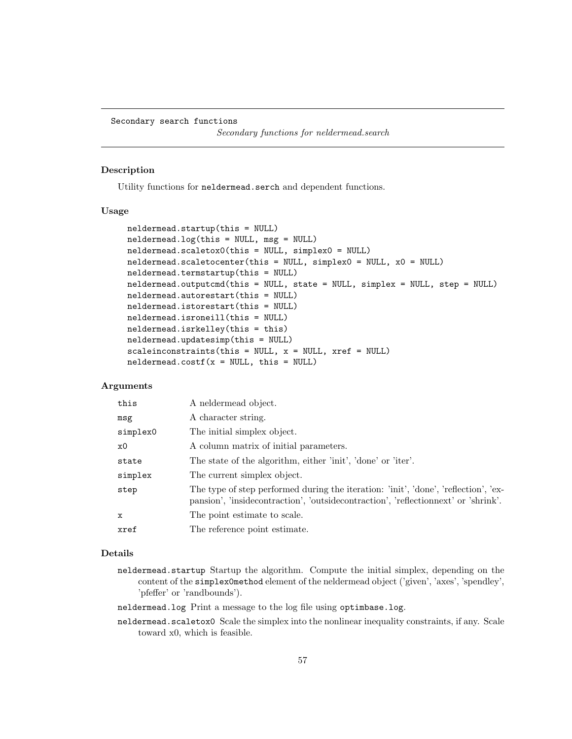Secondary search functions

Secondary functions for neldermead.search

# Description

Utility functions for neldermead.serch and dependent functions.

## Usage

```
neldermead.startup(this = NULL)
neldermead.log(this = NULL, msg = NULL)
neldermead.scaletox0(this = NULL, simplex0 = NULL)
neldermead.scaletocenter(this = NULL, simplex0 = NULL, x0 = NULL)
neldermead.termstartup(this = NULL)
neldermead.outputcmd(this = NULL, state = NULL, simplex = NULL, step = NULL)
neldermead.autorestart(this = NULL)
neldermead.istorestart(this = NULL)
neldermead.isroneill(this = NULL)
neldermead.isrkelley(this = this)
neldermead.updatesimp(this = NULL)
scaleinconstraints(this = NULL, x = NULL, xref = NULL)
neldermed.costf(x = NULL, this = NULL)
```
## Arguments

| this        | A neldermead object.                                                                                                                                                      |
|-------------|---------------------------------------------------------------------------------------------------------------------------------------------------------------------------|
| msg         | A character string.                                                                                                                                                       |
| simplex0    | The initial simplex object.                                                                                                                                               |
| x0          | A column matrix of initial parameters.                                                                                                                                    |
| state       | The state of the algorithm, either 'init', 'done' or 'iter'.                                                                                                              |
| simplex     | The current simplex object.                                                                                                                                               |
| step        | The type of step performed during the iteration: 'init', 'done', 'reflection', 'ex-<br>pansion', 'insidecontraction', 'outsidecontraction', 'reflectionnext' or 'shrink'. |
| $\mathbf x$ | The point estimate to scale.                                                                                                                                              |
| xref        | The reference point estimate.                                                                                                                                             |

# Details

- neldermead.startup Startup the algorithm. Compute the initial simplex, depending on the content of the simplex0method element of the neldermead object ('given', 'axes', 'spendley', 'pfeffer' or 'randbounds').
- neldermead.log Print a message to the log file using optimbase.log.
- neldermead.scaletox0 Scale the simplex into the nonlinear inequality constraints, if any. Scale toward x0, which is feasible.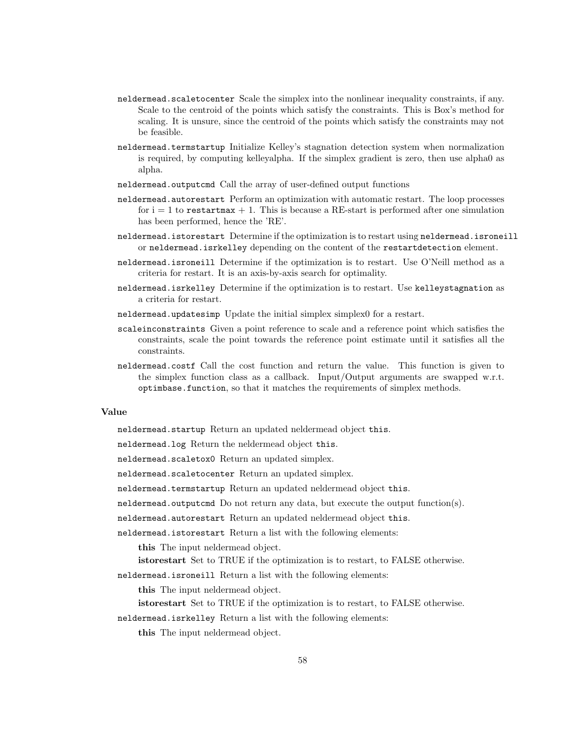- neldermead.scaletocenter Scale the simplex into the nonlinear inequality constraints, if any. Scale to the centroid of the points which satisfy the constraints. This is Box's method for scaling. It is unsure, since the centroid of the points which satisfy the constraints may not be feasible.
- neldermead.termstartup Initialize Kelley's stagnation detection system when normalization is required, by computing kelleyalpha. If the simplex gradient is zero, then use alpha0 as alpha.
- neldermead.outputcmd Call the array of user-defined output functions
- neldermead.autorestart Perform an optimization with automatic restart. The loop processes for  $i = 1$  to restart max  $+ 1$ . This is because a RE-start is performed after one simulation has been performed, hence the 'RE'.
- neldermead.istorestart Determine if the optimization is to restart using neldermead.isroneill or neldermead.isrkelley depending on the content of the restartdetection element.
- neldermead.isroneill Determine if the optimization is to restart. Use O'Neill method as a criteria for restart. It is an axis-by-axis search for optimality.
- neldermead.isrkelley Determine if the optimization is to restart. Use kelleystagnation as a criteria for restart.
- neldermead.updatesimp Update the initial simplex simplex0 for a restart.
- scaleinconstraints Given a point reference to scale and a reference point which satisfies the constraints, scale the point towards the reference point estimate until it satisfies all the constraints.
- neldermead.costf Call the cost function and return the value. This function is given to the simplex function class as a callback. Input/Output arguments are swapped w.r.t. optimbase.function, so that it matches the requirements of simplex methods.

neldermead.startup Return an updated neldermead object this.

neldermead.log Return the neldermead object this.

neldermead.scaletox0 Return an updated simplex.

- neldermead.scaletocenter Return an updated simplex.
- neldermead.termstartup Return an updated neldermead object this.
- neldermead.outputcmd Do not return any data, but execute the output function(s).
- neldermead.autorestart Return an updated neldermead object this.
- neldermead.istorestart Return a list with the following elements:
	- this The input neldermead object.
	- istorestart Set to TRUE if the optimization is to restart, to FALSE otherwise.
- neldermead.isroneill Return a list with the following elements:

this The input neldermead object.

istorestart Set to TRUE if the optimization is to restart, to FALSE otherwise.

neldermead.isrkelley Return a list with the following elements:

this The input neldermead object.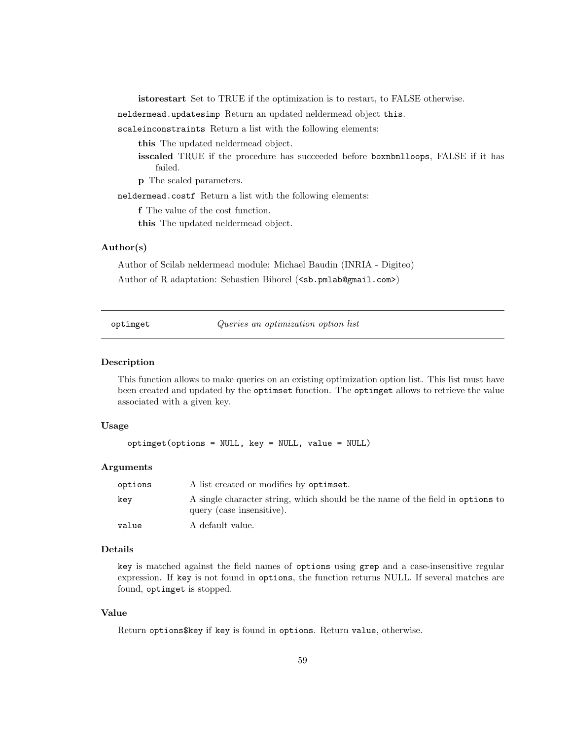istorestart Set to TRUE if the optimization is to restart, to FALSE otherwise.

neldermead.updatesimp Return an updated neldermead object this.

scaleinconstraints Return a list with the following elements:

this The updated neldermead object.

isscaled TRUE if the procedure has succeeded before boxnbnlloops, FALSE if it has failed.

p The scaled parameters.

neldermead.costf Return a list with the following elements:

f The value of the cost function.

this The updated neldermead object.

# Author(s)

Author of Scilab neldermead module: Michael Baudin (INRIA - Digiteo) Author of R adaptation: Sebastien Bihorel (<sb.pmlab@gmail.com>)

| optimget |  |
|----------|--|
|          |  |

Queries an optimization option list

## Description

This function allows to make queries on an existing optimization option list. This list must have been created and updated by the optimset function. The optimget allows to retrieve the value associated with a given key.

# Usage

```
optimget(options = NULL, key = NULL, value = NULL)
```
## Arguments

| options | A list created or modifies by optimet.                                                                      |
|---------|-------------------------------------------------------------------------------------------------------------|
| kev     | A single character string, which should be the name of the field in options to<br>query (case insensitive). |
| value   | A default value.                                                                                            |

# Details

key is matched against the field names of options using grep and a case-insensitive regular expression. If key is not found in options, the function returns NULL. If several matches are found, optimget is stopped.

## Value

Return options\$key if key is found in options. Return value, otherwise.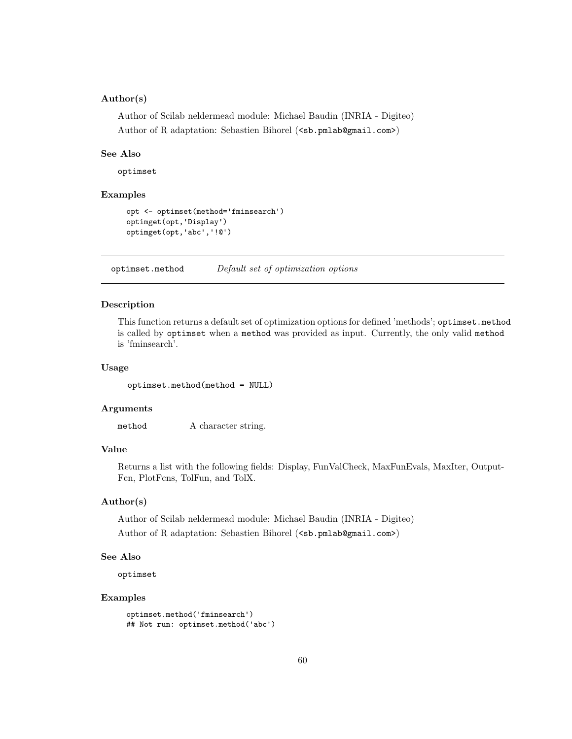# Author(s)

Author of Scilab neldermead module: Michael Baudin (INRIA - Digiteo) Author of R adaptation: Sebastien Bihorel (<sb.pmlab@gmail.com>)

## See Also

optimset

# Examples

```
opt <- optimset(method='fminsearch')
optimget(opt,'Display')
optimget(opt,'abc','!@')
```
optimset.method Default set of optimization options

## Description

This function returns a default set of optimization options for defined 'methods'; optimset.method is called by optimset when a method was provided as input. Currently, the only valid method is 'fminsearch'.

# Usage

optimset.method(method = NULL)

# Arguments

method A character string.

# Value

Returns a list with the following fields: Display, FunValCheck, MaxFunEvals, MaxIter, Output-Fcn, PlotFcns, TolFun, and TolX.

# Author(s)

Author of Scilab neldermead module: Michael Baudin (INRIA - Digiteo) Author of R adaptation: Sebastien Bihorel (<sb.pmlab@gmail.com>)

# See Also

optimset

## Examples

```
optimset.method('fminsearch')
## Not run: optimset.method('abc')
```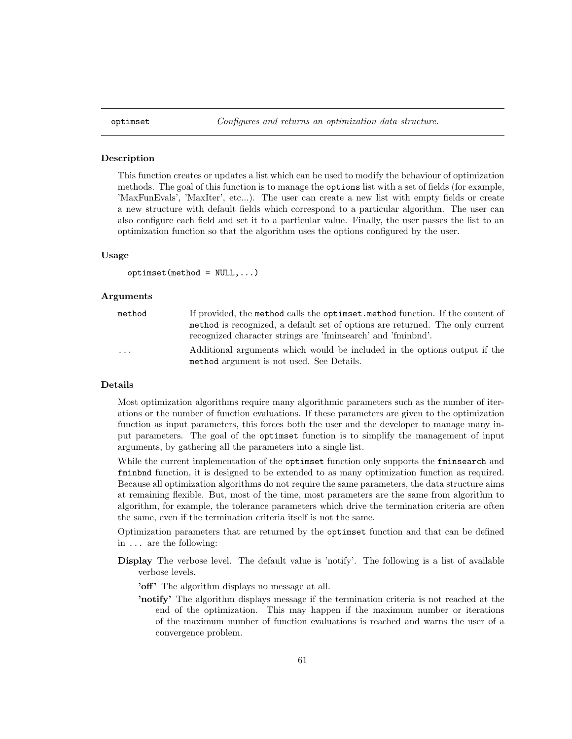## Description

This function creates or updates a list which can be used to modify the behaviour of optimization methods. The goal of this function is to manage the options list with a set of fields (for example, 'MaxFunEvals', 'MaxIter', etc...). The user can create a new list with empty fields or create a new structure with default fields which correspond to a particular algorithm. The user can also configure each field and set it to a particular value. Finally, the user passes the list to an optimization function so that the algorithm uses the options configured by the user.

## Usage

```
optimset(method = NULL, ...)
```
## Arguments

| method                  | If provided, the method calls the optimate method function. If the content of |
|-------------------------|-------------------------------------------------------------------------------|
|                         | method is recognized, a default set of options are returned. The only current |
|                         | recognized character strings are 'fminsearch' and 'fminbnd'.                  |
| $\cdot$ $\cdot$ $\cdot$ | Additional arguments which would be included in the options output if the     |
|                         | method argument is not used. See Details.                                     |

## Details

Most optimization algorithms require many algorithmic parameters such as the number of iterations or the number of function evaluations. If these parameters are given to the optimization function as input parameters, this forces both the user and the developer to manage many input parameters. The goal of the optimset function is to simplify the management of input arguments, by gathering all the parameters into a single list.

While the current implementation of the optimset function only supports the fminsearch and fminbnd function, it is designed to be extended to as many optimization function as required. Because all optimization algorithms do not require the same parameters, the data structure aims at remaining flexible. But, most of the time, most parameters are the same from algorithm to algorithm, for example, the tolerance parameters which drive the termination criteria are often the same, even if the termination criteria itself is not the same.

Optimization parameters that are returned by the optimset function and that can be defined in ... are the following:

- Display The verbose level. The default value is 'notify'. The following is a list of available verbose levels.
	- 'off' The algorithm displays no message at all.
	- 'notify' The algorithm displays message if the termination criteria is not reached at the end of the optimization. This may happen if the maximum number or iterations of the maximum number of function evaluations is reached and warns the user of a convergence problem.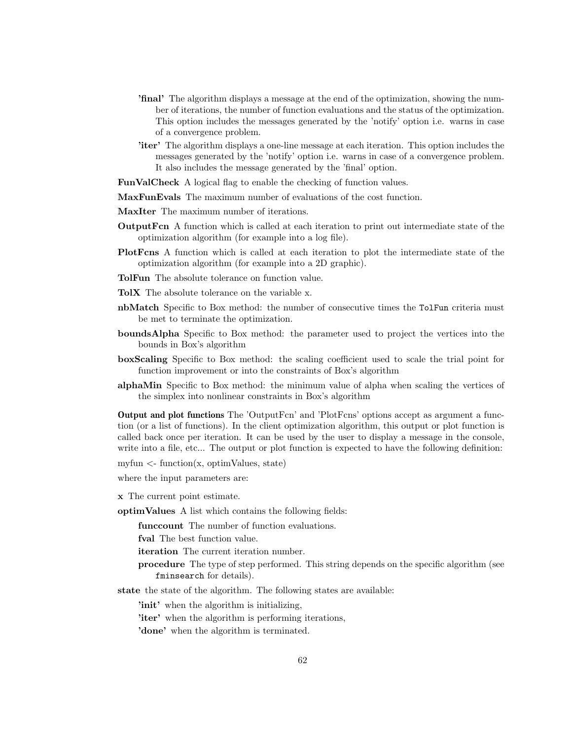- 'final' The algorithm displays a message at the end of the optimization, showing the number of iterations, the number of function evaluations and the status of the optimization. This option includes the messages generated by the 'notify' option i.e. warns in case of a convergence problem.
- 'iter' The algorithm displays a one-line message at each iteration. This option includes the messages generated by the 'notify' option i.e. warns in case of a convergence problem. It also includes the message generated by the 'final' option.
- FunValCheck A logical flag to enable the checking of function values.
- MaxFunEvals The maximum number of evaluations of the cost function.
- MaxIter The maximum number of iterations.
- OutputFcn A function which is called at each iteration to print out intermediate state of the optimization algorithm (for example into a log file).
- PlotFcns A function which is called at each iteration to plot the intermediate state of the optimization algorithm (for example into a 2D graphic).
- TolFun The absolute tolerance on function value.
- TolX The absolute tolerance on the variable x.
- nbMatch Specific to Box method: the number of consecutive times the TolFun criteria must be met to terminate the optimization.
- boundsAlpha Specific to Box method: the parameter used to project the vertices into the bounds in Box's algorithm
- boxScaling Specific to Box method: the scaling coefficient used to scale the trial point for function improvement or into the constraints of Box's algorithm
- alphaMin Specific to Box method: the minimum value of alpha when scaling the vertices of the simplex into nonlinear constraints in Box's algorithm

Output and plot functions The 'OutputFcn' and 'PlotFcns' options accept as argument a function (or a list of functions). In the client optimization algorithm, this output or plot function is called back once per iteration. It can be used by the user to display a message in the console, write into a file, etc... The output or plot function is expected to have the following definition:

myfun  $\langle$ - function $(x, \text{optimValues}, \text{state})$ 

where the input parameters are:

x The current point estimate.

optimValues A list which contains the following fields:

funccount The number of function evaluations.

fval The best function value.

iteration The current iteration number.

- procedure The type of step performed. This string depends on the specific algorithm (see fminsearch for details).
- state the state of the algorithm. The following states are available:

'init' when the algorithm is initializing,

'iter' when the algorithm is performing iterations,

'done' when the algorithm is terminated.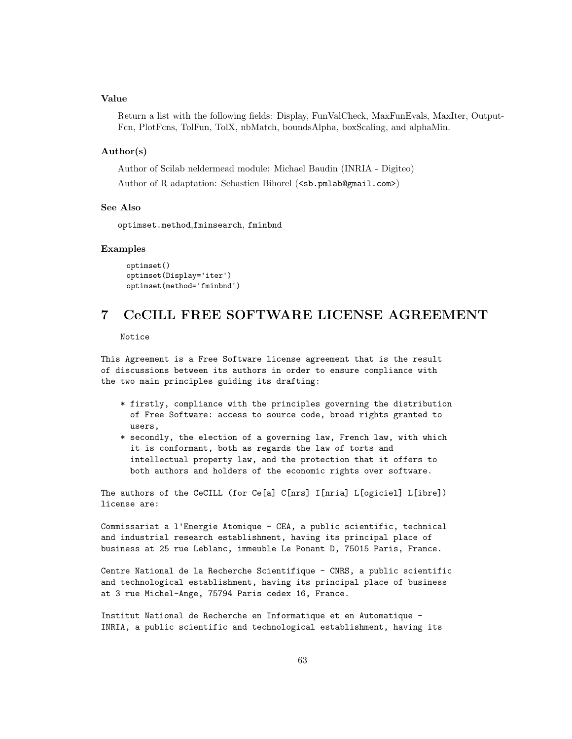Return a list with the following fields: Display, FunValCheck, MaxFunEvals, MaxIter, Output-Fcn, PlotFcns, TolFun, TolX, nbMatch, boundsAlpha, boxScaling, and alphaMin.

### Author(s)

Author of Scilab neldermead module: Michael Baudin (INRIA - Digiteo) Author of R adaptation: Sebastien Bihorel (<sb.pmlab@gmail.com>)

### See Also

optimset.method,fminsearch, fminbnd

## Examples

optimset() optimset(Display='iter') optimset(method='fminbnd')

# 7 CeCILL FREE SOFTWARE LICENSE AGREEMENT

Notice

This Agreement is a Free Software license agreement that is the result of discussions between its authors in order to ensure compliance with the two main principles guiding its drafting:

- \* firstly, compliance with the principles governing the distribution of Free Software: access to source code, broad rights granted to users,
- \* secondly, the election of a governing law, French law, with which it is conformant, both as regards the law of torts and intellectual property law, and the protection that it offers to both authors and holders of the economic rights over software.

The authors of the CeCILL (for Ce[a] C[nrs] I[nria] L[ogiciel] L[ibre]) license are:

Commissariat a l'Energie Atomique - CEA, a public scientific, technical and industrial research establishment, having its principal place of business at 25 rue Leblanc, immeuble Le Ponant D, 75015 Paris, France.

Centre National de la Recherche Scientifique - CNRS, a public scientific and technological establishment, having its principal place of business at 3 rue Michel-Ange, 75794 Paris cedex 16, France.

Institut National de Recherche en Informatique et en Automatique - INRIA, a public scientific and technological establishment, having its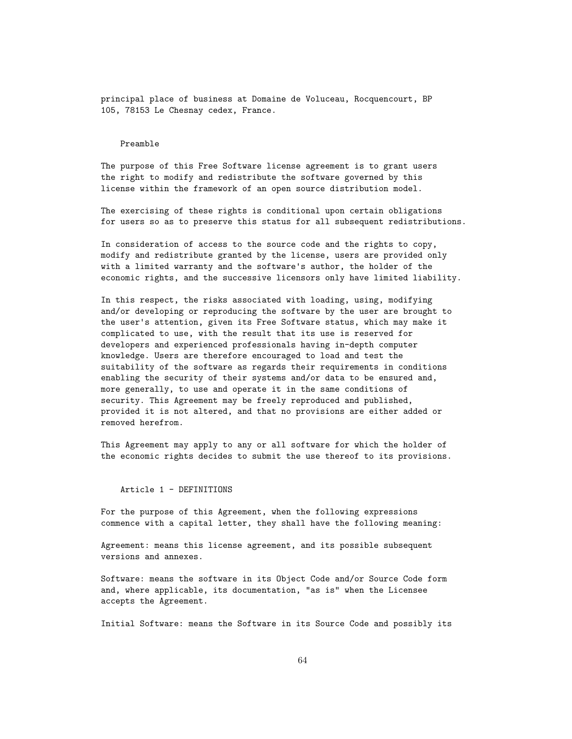principal place of business at Domaine de Voluceau, Rocquencourt, BP 105, 78153 Le Chesnay cedex, France.

#### Preamble

The purpose of this Free Software license agreement is to grant users the right to modify and redistribute the software governed by this license within the framework of an open source distribution model.

The exercising of these rights is conditional upon certain obligations for users so as to preserve this status for all subsequent redistributions.

In consideration of access to the source code and the rights to copy, modify and redistribute granted by the license, users are provided only with a limited warranty and the software's author, the holder of the economic rights, and the successive licensors only have limited liability.

In this respect, the risks associated with loading, using, modifying and/or developing or reproducing the software by the user are brought to the user's attention, given its Free Software status, which may make it complicated to use, with the result that its use is reserved for developers and experienced professionals having in-depth computer knowledge. Users are therefore encouraged to load and test the suitability of the software as regards their requirements in conditions enabling the security of their systems and/or data to be ensured and, more generally, to use and operate it in the same conditions of security. This Agreement may be freely reproduced and published, provided it is not altered, and that no provisions are either added or removed herefrom.

This Agreement may apply to any or all software for which the holder of the economic rights decides to submit the use thereof to its provisions.

Article 1 - DEFINITIONS

For the purpose of this Agreement, when the following expressions commence with a capital letter, they shall have the following meaning:

Agreement: means this license agreement, and its possible subsequent versions and annexes.

Software: means the software in its Object Code and/or Source Code form and, where applicable, its documentation, "as is" when the Licensee accepts the Agreement.

Initial Software: means the Software in its Source Code and possibly its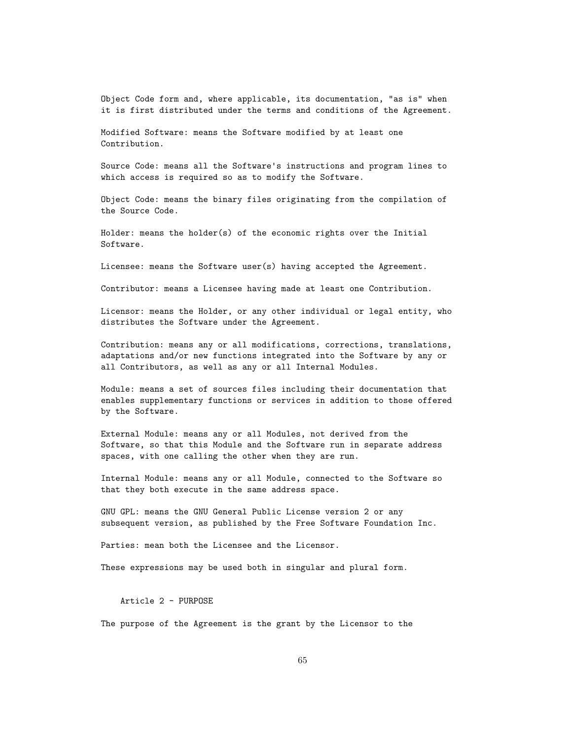Object Code form and, where applicable, its documentation, "as is" when it is first distributed under the terms and conditions of the Agreement.

Modified Software: means the Software modified by at least one Contribution.

Source Code: means all the Software's instructions and program lines to which access is required so as to modify the Software.

Object Code: means the binary files originating from the compilation of the Source Code.

Holder: means the holder(s) of the economic rights over the Initial Software.

Licensee: means the Software user(s) having accepted the Agreement.

Contributor: means a Licensee having made at least one Contribution.

Licensor: means the Holder, or any other individual or legal entity, who distributes the Software under the Agreement.

Contribution: means any or all modifications, corrections, translations, adaptations and/or new functions integrated into the Software by any or all Contributors, as well as any or all Internal Modules.

Module: means a set of sources files including their documentation that enables supplementary functions or services in addition to those offered by the Software.

External Module: means any or all Modules, not derived from the Software, so that this Module and the Software run in separate address spaces, with one calling the other when they are run.

Internal Module: means any or all Module, connected to the Software so that they both execute in the same address space.

GNU GPL: means the GNU General Public License version 2 or any subsequent version, as published by the Free Software Foundation Inc.

Parties: mean both the Licensee and the Licensor.

These expressions may be used both in singular and plural form.

Article 2 - PURPOSE

The purpose of the Agreement is the grant by the Licensor to the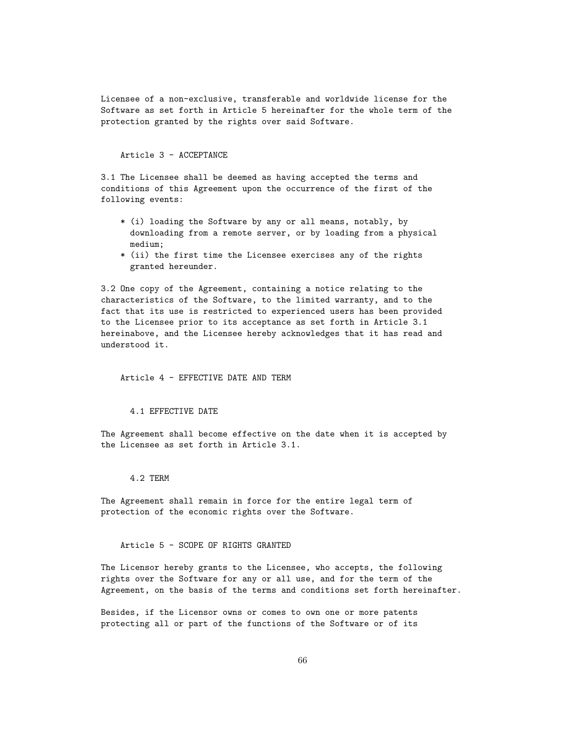Licensee of a non-exclusive, transferable and worldwide license for the Software as set forth in Article 5 hereinafter for the whole term of the protection granted by the rights over said Software.

### Article 3 - ACCEPTANCE

3.1 The Licensee shall be deemed as having accepted the terms and conditions of this Agreement upon the occurrence of the first of the following events:

- \* (i) loading the Software by any or all means, notably, by downloading from a remote server, or by loading from a physical medium;
- \* (ii) the first time the Licensee exercises any of the rights granted hereunder.

3.2 One copy of the Agreement, containing a notice relating to the characteristics of the Software, to the limited warranty, and to the fact that its use is restricted to experienced users has been provided to the Licensee prior to its acceptance as set forth in Article 3.1 hereinabove, and the Licensee hereby acknowledges that it has read and understood it.

### Article 4 - EFFECTIVE DATE AND TERM

## 4.1 EFFECTIVE DATE

The Agreement shall become effective on the date when it is accepted by the Licensee as set forth in Article 3.1.

#### 4.2 TERM

The Agreement shall remain in force for the entire legal term of protection of the economic rights over the Software.

# Article 5 - SCOPE OF RIGHTS GRANTED

The Licensor hereby grants to the Licensee, who accepts, the following rights over the Software for any or all use, and for the term of the Agreement, on the basis of the terms and conditions set forth hereinafter.

Besides, if the Licensor owns or comes to own one or more patents protecting all or part of the functions of the Software or of its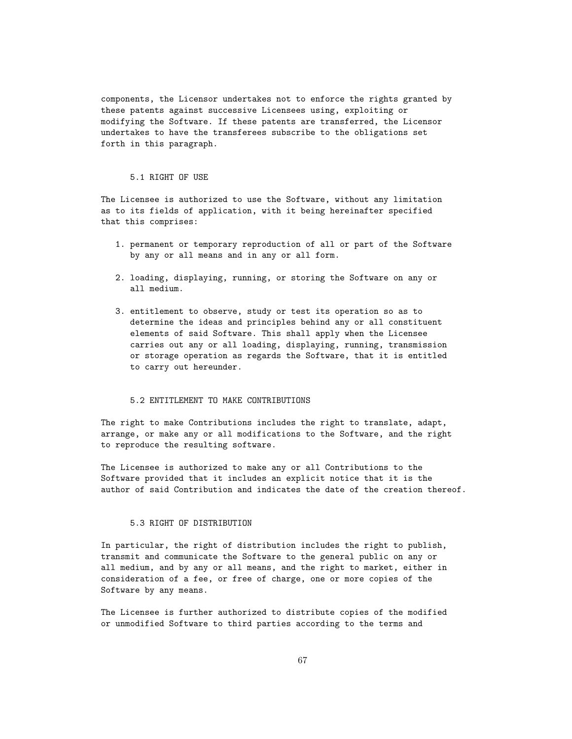components, the Licensor undertakes not to enforce the rights granted by these patents against successive Licensees using, exploiting or modifying the Software. If these patents are transferred, the Licensor undertakes to have the transferees subscribe to the obligations set forth in this paragraph.

#### 5.1 RIGHT OF USE

The Licensee is authorized to use the Software, without any limitation as to its fields of application, with it being hereinafter specified that this comprises:

- 1. permanent or temporary reproduction of all or part of the Software by any or all means and in any or all form.
- 2. loading, displaying, running, or storing the Software on any or all medium.
- 3. entitlement to observe, study or test its operation so as to determine the ideas and principles behind any or all constituent elements of said Software. This shall apply when the Licensee carries out any or all loading, displaying, running, transmission or storage operation as regards the Software, that it is entitled to carry out hereunder.

# 5.2 ENTITLEMENT TO MAKE CONTRIBUTIONS

The right to make Contributions includes the right to translate, adapt, arrange, or make any or all modifications to the Software, and the right to reproduce the resulting software.

The Licensee is authorized to make any or all Contributions to the Software provided that it includes an explicit notice that it is the author of said Contribution and indicates the date of the creation thereof.

## 5.3 RIGHT OF DISTRIBUTION

In particular, the right of distribution includes the right to publish, transmit and communicate the Software to the general public on any or all medium, and by any or all means, and the right to market, either in consideration of a fee, or free of charge, one or more copies of the Software by any means.

The Licensee is further authorized to distribute copies of the modified or unmodified Software to third parties according to the terms and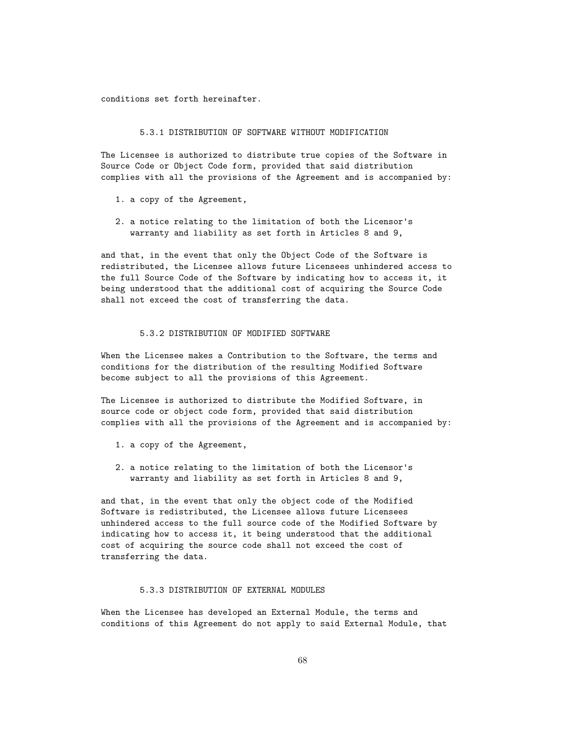conditions set forth hereinafter.

#### 5.3.1 DISTRIBUTION OF SOFTWARE WITHOUT MODIFICATION

The Licensee is authorized to distribute true copies of the Software in Source Code or Object Code form, provided that said distribution complies with all the provisions of the Agreement and is accompanied by:

- 1. a copy of the Agreement,
- 2. a notice relating to the limitation of both the Licensor's warranty and liability as set forth in Articles 8 and 9,

and that, in the event that only the Object Code of the Software is redistributed, the Licensee allows future Licensees unhindered access to the full Source Code of the Software by indicating how to access it, it being understood that the additional cost of acquiring the Source Code shall not exceed the cost of transferring the data.

## 5.3.2 DISTRIBUTION OF MODIFIED SOFTWARE

When the Licensee makes a Contribution to the Software, the terms and conditions for the distribution of the resulting Modified Software become subject to all the provisions of this Agreement.

The Licensee is authorized to distribute the Modified Software, in source code or object code form, provided that said distribution complies with all the provisions of the Agreement and is accompanied by:

- 1. a copy of the Agreement,
- 2. a notice relating to the limitation of both the Licensor's warranty and liability as set forth in Articles 8 and 9,

and that, in the event that only the object code of the Modified Software is redistributed, the Licensee allows future Licensees unhindered access to the full source code of the Modified Software by indicating how to access it, it being understood that the additional cost of acquiring the source code shall not exceed the cost of transferring the data.

# 5.3.3 DISTRIBUTION OF EXTERNAL MODULES

When the Licensee has developed an External Module, the terms and conditions of this Agreement do not apply to said External Module, that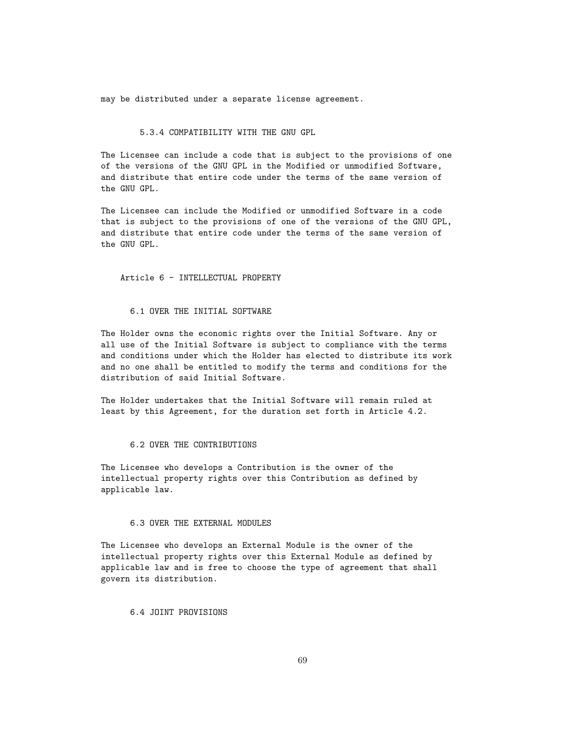may be distributed under a separate license agreement.

## 5.3.4 COMPATIBILITY WITH THE GNU GPL

The Licensee can include a code that is subject to the provisions of one of the versions of the GNU GPL in the Modified or unmodified Software, and distribute that entire code under the terms of the same version of the GNU GPL.

The Licensee can include the Modified or unmodified Software in a code that is subject to the provisions of one of the versions of the GNU GPL, and distribute that entire code under the terms of the same version of the GNU GPL.

Article 6 - INTELLECTUAL PROPERTY

### 6.1 OVER THE INITIAL SOFTWARE

The Holder owns the economic rights over the Initial Software. Any or all use of the Initial Software is subject to compliance with the terms and conditions under which the Holder has elected to distribute its work and no one shall be entitled to modify the terms and conditions for the distribution of said Initial Software.

The Holder undertakes that the Initial Software will remain ruled at least by this Agreement, for the duration set forth in Article 4.2.

### 6.2 OVER THE CONTRIBUTIONS

The Licensee who develops a Contribution is the owner of the intellectual property rights over this Contribution as defined by applicable law.

# 6.3 OVER THE EXTERNAL MODULES

The Licensee who develops an External Module is the owner of the intellectual property rights over this External Module as defined by applicable law and is free to choose the type of agreement that shall govern its distribution.

6.4 JOINT PROVISIONS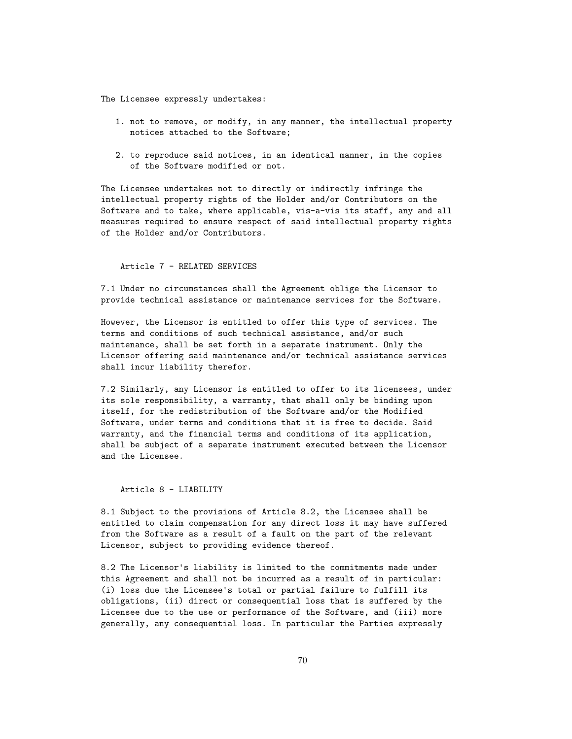The Licensee expressly undertakes:

- 1. not to remove, or modify, in any manner, the intellectual property notices attached to the Software;
- 2. to reproduce said notices, in an identical manner, in the copies of the Software modified or not.

The Licensee undertakes not to directly or indirectly infringe the intellectual property rights of the Holder and/or Contributors on the Software and to take, where applicable, vis-a-vis its staff, any and all measures required to ensure respect of said intellectual property rights of the Holder and/or Contributors.

#### Article 7 - RELATED SERVICES

7.1 Under no circumstances shall the Agreement oblige the Licensor to provide technical assistance or maintenance services for the Software.

However, the Licensor is entitled to offer this type of services. The terms and conditions of such technical assistance, and/or such maintenance, shall be set forth in a separate instrument. Only the Licensor offering said maintenance and/or technical assistance services shall incur liability therefor.

7.2 Similarly, any Licensor is entitled to offer to its licensees, under its sole responsibility, a warranty, that shall only be binding upon itself, for the redistribution of the Software and/or the Modified Software, under terms and conditions that it is free to decide. Said warranty, and the financial terms and conditions of its application, shall be subject of a separate instrument executed between the Licensor and the Licensee.

#### Article 8 - LIABILITY

8.1 Subject to the provisions of Article 8.2, the Licensee shall be entitled to claim compensation for any direct loss it may have suffered from the Software as a result of a fault on the part of the relevant Licensor, subject to providing evidence thereof.

8.2 The Licensor's liability is limited to the commitments made under this Agreement and shall not be incurred as a result of in particular: (i) loss due the Licensee's total or partial failure to fulfill its obligations, (ii) direct or consequential loss that is suffered by the Licensee due to the use or performance of the Software, and (iii) more generally, any consequential loss. In particular the Parties expressly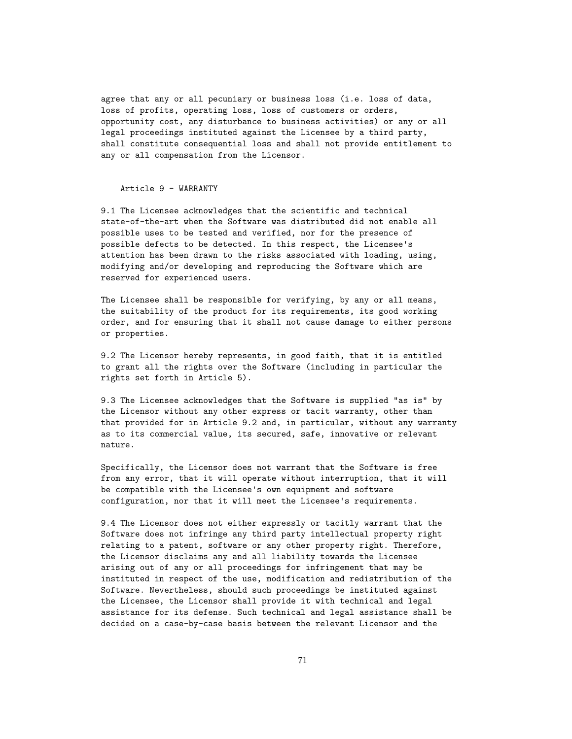agree that any or all pecuniary or business loss (i.e. loss of data, loss of profits, operating loss, loss of customers or orders, opportunity cost, any disturbance to business activities) or any or all legal proceedings instituted against the Licensee by a third party, shall constitute consequential loss and shall not provide entitlement to any or all compensation from the Licensor.

## Article 9 - WARRANTY

9.1 The Licensee acknowledges that the scientific and technical state-of-the-art when the Software was distributed did not enable all possible uses to be tested and verified, nor for the presence of possible defects to be detected. In this respect, the Licensee's attention has been drawn to the risks associated with loading, using, modifying and/or developing and reproducing the Software which are reserved for experienced users.

The Licensee shall be responsible for verifying, by any or all means, the suitability of the product for its requirements, its good working order, and for ensuring that it shall not cause damage to either persons or properties.

9.2 The Licensor hereby represents, in good faith, that it is entitled to grant all the rights over the Software (including in particular the rights set forth in Article 5).

9.3 The Licensee acknowledges that the Software is supplied "as is" by the Licensor without any other express or tacit warranty, other than that provided for in Article 9.2 and, in particular, without any warranty as to its commercial value, its secured, safe, innovative or relevant nature.

Specifically, the Licensor does not warrant that the Software is free from any error, that it will operate without interruption, that it will be compatible with the Licensee's own equipment and software configuration, nor that it will meet the Licensee's requirements.

9.4 The Licensor does not either expressly or tacitly warrant that the Software does not infringe any third party intellectual property right relating to a patent, software or any other property right. Therefore, the Licensor disclaims any and all liability towards the Licensee arising out of any or all proceedings for infringement that may be instituted in respect of the use, modification and redistribution of the Software. Nevertheless, should such proceedings be instituted against the Licensee, the Licensor shall provide it with technical and legal assistance for its defense. Such technical and legal assistance shall be decided on a case-by-case basis between the relevant Licensor and the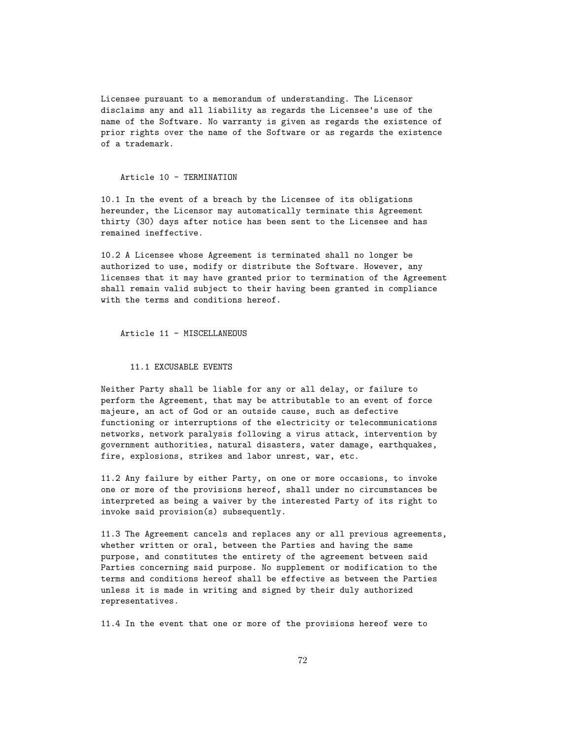Licensee pursuant to a memorandum of understanding. The Licensor disclaims any and all liability as regards the Licensee's use of the name of the Software. No warranty is given as regards the existence of prior rights over the name of the Software or as regards the existence of a trademark.

#### Article 10 - TERMINATION

10.1 In the event of a breach by the Licensee of its obligations hereunder, the Licensor may automatically terminate this Agreement thirty (30) days after notice has been sent to the Licensee and has remained ineffective.

10.2 A Licensee whose Agreement is terminated shall no longer be authorized to use, modify or distribute the Software. However, any licenses that it may have granted prior to termination of the Agreement shall remain valid subject to their having been granted in compliance with the terms and conditions hereof.

Article 11 - MISCELLANEOUS

11.1 EXCUSABLE EVENTS

Neither Party shall be liable for any or all delay, or failure to perform the Agreement, that may be attributable to an event of force majeure, an act of God or an outside cause, such as defective functioning or interruptions of the electricity or telecommunications networks, network paralysis following a virus attack, intervention by government authorities, natural disasters, water damage, earthquakes, fire, explosions, strikes and labor unrest, war, etc.

11.2 Any failure by either Party, on one or more occasions, to invoke one or more of the provisions hereof, shall under no circumstances be interpreted as being a waiver by the interested Party of its right to invoke said provision(s) subsequently.

11.3 The Agreement cancels and replaces any or all previous agreements, whether written or oral, between the Parties and having the same purpose, and constitutes the entirety of the agreement between said Parties concerning said purpose. No supplement or modification to the terms and conditions hereof shall be effective as between the Parties unless it is made in writing and signed by their duly authorized representatives.

11.4 In the event that one or more of the provisions hereof were to